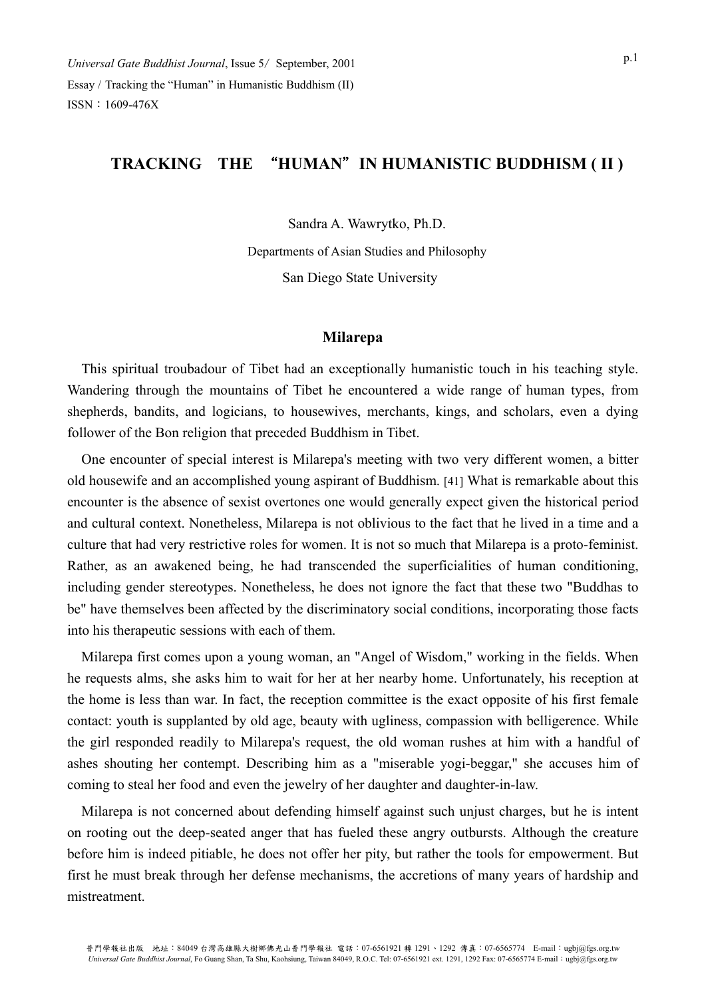# **TRACKING THE** "**HUMAN**"**IN HUMANISTIC BUDDHISM ( II )**

Sandra A. Wawrytko, Ph.D.

Departments of Asian Studies and Philosophy San Diego State University

### **Milarepa**

This spiritual troubadour of Tibet had an exceptionally humanistic touch in his teaching style. Wandering through the mountains of Tibet he encountered a wide range of human types, from shepherds, bandits, and logicians, to housewives, merchants, kings, and scholars, even a dying follower of the Bon religion that preceded Buddhism in Tibet.

One encounter of special interest is Milarepa's meeting with two very different women, a bitter old housewife and an accomplished young aspirant of Buddhism. [41] What is remarkable about this encounter is the absence of sexist overtones one would generally expect given the historical period and cultural context. Nonetheless, Milarepa is not oblivious to the fact that he lived in a time and a culture that had very restrictive roles for women. It is not so much that Milarepa is a proto-feminist. Rather, as an awakened being, he had transcended the superficialities of human conditioning, including gender stereotypes. Nonetheless, he does not ignore the fact that these two "Buddhas to be" have themselves been affected by the discriminatory social conditions, incorporating those facts into his therapeutic sessions with each of them.

Milarepa first comes upon a young woman, an "Angel of Wisdom," working in the fields. When he requests alms, she asks him to wait for her at her nearby home. Unfortunately, his reception at the home is less than war. In fact, the reception committee is the exact opposite of his first female contact: youth is supplanted by old age, beauty with ugliness, compassion with belligerence. While the girl responded readily to Milarepa's request, the old woman rushes at him with a handful of ashes shouting her contempt. Describing him as a "miserable yogi-beggar," she accuses him of coming to steal her food and even the jewelry of her daughter and daughter-in-law.

Milarepa is not concerned about defending himself against such unjust charges, but he is intent on rooting out the deep-seated anger that has fueled these angry outbursts. Although the creature before him is indeed pitiable, he does not offer her pity, but rather the tools for empowerment. But first he must break through her defense mechanisms, the accretions of many years of hardship and mistreatment.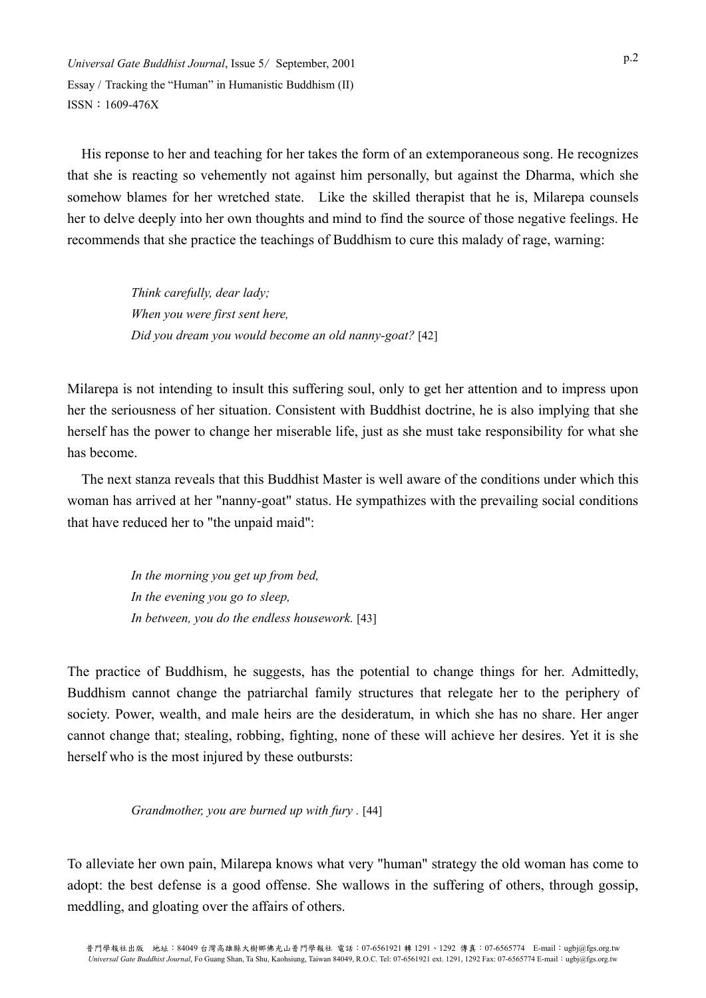His reponse to her and teaching for her takes the form of an extemporaneous song. He recognizes that she is reacting so vehemently not against him personally, but against the Dharma, which she somehow blames for her wretched state. Like the skilled therapist that he is, Milarepa counsels her to delve deeply into her own thoughts and mind to find the source of those negative feelings. He recommends that she practice the teachings of Buddhism to cure this malady of rage, warning:

> *Think carefully, dear lady; When you were first sent here, Did you dream you would become an old nanny-goat?* [42]

Milarepa is not intending to insult this suffering soul, only to get her attention and to impress upon her the seriousness of her situation. Consistent with Buddhist doctrine, he is also implying that she herself has the power to change her miserable life, just as she must take responsibility for what she has become.

The next stanza reveals that this Buddhist Master is well aware of the conditions under which this woman has arrived at her "nanny-goat" status. He sympathizes with the prevailing social conditions that have reduced her to "the unpaid maid":

> *In the morning you get up from bed, In the evening you go to sleep, In between, you do the endless housework.* [43]

The practice of Buddhism, he suggests, has the potential to change things for her. Admittedly, Buddhism cannot change the patriarchal family structures that relegate her to the periphery of society. Power, wealth, and male heirs are the desideratum, in which she has no share. Her anger cannot change that; stealing, robbing, fighting, none of these will achieve her desires. Yet it is she herself who is the most injured by these outbursts:

*Grandmother, you are burned up with fury .* [44]

To alleviate her own pain, Milarepa knows what very "human" strategy the old woman has come to adopt: the best defense is a good offense. She wallows in the suffering of others, through gossip, meddling, and gloating over the affairs of others.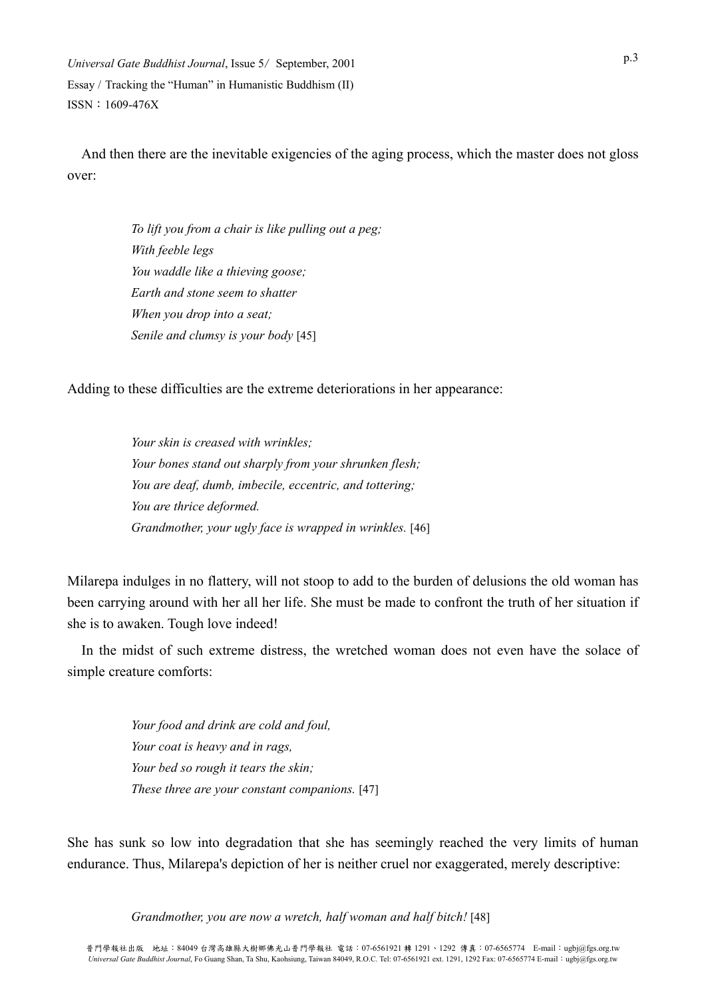And then there are the inevitable exigencies of the aging process, which the master does not gloss over:

> *To lift you from a chair is like pulling out a peg; With feeble legs You waddle like a thieving goose; Earth and stone seem to shatter When you drop into a seat; Senile and clumsy is your body* [45]

Adding to these difficulties are the extreme deteriorations in her appearance:

*Your skin is creased with wrinkles; Your bones stand out sharply from your shrunken flesh; You are deaf, dumb, imbecile, eccentric, and tottering; You are thrice deformed. Grandmother, your ugly face is wrapped in wrinkles.* [46]

Milarepa indulges in no flattery, will not stoop to add to the burden of delusions the old woman has been carrying around with her all her life. She must be made to confront the truth of her situation if she is to awaken. Tough love indeed!

In the midst of such extreme distress, the wretched woman does not even have the solace of simple creature comforts:

> *Your food and drink are cold and foul, Your coat is heavy and in rags, Your bed so rough it tears the skin; These three are your constant companions.* [47]

She has sunk so low into degradation that she has seemingly reached the very limits of human endurance. Thus, Milarepa's depiction of her is neither cruel nor exaggerated, merely descriptive:

*Grandmother, you are now a wretch, half woman and half bitch!* [48]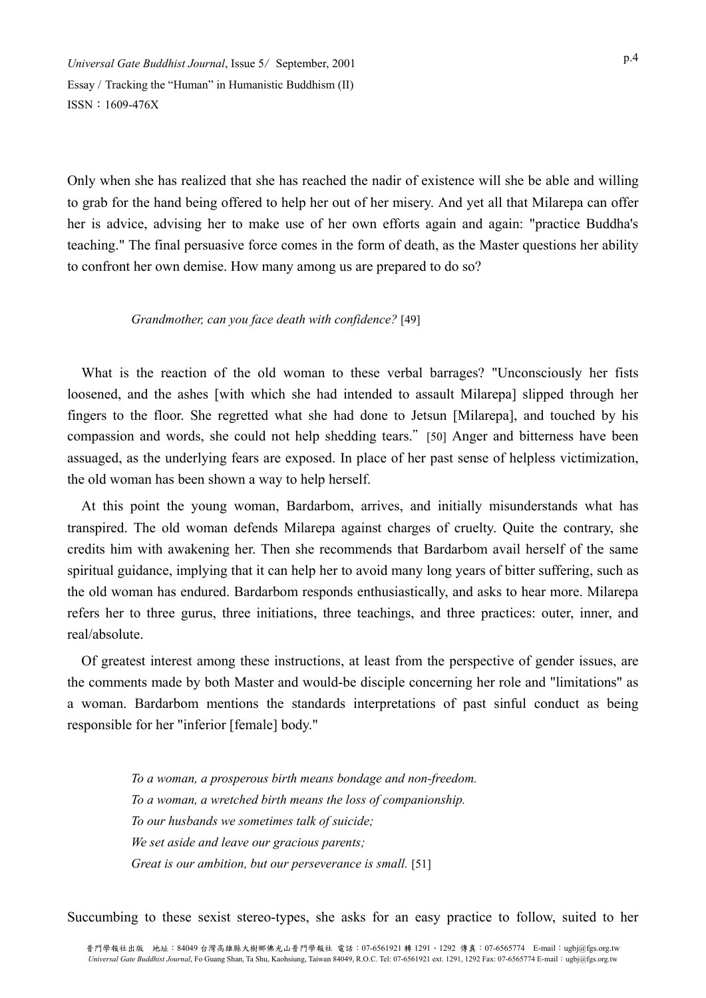Only when she has realized that she has reached the nadir of existence will she be able and willing to grab for the hand being offered to help her out of her misery. And yet all that Milarepa can offer her is advice, advising her to make use of her own efforts again and again: "practice Buddha's teaching." The final persuasive force comes in the form of death, as the Master questions her ability to confront her own demise. How many among us are prepared to do so?

#### *Grandmother, can you face death with confidence?* [49]

What is the reaction of the old woman to these verbal barrages? "Unconsciously her fists loosened, and the ashes [with which she had intended to assault Milarepa] slipped through her fingers to the floor. She regretted what she had done to Jetsun [Milarepa], and touched by his compassion and words, she could not help shedding tears."[50] Anger and bitterness have been assuaged, as the underlying fears are exposed. In place of her past sense of helpless victimization, the old woman has been shown a way to help herself.

At this point the young woman, Bardarbom, arrives, and initially misunderstands what has transpired. The old woman defends Milarepa against charges of cruelty. Quite the contrary, she credits him with awakening her. Then she recommends that Bardarbom avail herself of the same spiritual guidance, implying that it can help her to avoid many long years of bitter suffering, such as the old woman has endured. Bardarbom responds enthusiastically, and asks to hear more. Milarepa refers her to three gurus, three initiations, three teachings, and three practices: outer, inner, and real/absolute.

Of greatest interest among these instructions, at least from the perspective of gender issues, are the comments made by both Master and would-be disciple concerning her role and "limitations" as a woman. Bardarbom mentions the standards interpretations of past sinful conduct as being responsible for her "inferior [female] body."

> *To a woman, a prosperous birth means bondage and non-freedom. To a woman, a wretched birth means the loss of companionship. To our husbands we sometimes talk of suicide; We set aside and leave our gracious parents; Great is our ambition, but our perseverance is small.* [51]

Succumbing to these sexist stereo-types, she asks for an easy practice to follow, suited to her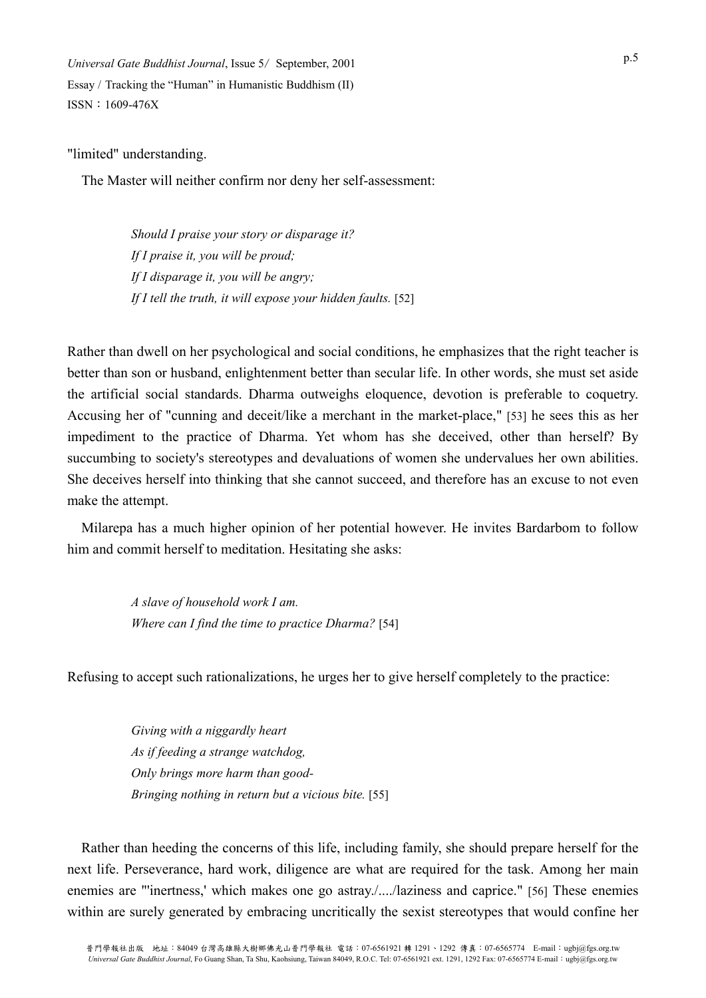"limited" understanding.

The Master will neither confirm nor deny her self-assessment:

*Should I praise your story or disparage it? If I praise it, you will be proud; If I disparage it, you will be angry;*  If I tell the truth, it will expose your hidden faults. [52]

Rather than dwell on her psychological and social conditions, he emphasizes that the right teacher is better than son or husband, enlightenment better than secular life. In other words, she must set aside the artificial social standards. Dharma outweighs eloquence, devotion is preferable to coquetry. Accusing her of "cunning and deceit/like a merchant in the market-place," [53] he sees this as her impediment to the practice of Dharma. Yet whom has she deceived, other than herself? By succumbing to society's stereotypes and devaluations of women she undervalues her own abilities. She deceives herself into thinking that she cannot succeed, and therefore has an excuse to not even make the attempt.

Milarepa has a much higher opinion of her potential however. He invites Bardarbom to follow him and commit herself to meditation. Hesitating she asks:

> *A slave of household work I am. Where can I find the time to practice Dharma?* [54]

Refusing to accept such rationalizations, he urges her to give herself completely to the practice:

*Giving with a niggardly heart As if feeding a strange watchdog, Only brings more harm than good-Bringing nothing in return but a vicious bite.* [55]

Rather than heeding the concerns of this life, including family, she should prepare herself for the next life. Perseverance, hard work, diligence are what are required for the task. Among her main enemies are "'inertness,' which makes one go astray./..../laziness and caprice." [56] These enemies within are surely generated by embracing uncritically the sexist stereotypes that would confine her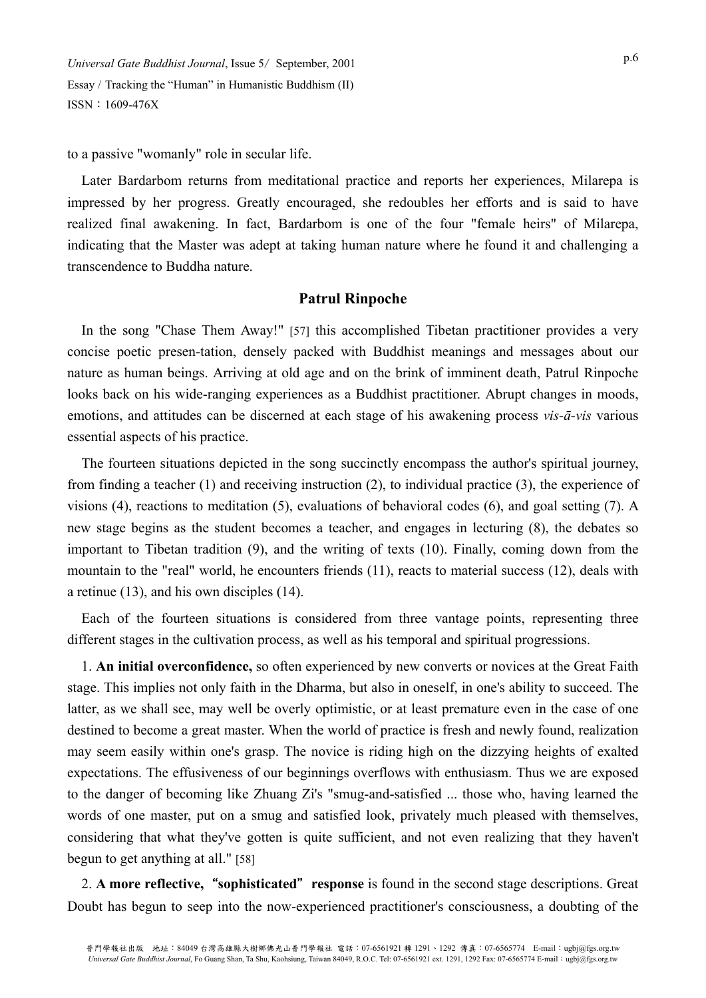to a passive "womanly" role in secular life.

Later Bardarbom returns from meditational practice and reports her experiences, Milarepa is impressed by her progress. Greatly encouraged, she redoubles her efforts and is said to have realized final awakening. In fact, Bardarbom is one of the four "female heirs" of Milarepa, indicating that the Master was adept at taking human nature where he found it and challenging a transcendence to Buddha nature.

#### **Patrul Rinpoche**

In the song "Chase Them Away!" [57] this accomplished Tibetan practitioner provides a very concise poetic presen-tation, densely packed with Buddhist meanings and messages about our nature as human beings. Arriving at old age and on the brink of imminent death, Patrul Rinpoche looks back on his wide-ranging experiences as a Buddhist practitioner. Abrupt changes in moods, emotions, and attitudes can be discerned at each stage of his awakening process *vis-ā-vis* various essential aspects of his practice.

The fourteen situations depicted in the song succinctly encompass the author's spiritual journey, from finding a teacher (1) and receiving instruction (2), to individual practice (3), the experience of visions (4), reactions to meditation (5), evaluations of behavioral codes (6), and goal setting (7). A new stage begins as the student becomes a teacher, and engages in lecturing (8), the debates so important to Tibetan tradition (9), and the writing of texts (10). Finally, coming down from the mountain to the "real" world, he encounters friends (11), reacts to material success (12), deals with a retinue (13), and his own disciples (14).

Each of the fourteen situations is considered from three vantage points, representing three different stages in the cultivation process, as well as his temporal and spiritual progressions.

1. **An initial overconfidence,** so often experienced by new converts or novices at the Great Faith stage. This implies not only faith in the Dharma, but also in oneself, in one's ability to succeed. The latter, as we shall see, may well be overly optimistic, or at least premature even in the case of one destined to become a great master. When the world of practice is fresh and newly found, realization may seem easily within one's grasp. The novice is riding high on the dizzying heights of exalted expectations. The effusiveness of our beginnings overflows with enthusiasm. Thus we are exposed to the danger of becoming like Zhuang Zi's "smug-and-satisfied ... those who, having learned the words of one master, put on a smug and satisfied look, privately much pleased with themselves, considering that what they've gotten is quite sufficient, and not even realizing that they haven't begun to get anything at all." [58]

2. **A more reflective,**"**sophisticated**"**response** is found in the second stage descriptions. Great Doubt has begun to seep into the now-experienced practitioner's consciousness, a doubting of the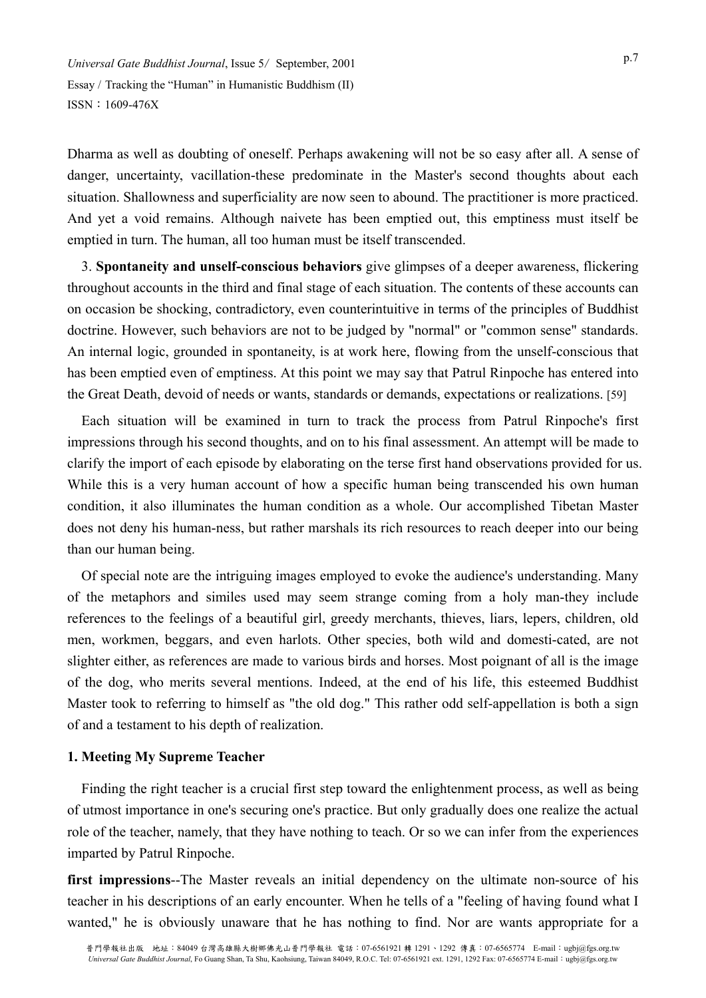Dharma as well as doubting of oneself. Perhaps awakening will not be so easy after all. A sense of danger, uncertainty, vacillation-these predominate in the Master's second thoughts about each situation. Shallowness and superficiality are now seen to abound. The practitioner is more practiced. And yet a void remains. Although naivete has been emptied out, this emptiness must itself be emptied in turn. The human, all too human must be itself transcended.

3. **Spontaneity and unself-conscious behaviors** give glimpses of a deeper awareness, flickering throughout accounts in the third and final stage of each situation. The contents of these accounts can on occasion be shocking, contradictory, even counterintuitive in terms of the principles of Buddhist doctrine. However, such behaviors are not to be judged by "normal" or "common sense" standards. An internal logic, grounded in spontaneity, is at work here, flowing from the unself-conscious that has been emptied even of emptiness. At this point we may say that Patrul Rinpoche has entered into the Great Death, devoid of needs or wants, standards or demands, expectations or realizations. [59]

Each situation will be examined in turn to track the process from Patrul Rinpoche's first impressions through his second thoughts, and on to his final assessment. An attempt will be made to clarify the import of each episode by elaborating on the terse first hand observations provided for us. While this is a very human account of how a specific human being transcended his own human condition, it also illuminates the human condition as a whole. Our accomplished Tibetan Master does not deny his human-ness, but rather marshals its rich resources to reach deeper into our being than our human being.

Of special note are the intriguing images employed to evoke the audience's understanding. Many of the metaphors and similes used may seem strange coming from a holy man-they include references to the feelings of a beautiful girl, greedy merchants, thieves, liars, lepers, children, old men, workmen, beggars, and even harlots. Other species, both wild and domesti-cated, are not slighter either, as references are made to various birds and horses. Most poignant of all is the image of the dog, who merits several mentions. Indeed, at the end of his life, this esteemed Buddhist Master took to referring to himself as "the old dog." This rather odd self-appellation is both a sign of and a testament to his depth of realization.

#### **1. Meeting My Supreme Teacher**

Finding the right teacher is a crucial first step toward the enlightenment process, as well as being of utmost importance in one's securing one's practice. But only gradually does one realize the actual role of the teacher, namely, that they have nothing to teach. Or so we can infer from the experiences imparted by Patrul Rinpoche.

**first impressions**--The Master reveals an initial dependency on the ultimate non-source of his teacher in his descriptions of an early encounter. When he tells of a "feeling of having found what I wanted," he is obviously unaware that he has nothing to find. Nor are wants appropriate for a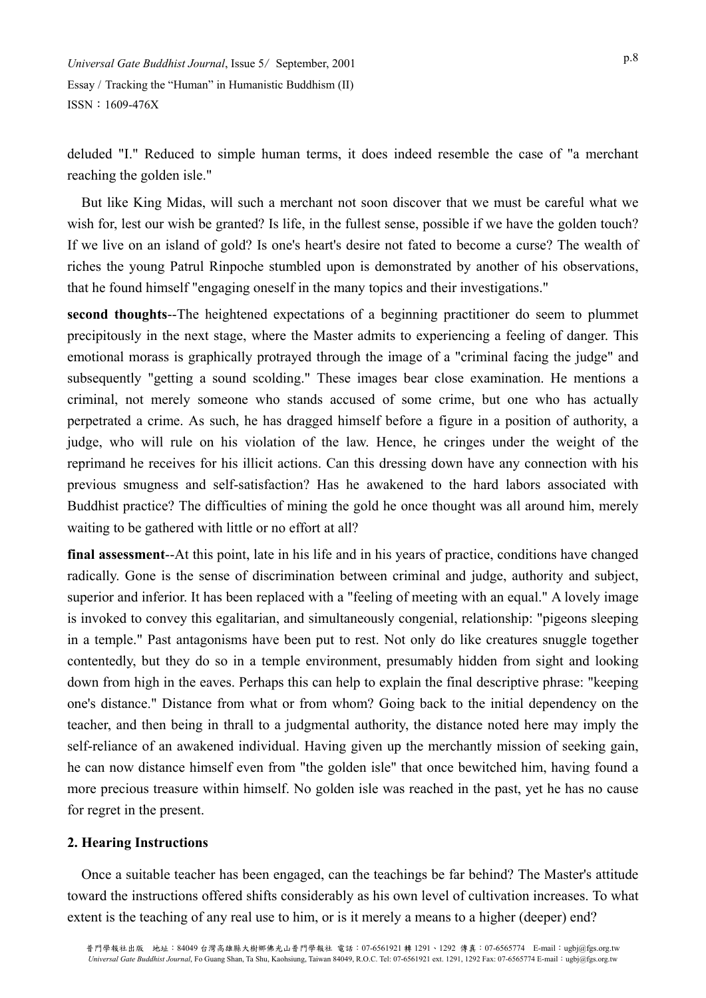deluded "I." Reduced to simple human terms, it does indeed resemble the case of "a merchant reaching the golden isle."

But like King Midas, will such a merchant not soon discover that we must be careful what we wish for, lest our wish be granted? Is life, in the fullest sense, possible if we have the golden touch? If we live on an island of gold? Is one's heart's desire not fated to become a curse? The wealth of riches the young Patrul Rinpoche stumbled upon is demonstrated by another of his observations, that he found himself "engaging oneself in the many topics and their investigations."

**second thoughts**--The heightened expectations of a beginning practitioner do seem to plummet precipitously in the next stage, where the Master admits to experiencing a feeling of danger. This emotional morass is graphically protrayed through the image of a "criminal facing the judge" and subsequently "getting a sound scolding." These images bear close examination. He mentions a criminal, not merely someone who stands accused of some crime, but one who has actually perpetrated a crime. As such, he has dragged himself before a figure in a position of authority, a judge, who will rule on his violation of the law. Hence, he cringes under the weight of the reprimand he receives for his illicit actions. Can this dressing down have any connection with his previous smugness and self-satisfaction? Has he awakened to the hard labors associated with Buddhist practice? The difficulties of mining the gold he once thought was all around him, merely waiting to be gathered with little or no effort at all?

**final assessment**--At this point, late in his life and in his years of practice, conditions have changed radically. Gone is the sense of discrimination between criminal and judge, authority and subject, superior and inferior. It has been replaced with a "feeling of meeting with an equal." A lovely image is invoked to convey this egalitarian, and simultaneously congenial, relationship: "pigeons sleeping in a temple." Past antagonisms have been put to rest. Not only do like creatures snuggle together contentedly, but they do so in a temple environment, presumably hidden from sight and looking down from high in the eaves. Perhaps this can help to explain the final descriptive phrase: "keeping one's distance." Distance from what or from whom? Going back to the initial dependency on the teacher, and then being in thrall to a judgmental authority, the distance noted here may imply the self-reliance of an awakened individual. Having given up the merchantly mission of seeking gain, he can now distance himself even from "the golden isle" that once bewitched him, having found a more precious treasure within himself. No golden isle was reached in the past, yet he has no cause for regret in the present.

#### **2. Hearing Instructions**

Once a suitable teacher has been engaged, can the teachings be far behind? The Master's attitude toward the instructions offered shifts considerably as his own level of cultivation increases. To what extent is the teaching of any real use to him, or is it merely a means to a higher (deeper) end?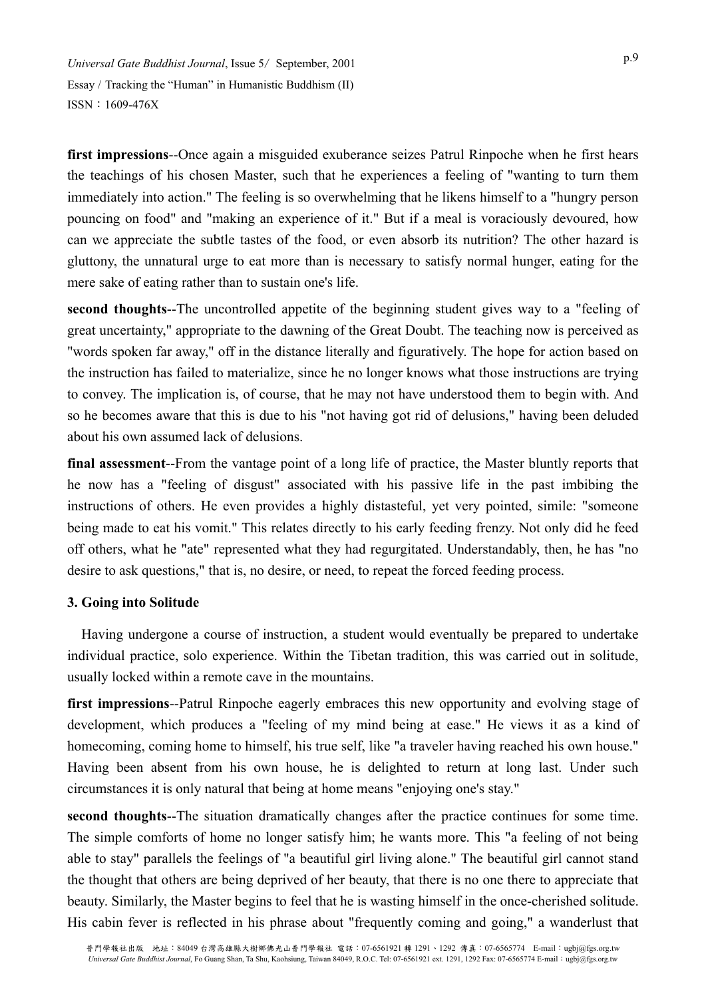**first impressions**--Once again a misguided exuberance seizes Patrul Rinpoche when he first hears the teachings of his chosen Master, such that he experiences a feeling of "wanting to turn them immediately into action." The feeling is so overwhelming that he likens himself to a "hungry person pouncing on food" and "making an experience of it." But if a meal is voraciously devoured, how can we appreciate the subtle tastes of the food, or even absorb its nutrition? The other hazard is gluttony, the unnatural urge to eat more than is necessary to satisfy normal hunger, eating for the mere sake of eating rather than to sustain one's life.

**second thoughts**--The uncontrolled appetite of the beginning student gives way to a "feeling of great uncertainty," appropriate to the dawning of the Great Doubt. The teaching now is perceived as "words spoken far away," off in the distance literally and figuratively. The hope for action based on the instruction has failed to materialize, since he no longer knows what those instructions are trying to convey. The implication is, of course, that he may not have understood them to begin with. And so he becomes aware that this is due to his "not having got rid of delusions," having been deluded about his own assumed lack of delusions.

**final assessment**--From the vantage point of a long life of practice, the Master bluntly reports that he now has a "feeling of disgust" associated with his passive life in the past imbibing the instructions of others. He even provides a highly distasteful, yet very pointed, simile: "someone being made to eat his vomit." This relates directly to his early feeding frenzy. Not only did he feed off others, what he "ate" represented what they had regurgitated. Understandably, then, he has "no desire to ask questions," that is, no desire, or need, to repeat the forced feeding process.

# **3. Going into Solitude**

Having undergone a course of instruction, a student would eventually be prepared to undertake individual practice, solo experience. Within the Tibetan tradition, this was carried out in solitude, usually locked within a remote cave in the mountains.

**first impressions**--Patrul Rinpoche eagerly embraces this new opportunity and evolving stage of development, which produces a "feeling of my mind being at ease." He views it as a kind of homecoming, coming home to himself, his true self, like "a traveler having reached his own house." Having been absent from his own house, he is delighted to return at long last. Under such circumstances it is only natural that being at home means "enjoying one's stay."

**second thoughts**--The situation dramatically changes after the practice continues for some time. The simple comforts of home no longer satisfy him; he wants more. This "a feeling of not being able to stay" parallels the feelings of "a beautiful girl living alone." The beautiful girl cannot stand the thought that others are being deprived of her beauty, that there is no one there to appreciate that beauty. Similarly, the Master begins to feel that he is wasting himself in the once-cherished solitude. His cabin fever is reflected in his phrase about "frequently coming and going," a wanderlust that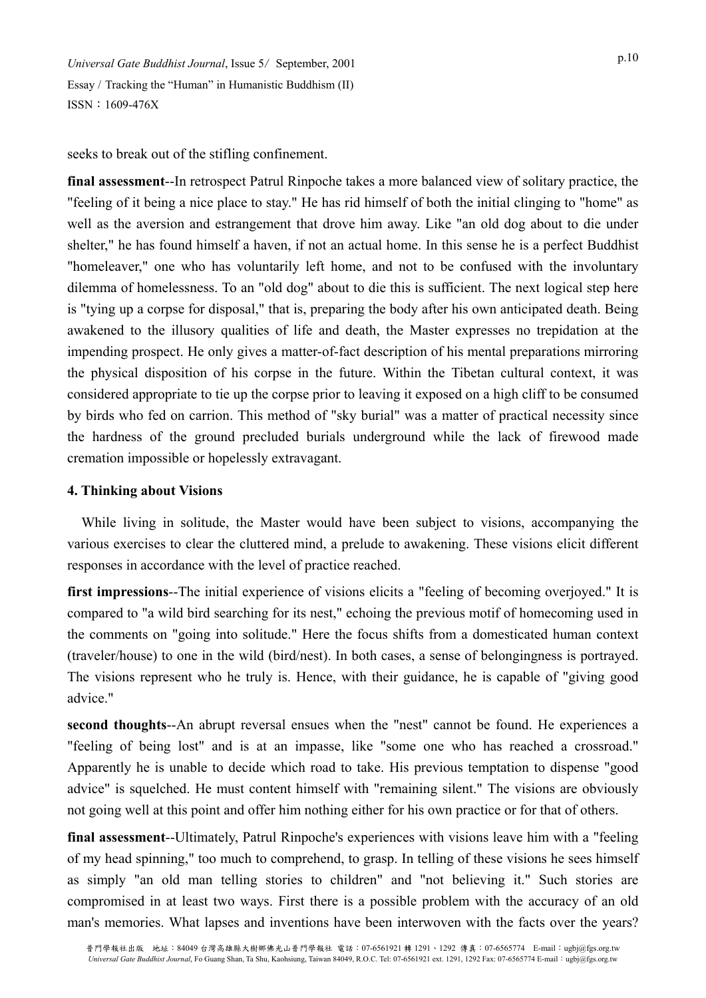seeks to break out of the stifling confinement.

**final assessment**--In retrospect Patrul Rinpoche takes a more balanced view of solitary practice, the "feeling of it being a nice place to stay." He has rid himself of both the initial clinging to "home" as well as the aversion and estrangement that drove him away. Like "an old dog about to die under shelter," he has found himself a haven, if not an actual home. In this sense he is a perfect Buddhist "homeleaver," one who has voluntarily left home, and not to be confused with the involuntary dilemma of homelessness. To an "old dog" about to die this is sufficient. The next logical step here is "tying up a corpse for disposal," that is, preparing the body after his own anticipated death. Being awakened to the illusory qualities of life and death, the Master expresses no trepidation at the impending prospect. He only gives a matter-of-fact description of his mental preparations mirroring the physical disposition of his corpse in the future. Within the Tibetan cultural context, it was considered appropriate to tie up the corpse prior to leaving it exposed on a high cliff to be consumed by birds who fed on carrion. This method of "sky burial" was a matter of practical necessity since the hardness of the ground precluded burials underground while the lack of firewood made cremation impossible or hopelessly extravagant.

# **4. Thinking about Visions**

While living in solitude, the Master would have been subject to visions, accompanying the various exercises to clear the cluttered mind, a prelude to awakening. These visions elicit different responses in accordance with the level of practice reached.

**first impressions**--The initial experience of visions elicits a "feeling of becoming overjoyed." It is compared to "a wild bird searching for its nest," echoing the previous motif of homecoming used in the comments on "going into solitude." Here the focus shifts from a domesticated human context (traveler/house) to one in the wild (bird/nest). In both cases, a sense of belongingness is portrayed. The visions represent who he truly is. Hence, with their guidance, he is capable of "giving good advice."

**second thoughts**--An abrupt reversal ensues when the "nest" cannot be found. He experiences a "feeling of being lost" and is at an impasse, like "some one who has reached a crossroad." Apparently he is unable to decide which road to take. His previous temptation to dispense "good advice" is squelched. He must content himself with "remaining silent." The visions are obviously not going well at this point and offer him nothing either for his own practice or for that of others.

**final assessment**--Ultimately, Patrul Rinpoche's experiences with visions leave him with a "feeling of my head spinning," too much to comprehend, to grasp. In telling of these visions he sees himself as simply "an old man telling stories to children" and "not believing it." Such stories are compromised in at least two ways. First there is a possible problem with the accuracy of an old man's memories. What lapses and inventions have been interwoven with the facts over the years?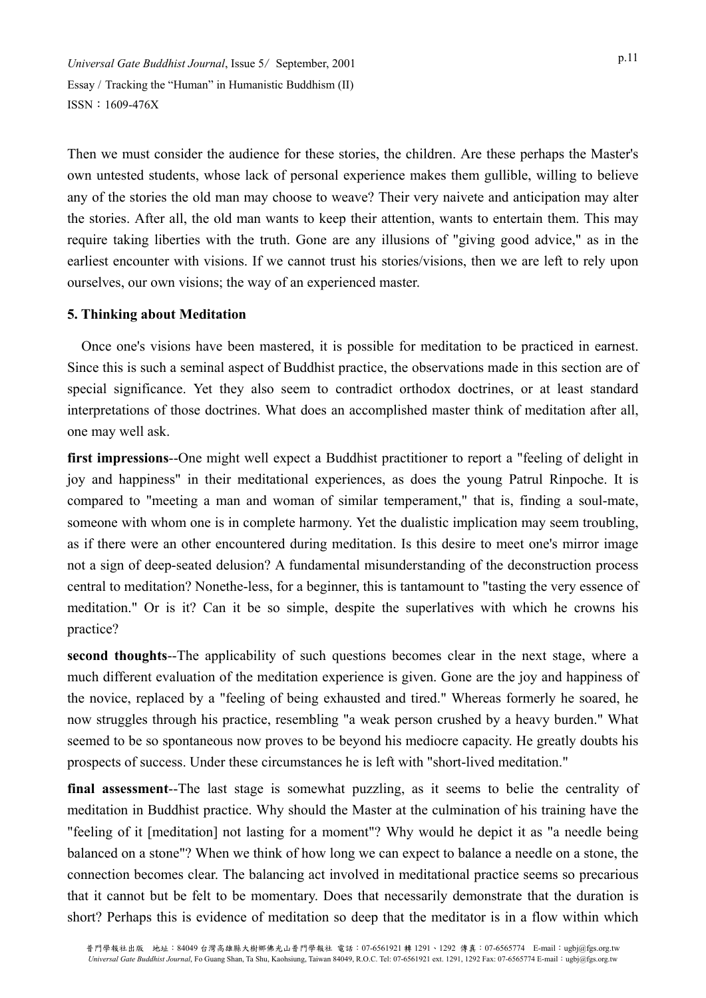Then we must consider the audience for these stories, the children. Are these perhaps the Master's own untested students, whose lack of personal experience makes them gullible, willing to believe any of the stories the old man may choose to weave? Their very naivete and anticipation may alter the stories. After all, the old man wants to keep their attention, wants to entertain them. This may require taking liberties with the truth. Gone are any illusions of "giving good advice," as in the earliest encounter with visions. If we cannot trust his stories/visions, then we are left to rely upon ourselves, our own visions; the way of an experienced master.

# **5. Thinking about Meditation**

Once one's visions have been mastered, it is possible for meditation to be practiced in earnest. Since this is such a seminal aspect of Buddhist practice, the observations made in this section are of special significance. Yet they also seem to contradict orthodox doctrines, or at least standard interpretations of those doctrines. What does an accomplished master think of meditation after all, one may well ask.

**first impressions--**One might well expect a Buddhist practitioner to report a "feeling of delight in joy and happiness" in their meditational experiences, as does the young Patrul Rinpoche. It is compared to "meeting a man and woman of similar temperament," that is, finding a soul-mate, someone with whom one is in complete harmony. Yet the dualistic implication may seem troubling, as if there were an other encountered during meditation. Is this desire to meet one's mirror image not a sign of deep-seated delusion? A fundamental misunderstanding of the deconstruction process central to meditation? Nonethe-less, for a beginner, this is tantamount to "tasting the very essence of meditation." Or is it? Can it be so simple, despite the superlatives with which he crowns his practice?

**second thoughts**--The applicability of such questions becomes clear in the next stage, where a much different evaluation of the meditation experience is given. Gone are the joy and happiness of the novice, replaced by a "feeling of being exhausted and tired." Whereas formerly he soared, he now struggles through his practice, resembling "a weak person crushed by a heavy burden." What seemed to be so spontaneous now proves to be beyond his mediocre capacity. He greatly doubts his prospects of success. Under these circumstances he is left with "short-lived meditation."

**final assessment**--The last stage is somewhat puzzling, as it seems to belie the centrality of meditation in Buddhist practice. Why should the Master at the culmination of his training have the "feeling of it [meditation] not lasting for a moment"? Why would he depict it as "a needle being balanced on a stone"? When we think of how long we can expect to balance a needle on a stone, the connection becomes clear. The balancing act involved in meditational practice seems so precarious that it cannot but be felt to be momentary. Does that necessarily demonstrate that the duration is short? Perhaps this is evidence of meditation so deep that the meditator is in a flow within which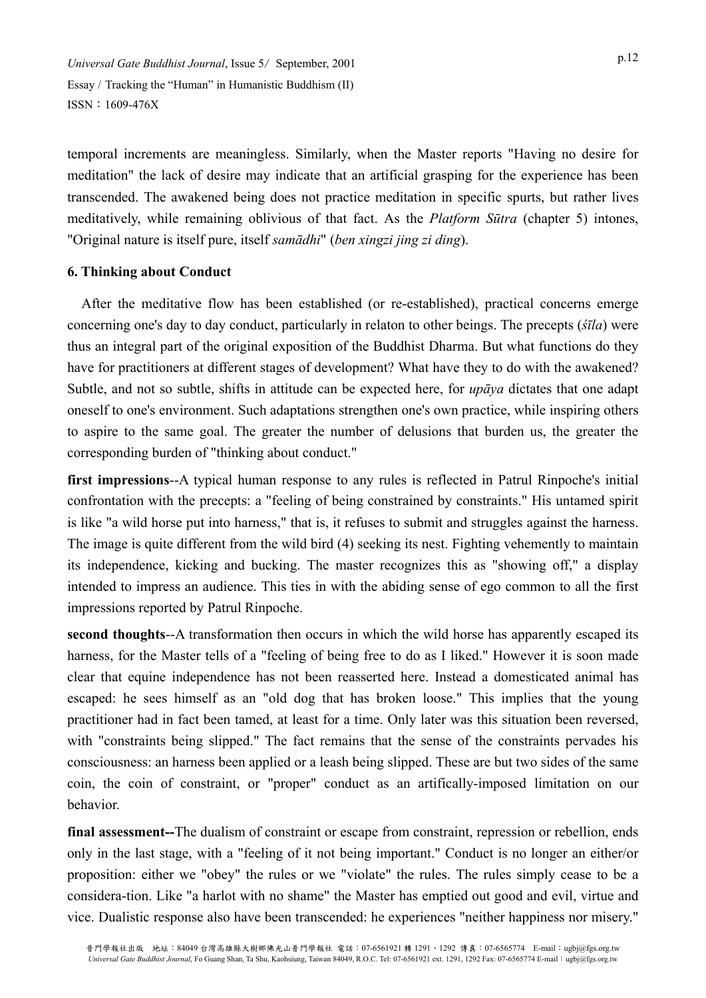temporal increments are meaningless. Similarly, when the Master reports "Having no desire for meditation" the lack of desire may indicate that an artificial grasping for the experience has been transcended. The awakened being does not practice meditation in specific spurts, but rather lives meditatively, while remaining oblivious of that fact. As the *Platform Sūtra* (chapter 5) intones, "Original nature is itself pure, itself *samādhi*" (*ben xingzi jing zi ding*).

# **6. Thinking about Conduct**

After the meditative flow has been established (or re-established), practical concerns emerge concerning one's day to day conduct, particularly in relaton to other beings. The precepts (*śīla*) were thus an integral part of the original exposition of the Buddhist Dharma. But what functions do they have for practitioners at different stages of development? What have they to do with the awakened? Subtle, and not so subtle, shifts in attitude can be expected here, for *upāya* dictates that one adapt oneself to one's environment. Such adaptations strengthen one's own practice, while inspiring others to aspire to the same goal. The greater the number of delusions that burden us, the greater the corresponding burden of "thinking about conduct."

**first impressions**--A typical human response to any rules is reflected in Patrul Rinpoche's initial confrontation with the precepts: a "feeling of being constrained by constraints." His untamed spirit is like "a wild horse put into harness," that is, it refuses to submit and struggles against the harness. The image is quite different from the wild bird (4) seeking its nest. Fighting vehemently to maintain its independence, kicking and bucking. The master recognizes this as "showing off," a display intended to impress an audience. This ties in with the abiding sense of ego common to all the first impressions reported by Patrul Rinpoche.

**second thoughts**--A transformation then occurs in which the wild horse has apparently escaped its harness, for the Master tells of a "feeling of being free to do as I liked." However it is soon made clear that equine independence has not been reasserted here. Instead a domesticated animal has escaped: he sees himself as an "old dog that has broken loose." This implies that the young practitioner had in fact been tamed, at least for a time. Only later was this situation been reversed, with "constraints being slipped." The fact remains that the sense of the constraints pervades his consciousness: an harness been applied or a leash being slipped. These are but two sides of the same coin, the coin of constraint, or "proper" conduct as an artifically-imposed limitation on our behavior.

**final assessment--**The dualism of constraint or escape from constraint, repression or rebellion, ends only in the last stage, with a "feeling of it not being important." Conduct is no longer an either/or proposition: either we "obey" the rules or we "violate" the rules. The rules simply cease to be a considera-tion. Like "a harlot with no shame" the Master has emptied out good and evil, virtue and vice. Dualistic response also have been transcended: he experiences "neither happiness nor misery."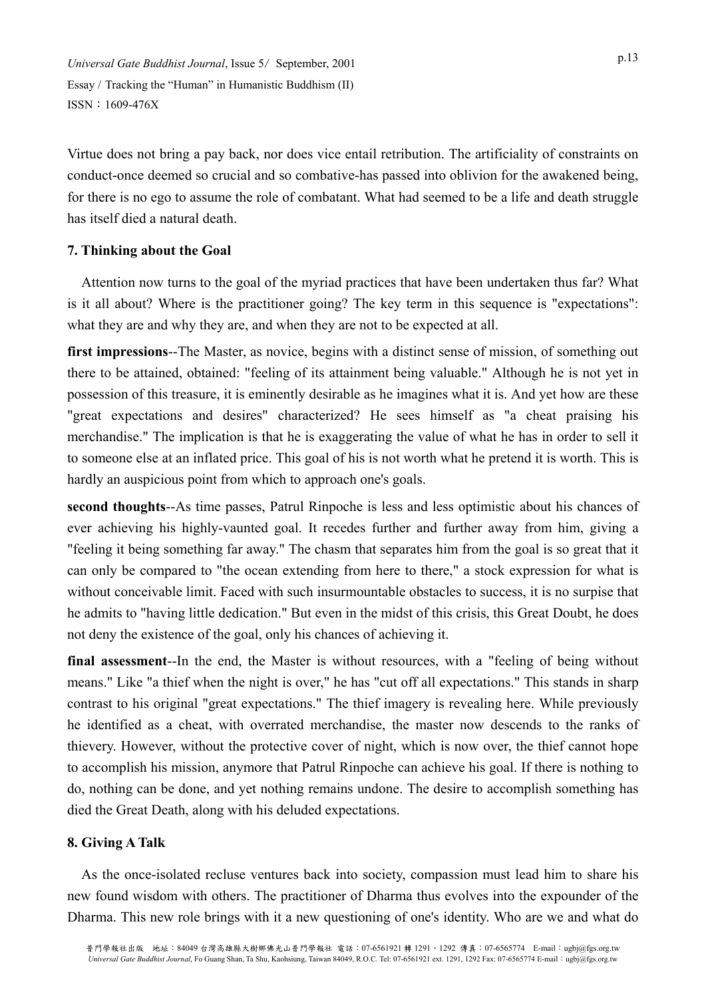Virtue does not bring a pay back, nor does vice entail retribution. The artificiality of constraints on conduct-once deemed so crucial and so combative-has passed into oblivion for the awakened being, for there is no ego to assume the role of combatant. What had seemed to be a life and death struggle has itself died a natural death.

# **7. Thinking about the Goal**

Attention now turns to the goal of the myriad practices that have been undertaken thus far? What is it all about? Where is the practitioner going? The key term in this sequence is "expectations": what they are and why they are, and when they are not to be expected at all.

**first impressions**--The Master, as novice, begins with a distinct sense of mission, of something out there to be attained, obtained: "feeling of its attainment being valuable." Although he is not yet in possession of this treasure, it is eminently desirable as he imagines what it is. And yet how are these "great expectations and desires" characterized? He sees himself as "a cheat praising his merchandise." The implication is that he is exaggerating the value of what he has in order to sell it to someone else at an inflated price. This goal of his is not worth what he pretend it is worth. This is hardly an auspicious point from which to approach one's goals.

**second thoughts**--As time passes, Patrul Rinpoche is less and less optimistic about his chances of ever achieving his highly-vaunted goal. It recedes further and further away from him, giving a "feeling it being something far away." The chasm that separates him from the goal is so great that it can only be compared to "the ocean extending from here to there," a stock expression for what is without conceivable limit. Faced with such insurmountable obstacles to success, it is no surpise that he admits to "having little dedication." But even in the midst of this crisis, this Great Doubt, he does not deny the existence of the goal, only his chances of achieving it.

**final assessment**--In the end, the Master is without resources, with a "feeling of being without means." Like "a thief when the night is over," he has "cut off all expectations." This stands in sharp contrast to his original "great expectations." The thief imagery is revealing here. While previously he identified as a cheat, with overrated merchandise, the master now descends to the ranks of thievery. However, without the protective cover of night, which is now over, the thief cannot hope to accomplish his mission, anymore that Patrul Rinpoche can achieve his goal. If there is nothing to do, nothing can be done, and yet nothing remains undone. The desire to accomplish something has died the Great Death, along with his deluded expectations.

# **8. Giving A Talk**

As the once-isolated recluse ventures back into society, compassion must lead him to share his new found wisdom with others. The practitioner of Dharma thus evolves into the expounder of the Dharma. This new role brings with it a new questioning of one's identity. Who are we and what do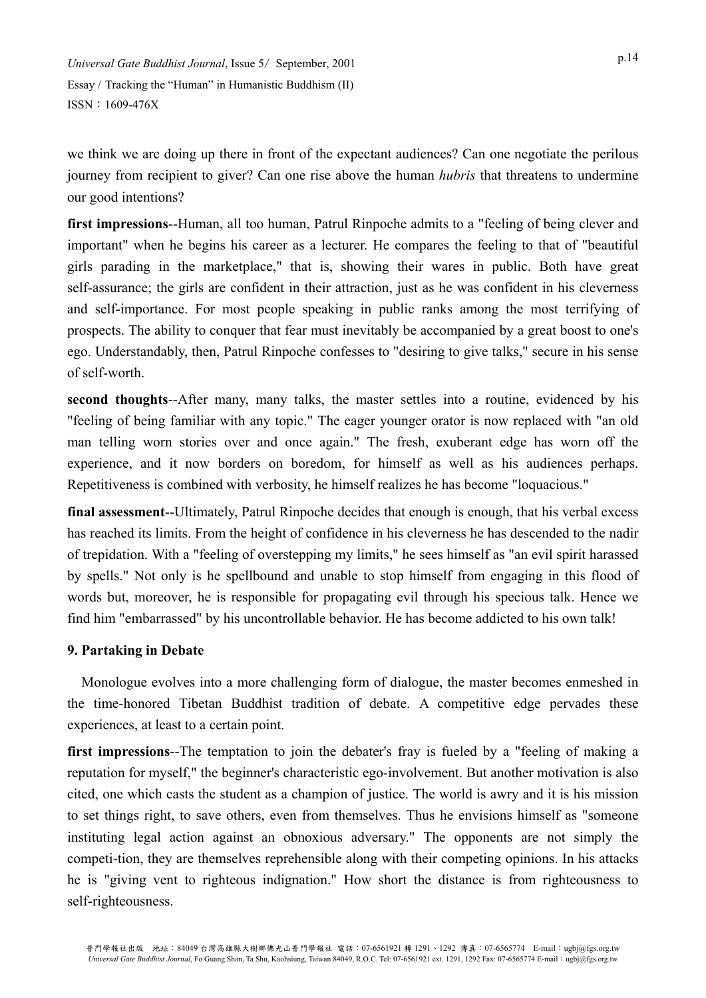we think we are doing up there in front of the expectant audiences? Can one negotiate the perilous journey from recipient to giver? Can one rise above the human *hubris* that threatens to undermine our good intentions?

**first impressions**--Human, all too human, Patrul Rinpoche admits to a "feeling of being clever and important" when he begins his career as a lecturer. He compares the feeling to that of "beautiful girls parading in the marketplace," that is, showing their wares in public. Both have great self-assurance; the girls are confident in their attraction, just as he was confident in his cleverness and self-importance. For most people speaking in public ranks among the most terrifying of prospects. The ability to conquer that fear must inevitably be accompanied by a great boost to one's ego. Understandably, then, Patrul Rinpoche confesses to "desiring to give talks," secure in his sense of self-worth.

**second thoughts**--After many, many talks, the master settles into a routine, evidenced by his "feeling of being familiar with any topic." The eager younger orator is now replaced with "an old man telling worn stories over and once again." The fresh, exuberant edge has worn off the experience, and it now borders on boredom, for himself as well as his audiences perhaps. Repetitiveness is combined with verbosity, he himself realizes he has become "loquacious."

**final assessment**--Ultimately, Patrul Rinpoche decides that enough is enough, that his verbal excess has reached its limits. From the height of confidence in his cleverness he has descended to the nadir of trepidation. With a "feeling of overstepping my limits," he sees himself as "an evil spirit harassed by spells." Not only is he spellbound and unable to stop himself from engaging in this flood of words but, moreover, he is responsible for propagating evil through his specious talk. Hence we find him "embarrassed" by his uncontrollable behavior. He has become addicted to his own talk!

# **9. Partaking in Debate**

Monologue evolves into a more challenging form of dialogue, the master becomes enmeshed in the time-honored Tibetan Buddhist tradition of debate. A competitive edge pervades these experiences, at least to a certain point.

**first impressions**--The temptation to join the debater's fray is fueled by a "feeling of making a reputation for myself," the beginner's characteristic ego-involvement. But another motivation is also cited, one which casts the student as a champion of justice. The world is awry and it is his mission to set things right, to save others, even from themselves. Thus he envisions himself as "someone instituting legal action against an obnoxious adversary." The opponents are not simply the competi-tion, they are themselves reprehensible along with their competing opinions. In his attacks he is "giving vent to righteous indignation." How short the distance is from righteousness to self-righteousness.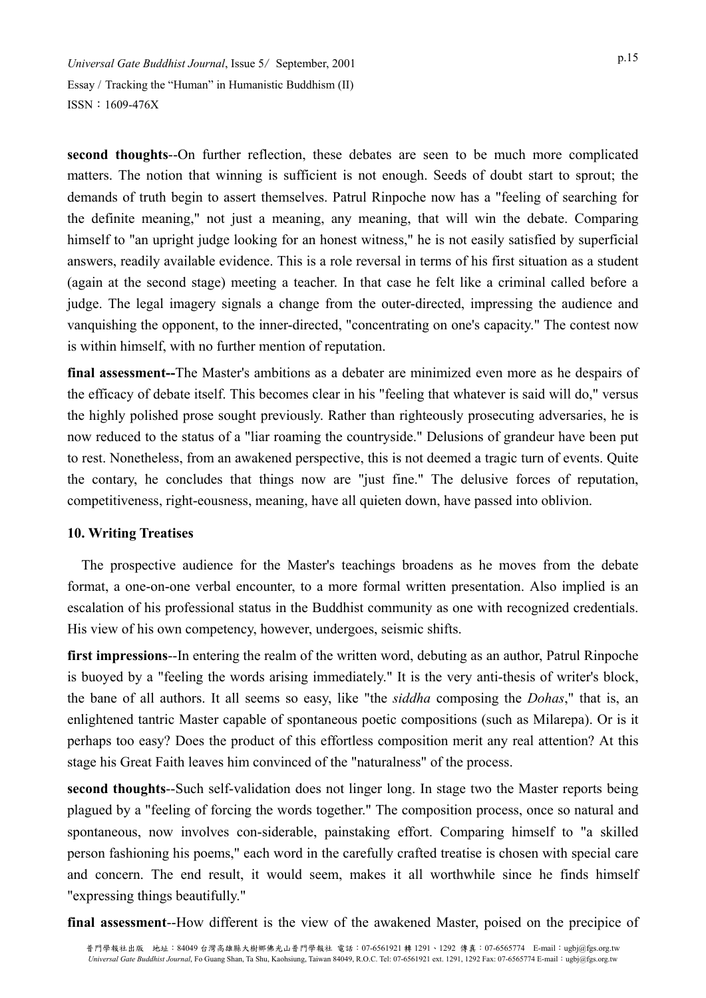**second thoughts**--On further reflection, these debates are seen to be much more complicated matters. The notion that winning is sufficient is not enough. Seeds of doubt start to sprout; the demands of truth begin to assert themselves. Patrul Rinpoche now has a "feeling of searching for the definite meaning," not just a meaning, any meaning, that will win the debate. Comparing himself to "an upright judge looking for an honest witness," he is not easily satisfied by superficial answers, readily available evidence. This is a role reversal in terms of his first situation as a student (again at the second stage) meeting a teacher. In that case he felt like a criminal called before a judge. The legal imagery signals a change from the outer-directed, impressing the audience and vanquishing the opponent, to the inner-directed, "concentrating on one's capacity." The contest now is within himself, with no further mention of reputation.

**final assessment--**The Master's ambitions as a debater are minimized even more as he despairs of the efficacy of debate itself. This becomes clear in his "feeling that whatever is said will do," versus the highly polished prose sought previously. Rather than righteously prosecuting adversaries, he is now reduced to the status of a "liar roaming the countryside." Delusions of grandeur have been put to rest. Nonetheless, from an awakened perspective, this is not deemed a tragic turn of events. Quite the contary, he concludes that things now are "just fine." The delusive forces of reputation, competitiveness, right-eousness, meaning, have all quieten down, have passed into oblivion.

# **10. Writing Treatises**

The prospective audience for the Master's teachings broadens as he moves from the debate format, a one-on-one verbal encounter, to a more formal written presentation. Also implied is an escalation of his professional status in the Buddhist community as one with recognized credentials. His view of his own competency, however, undergoes, seismic shifts.

**first impressions**--In entering the realm of the written word, debuting as an author, Patrul Rinpoche is buoyed by a "feeling the words arising immediately." It is the very anti-thesis of writer's block, the bane of all authors. It all seems so easy, like "the *siddha* composing the *Dohas*," that is, an enlightened tantric Master capable of spontaneous poetic compositions (such as Milarepa). Or is it perhaps too easy? Does the product of this effortless composition merit any real attention? At this stage his Great Faith leaves him convinced of the "naturalness" of the process.

**second thoughts**--Such self-validation does not linger long. In stage two the Master reports being plagued by a "feeling of forcing the words together." The composition process, once so natural and spontaneous, now involves con-siderable, painstaking effort. Comparing himself to "a skilled person fashioning his poems," each word in the carefully crafted treatise is chosen with special care and concern. The end result, it would seem, makes it all worthwhile since he finds himself "expressing things beautifully."

**final assessment**--How different is the view of the awakened Master, poised on the precipice of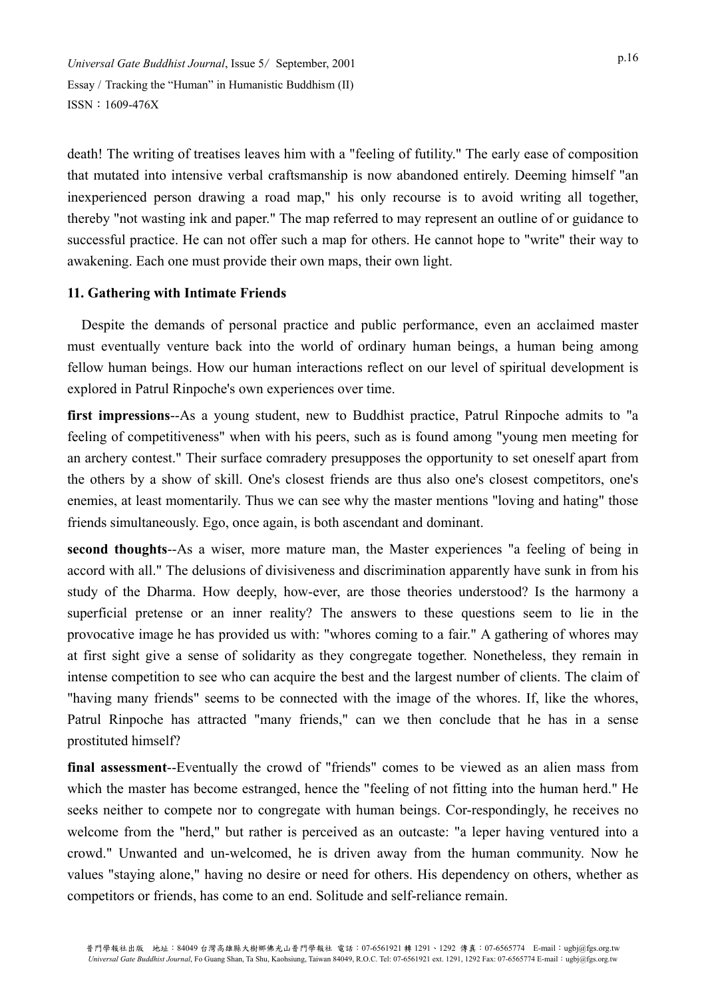death! The writing of treatises leaves him with a "feeling of futility." The early ease of composition that mutated into intensive verbal craftsmanship is now abandoned entirely. Deeming himself "an inexperienced person drawing a road map," his only recourse is to avoid writing all together, thereby "not wasting ink and paper." The map referred to may represent an outline of or guidance to successful practice. He can not offer such a map for others. He cannot hope to "write" their way to awakening. Each one must provide their own maps, their own light.

# **11. Gathering with Intimate Friends**

Despite the demands of personal practice and public performance, even an acclaimed master must eventually venture back into the world of ordinary human beings, a human being among fellow human beings. How our human interactions reflect on our level of spiritual development is explored in Patrul Rinpoche's own experiences over time.

**first impressions**--As a young student, new to Buddhist practice, Patrul Rinpoche admits to "a feeling of competitiveness" when with his peers, such as is found among "young men meeting for an archery contest." Their surface comradery presupposes the opportunity to set oneself apart from the others by a show of skill. One's closest friends are thus also one's closest competitors, one's enemies, at least momentarily. Thus we can see why the master mentions "loving and hating" those friends simultaneously. Ego, once again, is both ascendant and dominant.

**second thoughts**--As a wiser, more mature man, the Master experiences "a feeling of being in accord with all." The delusions of divisiveness and discrimination apparently have sunk in from his study of the Dharma. How deeply, how-ever, are those theories understood? Is the harmony a superficial pretense or an inner reality? The answers to these questions seem to lie in the provocative image he has provided us with: "whores coming to a fair." A gathering of whores may at first sight give a sense of solidarity as they congregate together. Nonetheless, they remain in intense competition to see who can acquire the best and the largest number of clients. The claim of "having many friends" seems to be connected with the image of the whores. If, like the whores, Patrul Rinpoche has attracted "many friends," can we then conclude that he has in a sense prostituted himself?

**final assessment**--Eventually the crowd of "friends" comes to be viewed as an alien mass from which the master has become estranged, hence the "feeling of not fitting into the human herd." He seeks neither to compete nor to congregate with human beings. Cor-respondingly, he receives no welcome from the "herd," but rather is perceived as an outcaste: "a leper having ventured into a crowd." Unwanted and un-welcomed, he is driven away from the human community. Now he values "staying alone," having no desire or need for others. His dependency on others, whether as competitors or friends, has come to an end. Solitude and self-reliance remain.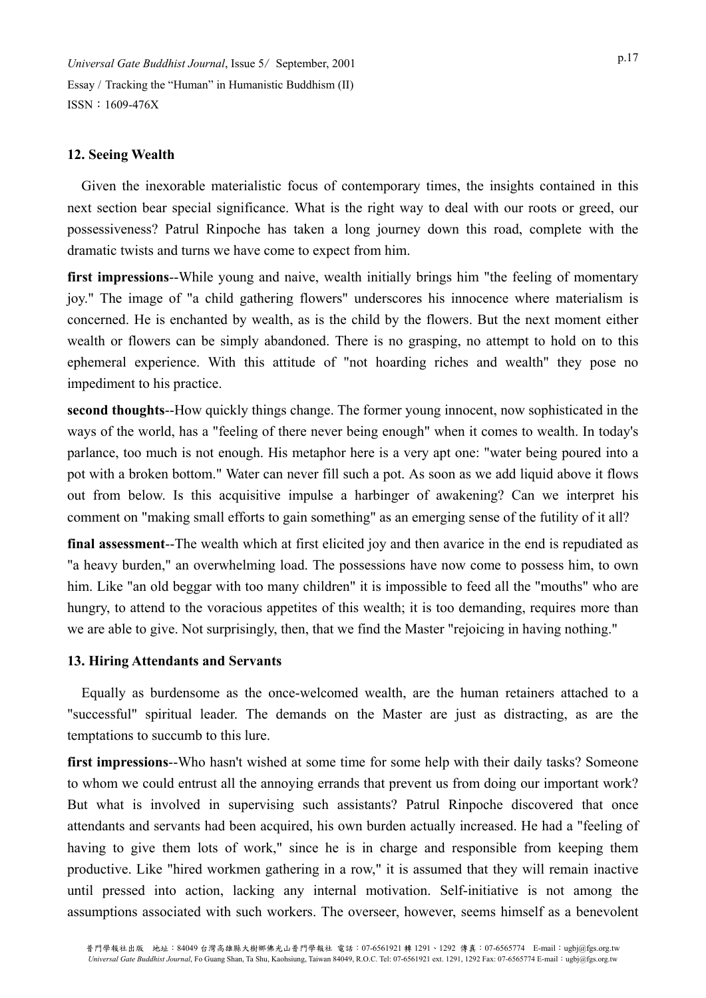## **12. Seeing Wealth**

Given the inexorable materialistic focus of contemporary times, the insights contained in this next section bear special significance. What is the right way to deal with our roots or greed, our possessiveness? Patrul Rinpoche has taken a long journey down this road, complete with the dramatic twists and turns we have come to expect from him.

**first impressions**--While young and naive, wealth initially brings him "the feeling of momentary joy." The image of "a child gathering flowers" underscores his innocence where materialism is concerned. He is enchanted by wealth, as is the child by the flowers. But the next moment either wealth or flowers can be simply abandoned. There is no grasping, no attempt to hold on to this ephemeral experience. With this attitude of "not hoarding riches and wealth" they pose no impediment to his practice.

**second thoughts**--How quickly things change. The former young innocent, now sophisticated in the ways of the world, has a "feeling of there never being enough" when it comes to wealth. In today's parlance, too much is not enough. His metaphor here is a very apt one: "water being poured into a pot with a broken bottom." Water can never fill such a pot. As soon as we add liquid above it flows out from below. Is this acquisitive impulse a harbinger of awakening? Can we interpret his comment on "making small efforts to gain something" as an emerging sense of the futility of it all?

**final assessment**--The wealth which at first elicited joy and then avarice in the end is repudiated as "a heavy burden," an overwhelming load. The possessions have now come to possess him, to own him. Like "an old beggar with too many children" it is impossible to feed all the "mouths" who are hungry, to attend to the voracious appetites of this wealth; it is too demanding, requires more than we are able to give. Not surprisingly, then, that we find the Master "rejoicing in having nothing."

#### **13. Hiring Attendants and Servants**

Equally as burdensome as the once-welcomed wealth, are the human retainers attached to a "successful" spiritual leader. The demands on the Master are just as distracting, as are the temptations to succumb to this lure.

**first impressions**--Who hasn't wished at some time for some help with their daily tasks? Someone to whom we could entrust all the annoying errands that prevent us from doing our important work? But what is involved in supervising such assistants? Patrul Rinpoche discovered that once attendants and servants had been acquired, his own burden actually increased. He had a "feeling of having to give them lots of work," since he is in charge and responsible from keeping them productive. Like "hired workmen gathering in a row," it is assumed that they will remain inactive until pressed into action, lacking any internal motivation. Self-initiative is not among the assumptions associated with such workers. The overseer, however, seems himself as a benevolent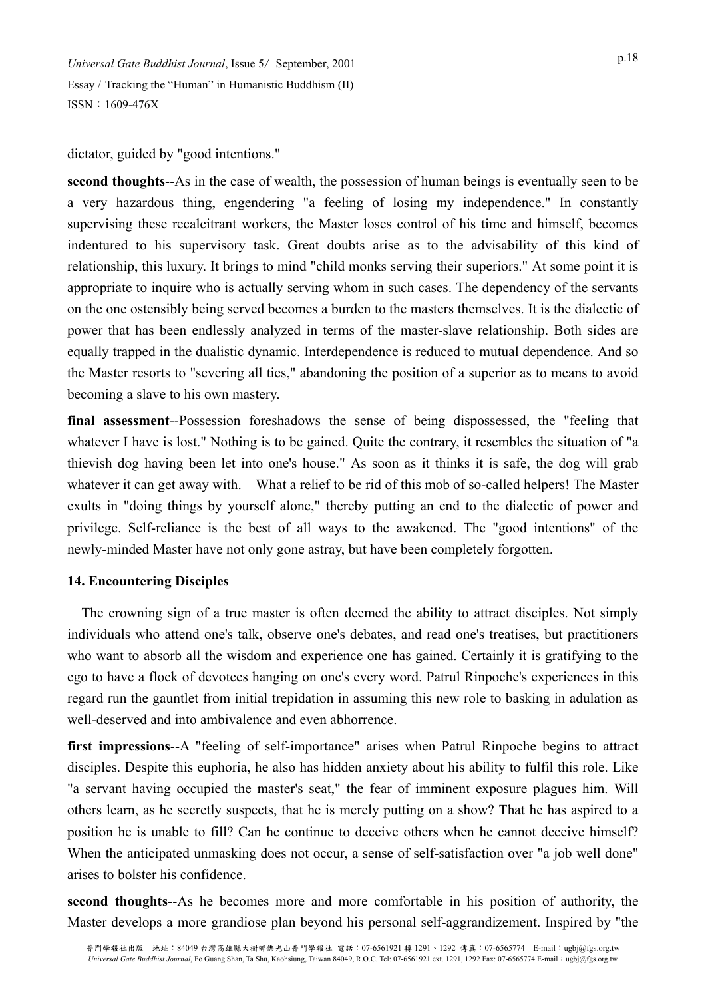dictator, guided by "good intentions."

**second thoughts**--As in the case of wealth, the possession of human beings is eventually seen to be a very hazardous thing, engendering "a feeling of losing my independence." In constantly supervising these recalcitrant workers, the Master loses control of his time and himself, becomes indentured to his supervisory task. Great doubts arise as to the advisability of this kind of relationship, this luxury. It brings to mind "child monks serving their superiors." At some point it is appropriate to inquire who is actually serving whom in such cases. The dependency of the servants on the one ostensibly being served becomes a burden to the masters themselves. It is the dialectic of power that has been endlessly analyzed in terms of the master-slave relationship. Both sides are equally trapped in the dualistic dynamic. Interdependence is reduced to mutual dependence. And so the Master resorts to "severing all ties," abandoning the position of a superior as to means to avoid becoming a slave to his own mastery.

**final assessment**--Possession foreshadows the sense of being dispossessed, the "feeling that whatever I have is lost." Nothing is to be gained. Quite the contrary, it resembles the situation of "a thievish dog having been let into one's house." As soon as it thinks it is safe, the dog will grab whatever it can get away with. What a relief to be rid of this mob of so-called helpers! The Master exults in "doing things by yourself alone," thereby putting an end to the dialectic of power and privilege. Self-reliance is the best of all ways to the awakened. The "good intentions" of the newly-minded Master have not only gone astray, but have been completely forgotten.

# **14. Encountering Disciples**

The crowning sign of a true master is often deemed the ability to attract disciples. Not simply individuals who attend one's talk, observe one's debates, and read one's treatises, but practitioners who want to absorb all the wisdom and experience one has gained. Certainly it is gratifying to the ego to have a flock of devotees hanging on one's every word. Patrul Rinpoche's experiences in this regard run the gauntlet from initial trepidation in assuming this new role to basking in adulation as well-deserved and into ambivalence and even abhorrence.

**first impressions**--A "feeling of self-importance" arises when Patrul Rinpoche begins to attract disciples. Despite this euphoria, he also has hidden anxiety about his ability to fulfil this role. Like "a servant having occupied the master's seat," the fear of imminent exposure plagues him. Will others learn, as he secretly suspects, that he is merely putting on a show? That he has aspired to a position he is unable to fill? Can he continue to deceive others when he cannot deceive himself? When the anticipated unmasking does not occur, a sense of self-satisfaction over "a job well done" arises to bolster his confidence.

**second thoughts**--As he becomes more and more comfortable in his position of authority, the Master develops a more grandiose plan beyond his personal self-aggrandizement. Inspired by "the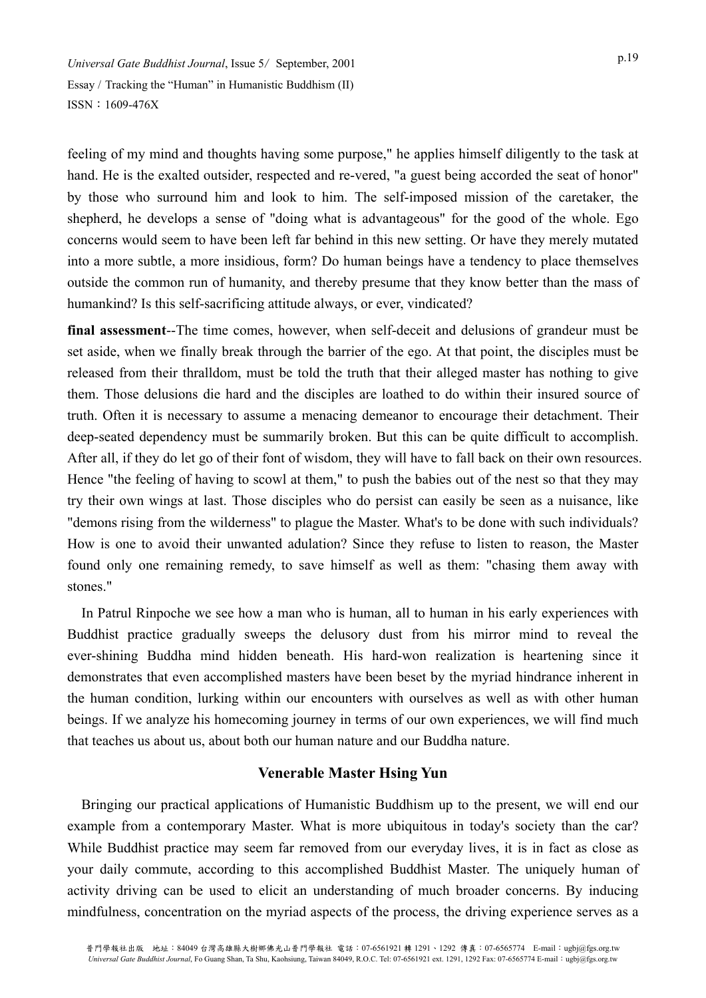feeling of my mind and thoughts having some purpose," he applies himself diligently to the task at hand. He is the exalted outsider, respected and re-vered, "a guest being accorded the seat of honor" by those who surround him and look to him. The self-imposed mission of the caretaker, the shepherd, he develops a sense of "doing what is advantageous" for the good of the whole. Ego concerns would seem to have been left far behind in this new setting. Or have they merely mutated into a more subtle, a more insidious, form? Do human beings have a tendency to place themselves outside the common run of humanity, and thereby presume that they know better than the mass of humankind? Is this self-sacrificing attitude always, or ever, vindicated?

**final assessment**--The time comes, however, when self-deceit and delusions of grandeur must be set aside, when we finally break through the barrier of the ego. At that point, the disciples must be released from their thralldom, must be told the truth that their alleged master has nothing to give them. Those delusions die hard and the disciples are loathed to do within their insured source of truth. Often it is necessary to assume a menacing demeanor to encourage their detachment. Their deep-seated dependency must be summarily broken. But this can be quite difficult to accomplish. After all, if they do let go of their font of wisdom, they will have to fall back on their own resources. Hence "the feeling of having to scowl at them," to push the babies out of the nest so that they may try their own wings at last. Those disciples who do persist can easily be seen as a nuisance, like "demons rising from the wilderness" to plague the Master. What's to be done with such individuals? How is one to avoid their unwanted adulation? Since they refuse to listen to reason, the Master found only one remaining remedy, to save himself as well as them: "chasing them away with stones."

In Patrul Rinpoche we see how a man who is human, all to human in his early experiences with Buddhist practice gradually sweeps the delusory dust from his mirror mind to reveal the ever-shining Buddha mind hidden beneath. His hard-won realization is heartening since it demonstrates that even accomplished masters have been beset by the myriad hindrance inherent in the human condition, lurking within our encounters with ourselves as well as with other human beings. If we analyze his homecoming journey in terms of our own experiences, we will find much that teaches us about us, about both our human nature and our Buddha nature.

# **Venerable Master Hsing Yun**

Bringing our practical applications of Humanistic Buddhism up to the present, we will end our example from a contemporary Master. What is more ubiquitous in today's society than the car? While Buddhist practice may seem far removed from our everyday lives, it is in fact as close as your daily commute, according to this accomplished Buddhist Master. The uniquely human of activity driving can be used to elicit an understanding of much broader concerns. By inducing mindfulness, concentration on the myriad aspects of the process, the driving experience serves as a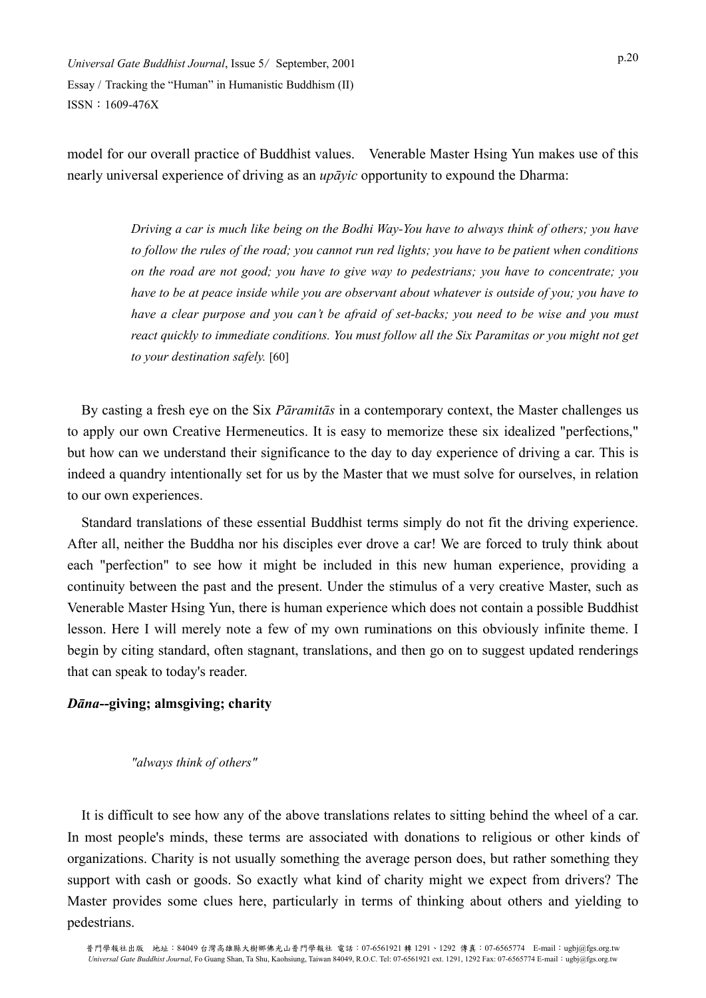model for our overall practice of Buddhist values. Venerable Master Hsing Yun makes use of this nearly universal experience of driving as an *upāyic* opportunity to expound the Dharma:

> *Driving a car is much like being on the Bodhi Way-You have to always think of others; you have to follow the rules of the road; you cannot run red lights; you have to be patient when conditions on the road are not good; you have to give way to pedestrians; you have to concentrate; you have to be at peace inside while you are observant about whatever is outside of you; you have to have a clear purpose and you can't be afraid of set-backs; you need to be wise and you must react quickly to immediate conditions. You must follow all the Six Paramitas or you might not get to your destination safely.* [60]

By casting a fresh eye on the Six *Pāramitās* in a contemporary context, the Master challenges us to apply our own Creative Hermeneutics. It is easy to memorize these six idealized "perfections," but how can we understand their significance to the day to day experience of driving a car. This is indeed a quandry intentionally set for us by the Master that we must solve for ourselves, in relation to our own experiences.

Standard translations of these essential Buddhist terms simply do not fit the driving experience. After all, neither the Buddha nor his disciples ever drove a car! We are forced to truly think about each "perfection" to see how it might be included in this new human experience, providing a continuity between the past and the present. Under the stimulus of a very creative Master, such as Venerable Master Hsing Yun, there is human experience which does not contain a possible Buddhist lesson. Here I will merely note a few of my own ruminations on this obviously infinite theme. I begin by citing standard, often stagnant, translations, and then go on to suggest updated renderings that can speak to today's reader.

#### *Dāna***--giving; almsgiving; charity**

#### *"always think of others"*

It is difficult to see how any of the above translations relates to sitting behind the wheel of a car. In most people's minds, these terms are associated with donations to religious or other kinds of organizations. Charity is not usually something the average person does, but rather something they support with cash or goods. So exactly what kind of charity might we expect from drivers? The Master provides some clues here, particularly in terms of thinking about others and yielding to pedestrians.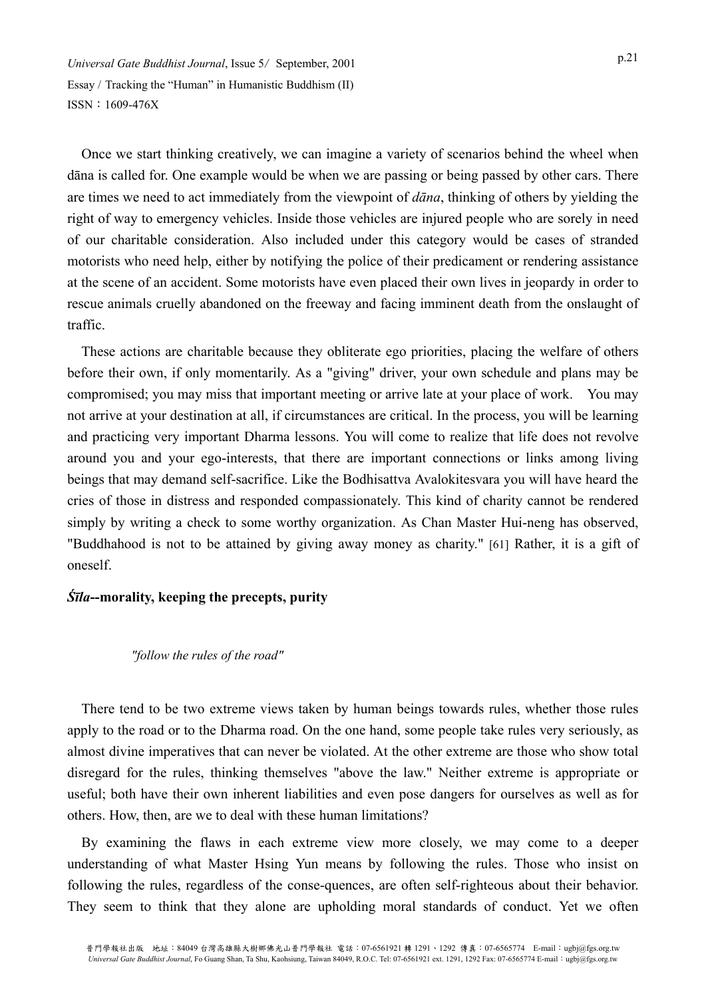Once we start thinking creatively, we can imagine a variety of scenarios behind the wheel when dāna is called for. One example would be when we are passing or being passed by other cars. There are times we need to act immediately from the viewpoint of *dāna*, thinking of others by yielding the right of way to emergency vehicles. Inside those vehicles are injured people who are sorely in need of our charitable consideration. Also included under this category would be cases of stranded motorists who need help, either by notifying the police of their predicament or rendering assistance at the scene of an accident. Some motorists have even placed their own lives in jeopardy in order to rescue animals cruelly abandoned on the freeway and facing imminent death from the onslaught of traffic.

These actions are charitable because they obliterate ego priorities, placing the welfare of others before their own, if only momentarily. As a "giving" driver, your own schedule and plans may be compromised; you may miss that important meeting or arrive late at your place of work. You may not arrive at your destination at all, if circumstances are critical. In the process, you will be learning and practicing very important Dharma lessons. You will come to realize that life does not revolve around you and your ego-interests, that there are important connections or links among living beings that may demand self-sacrifice. Like the Bodhisattva Avalokitesvara you will have heard the cries of those in distress and responded compassionately. This kind of charity cannot be rendered simply by writing a check to some worthy organization. As Chan Master Hui-neng has observed, "Buddhahood is not to be attained by giving away money as charity." [61] Rather, it is a gift of oneself.

# *Śīla***--morality, keeping the precepts, purity**

# *"follow the rules of the road"*

There tend to be two extreme views taken by human beings towards rules, whether those rules apply to the road or to the Dharma road. On the one hand, some people take rules very seriously, as almost divine imperatives that can never be violated. At the other extreme are those who show total disregard for the rules, thinking themselves "above the law." Neither extreme is appropriate or useful; both have their own inherent liabilities and even pose dangers for ourselves as well as for others. How, then, are we to deal with these human limitations?

By examining the flaws in each extreme view more closely, we may come to a deeper understanding of what Master Hsing Yun means by following the rules. Those who insist on following the rules, regardless of the conse-quences, are often self-righteous about their behavior. They seem to think that they alone are upholding moral standards of conduct. Yet we often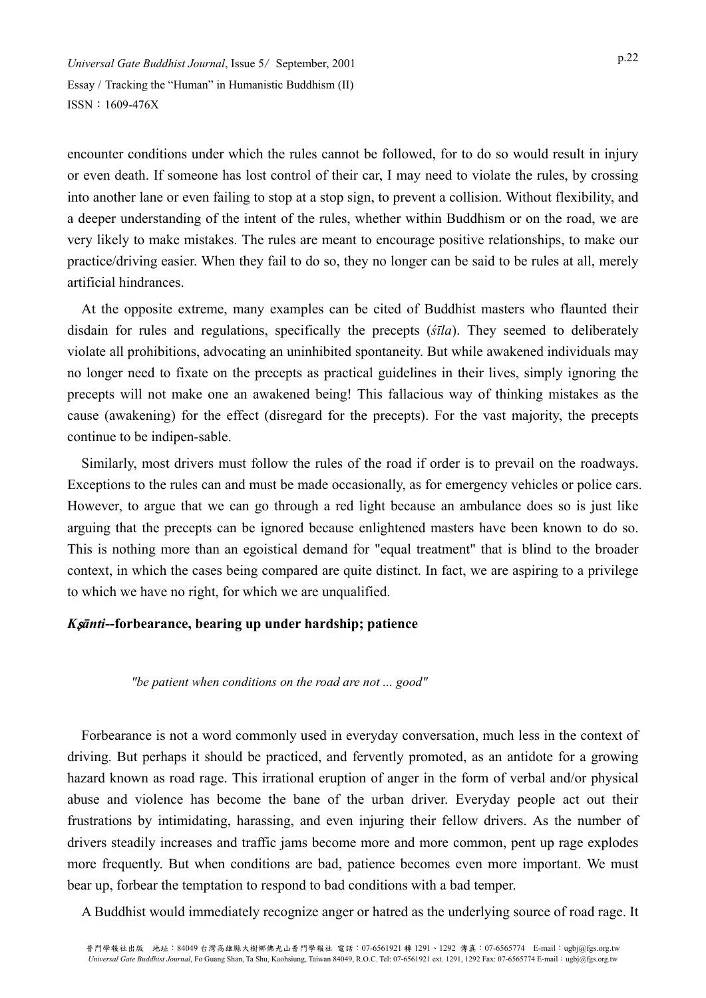encounter conditions under which the rules cannot be followed, for to do so would result in injury or even death. If someone has lost control of their car, I may need to violate the rules, by crossing into another lane or even failing to stop at a stop sign, to prevent a collision. Without flexibility, and a deeper understanding of the intent of the rules, whether within Buddhism or on the road, we are very likely to make mistakes. The rules are meant to encourage positive relationships, to make our practice/driving easier. When they fail to do so, they no longer can be said to be rules at all, merely artificial hindrances.

At the opposite extreme, many examples can be cited of Buddhist masters who flaunted their disdain for rules and regulations, specifically the precepts (*śīla*). They seemed to deliberately violate all prohibitions, advocating an uninhibited spontaneity. But while awakened individuals may no longer need to fixate on the precepts as practical guidelines in their lives, simply ignoring the precepts will not make one an awakened being! This fallacious way of thinking mistakes as the cause (awakening) for the effect (disregard for the precepts). For the vast majority, the precepts continue to be indipen-sable.

Similarly, most drivers must follow the rules of the road if order is to prevail on the roadways. Exceptions to the rules can and must be made occasionally, as for emergency vehicles or police cars. However, to argue that we can go through a red light because an ambulance does so is just like arguing that the precepts can be ignored because enlightened masters have been known to do so. This is nothing more than an egoistical demand for "equal treatment" that is blind to the broader context, in which the cases being compared are quite distinct. In fact, we are aspiring to a privilege to which we have no right, for which we are unqualified.

# *K*s*ānti***--forbearance, bearing up under hardship; patience**

#### *"be patient when conditions on the road are not ... good"*

Forbearance is not a word commonly used in everyday conversation, much less in the context of driving. But perhaps it should be practiced, and fervently promoted, as an antidote for a growing hazard known as road rage. This irrational eruption of anger in the form of verbal and/or physical abuse and violence has become the bane of the urban driver. Everyday people act out their frustrations by intimidating, harassing, and even injuring their fellow drivers. As the number of drivers steadily increases and traffic jams become more and more common, pent up rage explodes more frequently. But when conditions are bad, patience becomes even more important. We must bear up, forbear the temptation to respond to bad conditions with a bad temper.

A Buddhist would immediately recognize anger or hatred as the underlying source of road rage. It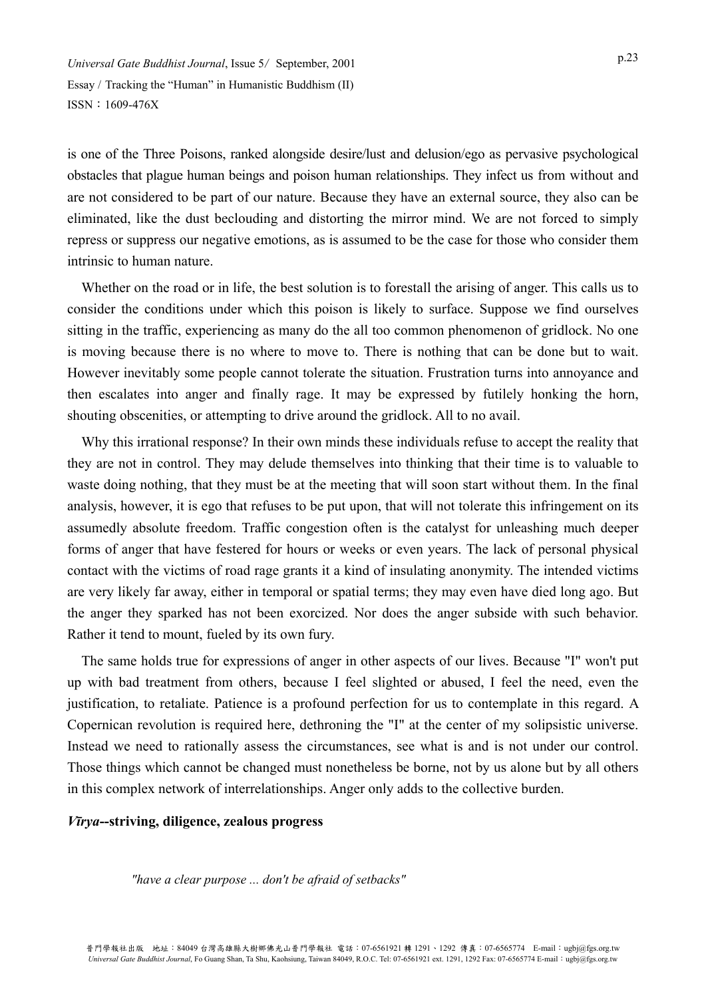is one of the Three Poisons, ranked alongside desire/lust and delusion/ego as pervasive psychological obstacles that plague human beings and poison human relationships. They infect us from without and are not considered to be part of our nature. Because they have an external source, they also can be eliminated, like the dust beclouding and distorting the mirror mind. We are not forced to simply repress or suppress our negative emotions, as is assumed to be the case for those who consider them intrinsic to human nature.

Whether on the road or in life, the best solution is to forestall the arising of anger. This calls us to consider the conditions under which this poison is likely to surface. Suppose we find ourselves sitting in the traffic, experiencing as many do the all too common phenomenon of gridlock. No one is moving because there is no where to move to. There is nothing that can be done but to wait. However inevitably some people cannot tolerate the situation. Frustration turns into annoyance and then escalates into anger and finally rage. It may be expressed by futilely honking the horn, shouting obscenities, or attempting to drive around the gridlock. All to no avail.

Why this irrational response? In their own minds these individuals refuse to accept the reality that they are not in control. They may delude themselves into thinking that their time is to valuable to waste doing nothing, that they must be at the meeting that will soon start without them. In the final analysis, however, it is ego that refuses to be put upon, that will not tolerate this infringement on its assumedly absolute freedom. Traffic congestion often is the catalyst for unleashing much deeper forms of anger that have festered for hours or weeks or even years. The lack of personal physical contact with the victims of road rage grants it a kind of insulating anonymity. The intended victims are very likely far away, either in temporal or spatial terms; they may even have died long ago. But the anger they sparked has not been exorcized. Nor does the anger subside with such behavior. Rather it tend to mount, fueled by its own fury.

The same holds true for expressions of anger in other aspects of our lives. Because "I" won't put up with bad treatment from others, because I feel slighted or abused, I feel the need, even the justification, to retaliate. Patience is a profound perfection for us to contemplate in this regard. A Copernican revolution is required here, dethroning the "I" at the center of my solipsistic universe. Instead we need to rationally assess the circumstances, see what is and is not under our control. Those things which cannot be changed must nonetheless be borne, not by us alone but by all others in this complex network of interrelationships. Anger only adds to the collective burden.

#### *Vīrya***--striving, diligence, zealous progress**

*"have a clear purpose ... don't be afraid of setbacks"*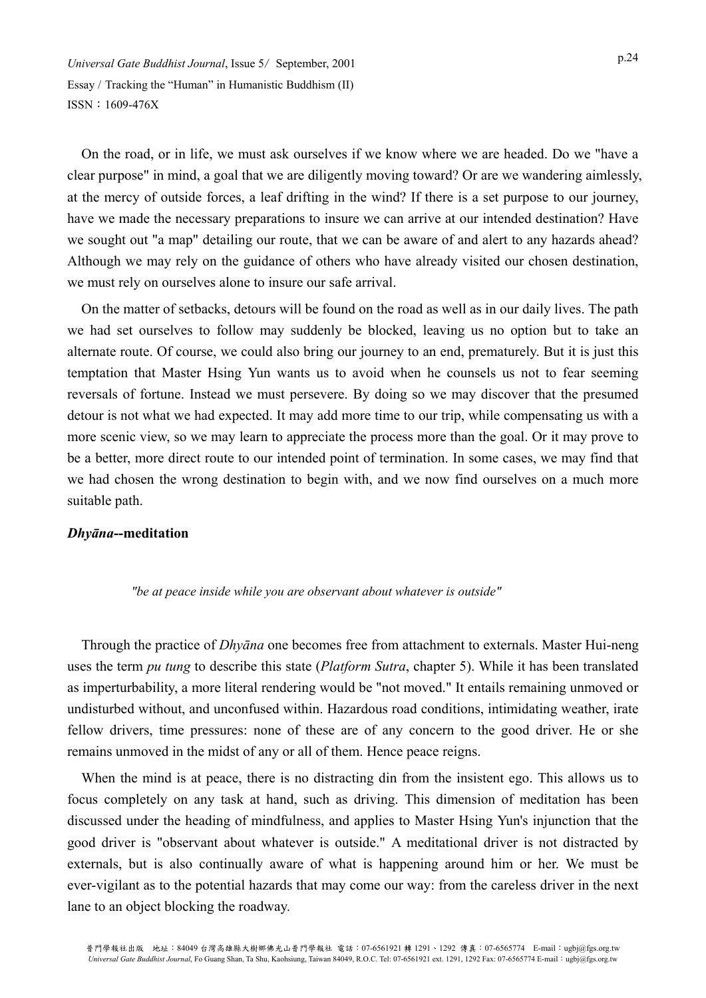On the road, or in life, we must ask ourselves if we know where we are headed. Do we "have a clear purpose" in mind, a goal that we are diligently moving toward? Or are we wandering aimlessly, at the mercy of outside forces, a leaf drifting in the wind? If there is a set purpose to our journey, have we made the necessary preparations to insure we can arrive at our intended destination? Have we sought out "a map" detailing our route, that we can be aware of and alert to any hazards ahead? Although we may rely on the guidance of others who have already visited our chosen destination, we must rely on ourselves alone to insure our safe arrival.

On the matter of setbacks, detours will be found on the road as well as in our daily lives. The path we had set ourselves to follow may suddenly be blocked, leaving us no option but to take an alternate route. Of course, we could also bring our journey to an end, prematurely. But it is just this temptation that Master Hsing Yun wants us to avoid when he counsels us not to fear seeming reversals of fortune. Instead we must persevere. By doing so we may discover that the presumed detour is not what we had expected. It may add more time to our trip, while compensating us with a more scenic view, so we may learn to appreciate the process more than the goal. Or it may prove to be a better, more direct route to our intended point of termination. In some cases, we may find that we had chosen the wrong destination to begin with, and we now find ourselves on a much more suitable path.

## *Dhyāna***--meditation**

#### *"be at peace inside while you are observant about whatever is outside"*

Through the practice of *Dhyāna* one becomes free from attachment to externals. Master Hui-neng uses the term *pu tung* to describe this state (*Platform Sutra*, chapter 5). While it has been translated as imperturbability, a more literal rendering would be "not moved." It entails remaining unmoved or undisturbed without, and unconfused within. Hazardous road conditions, intimidating weather, irate fellow drivers, time pressures: none of these are of any concern to the good driver. He or she remains unmoved in the midst of any or all of them. Hence peace reigns.

When the mind is at peace, there is no distracting din from the insistent ego. This allows us to focus completely on any task at hand, such as driving. This dimension of meditation has been discussed under the heading of mindfulness, and applies to Master Hsing Yun's injunction that the good driver is "observant about whatever is outside." A meditational driver is not distracted by externals, but is also continually aware of what is happening around him or her. We must be ever-vigilant as to the potential hazards that may come our way: from the careless driver in the next lane to an object blocking the roadway.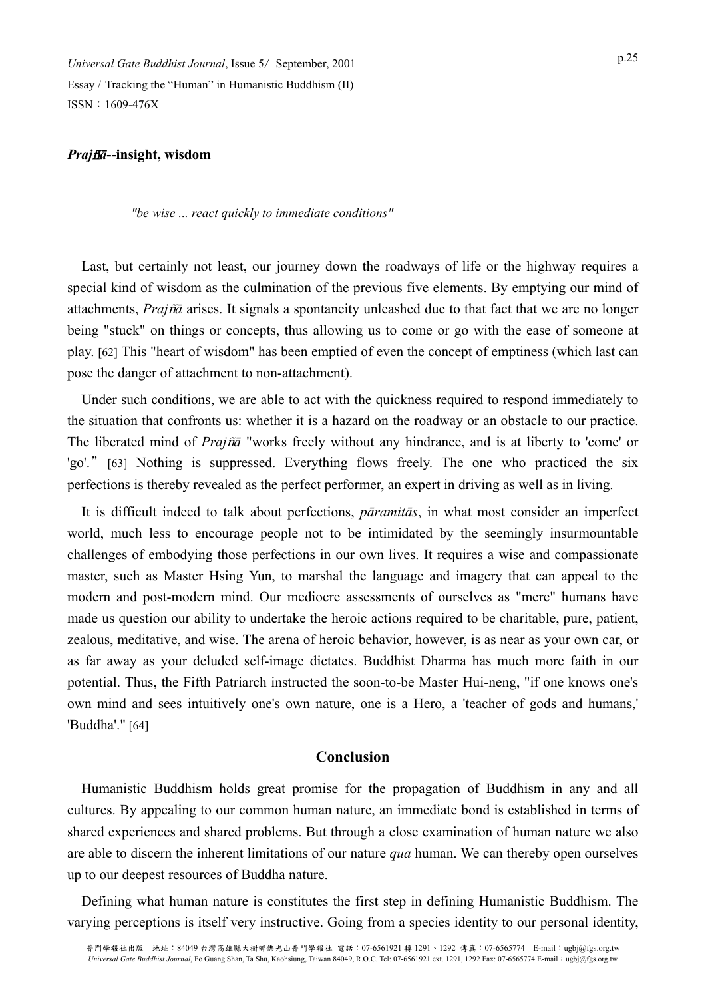#### *Praj*b*ā***--insight, wisdom**

*"be wise ... react quickly to immediate conditions"* 

Last, but certainly not least, our journey down the roadways of life or the highway requires a special kind of wisdom as the culmination of the previous five elements. By emptying our mind of attachments, *Praj*b*ā* arises. It signals a spontaneity unleashed due to that fact that we are no longer being "stuck" on things or concepts, thus allowing us to come or go with the ease of someone at play. [62] This "heart of wisdom" has been emptied of even the concept of emptiness (which last can pose the danger of attachment to non-attachment).

Under such conditions, we are able to act with the quickness required to respond immediately to the situation that confronts us: whether it is a hazard on the roadway or an obstacle to our practice. The liberated mind of *Prajña* "works freely without any hindrance, and is at liberty to 'come' or 'go'." [63] Nothing is suppressed. Everything flows freely. The one who practiced the six perfections is thereby revealed as the perfect performer, an expert in driving as well as in living.

It is difficult indeed to talk about perfections, *pāramitās*, in what most consider an imperfect world, much less to encourage people not to be intimidated by the seemingly insurmountable challenges of embodying those perfections in our own lives. It requires a wise and compassionate master, such as Master Hsing Yun, to marshal the language and imagery that can appeal to the modern and post-modern mind. Our mediocre assessments of ourselves as "mere" humans have made us question our ability to undertake the heroic actions required to be charitable, pure, patient, zealous, meditative, and wise. The arena of heroic behavior, however, is as near as your own car, or as far away as your deluded self-image dictates. Buddhist Dharma has much more faith in our potential. Thus, the Fifth Patriarch instructed the soon-to-be Master Hui-neng, "if one knows one's own mind and sees intuitively one's own nature, one is a Hero, a 'teacher of gods and humans,' 'Buddha'." [64]

# **Conclusion**

Humanistic Buddhism holds great promise for the propagation of Buddhism in any and all cultures. By appealing to our common human nature, an immediate bond is established in terms of shared experiences and shared problems. But through a close examination of human nature we also are able to discern the inherent limitations of our nature *qua* human. We can thereby open ourselves up to our deepest resources of Buddha nature.

Defining what human nature is constitutes the first step in defining Humanistic Buddhism. The varying perceptions is itself very instructive. Going from a species identity to our personal identity,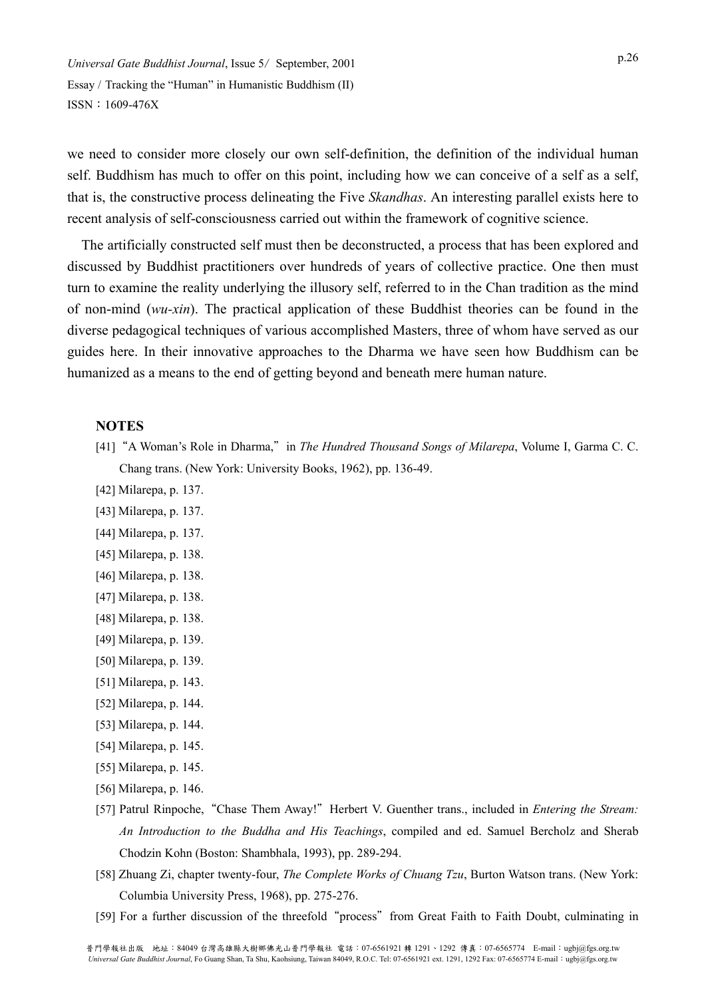we need to consider more closely our own self-definition, the definition of the individual human self. Buddhism has much to offer on this point, including how we can conceive of a self as a self, that is, the constructive process delineating the Five *Skandhas*. An interesting parallel exists here to recent analysis of self-consciousness carried out within the framework of cognitive science.

The artificially constructed self must then be deconstructed, a process that has been explored and discussed by Buddhist practitioners over hundreds of years of collective practice. One then must turn to examine the reality underlying the illusory self, referred to in the Chan tradition as the mind of non-mind (*wu-xin*). The practical application of these Buddhist theories can be found in the diverse pedagogical techniques of various accomplished Masters, three of whom have served as our guides here. In their innovative approaches to the Dharma we have seen how Buddhism can be humanized as a means to the end of getting beyond and beneath mere human nature.

#### **NOTES**

- [41] "A Woman's Role in Dharma," in *The Hundred Thousand Songs of Milarepa*, Volume I, Garma C. C. Chang trans. (New York: University Books, 1962), pp. 136-49.
- [42] Milarepa, p. 137.
- [43] Milarepa, p. 137.
- [44] Milarepa, p. 137.
- [45] Milarepa, p. 138.
- [46] Milarepa, p. 138.
- [47] Milarepa, p. 138.
- [48] Milarepa, p. 138.
- [49] Milarepa, p. 139.
- [50] Milarepa, p. 139.
- [51] Milarepa, p. 143.
- [52] Milarepa, p. 144.
- [53] Milarepa, p. 144.
- [54] Milarepa, p. 145.
- [55] Milarepa, p. 145.
- [56] Milarepa, p. 146.
- [57] Patrul Rinpoche, "Chase Them Away!" Herbert V. Guenther trans., included in *Entering the Stream: An Introduction to the Buddha and His Teachings*, compiled and ed. Samuel Bercholz and Sherab Chodzin Kohn (Boston: Shambhala, 1993), pp. 289-294.
- [58] Zhuang Zi, chapter twenty-four, *The Complete Works of Chuang Tzu*, Burton Watson trans. (New York: Columbia University Press, 1968), pp. 275-276.
- [59] For a further discussion of the threefold "process" from Great Faith to Faith Doubt, culminating in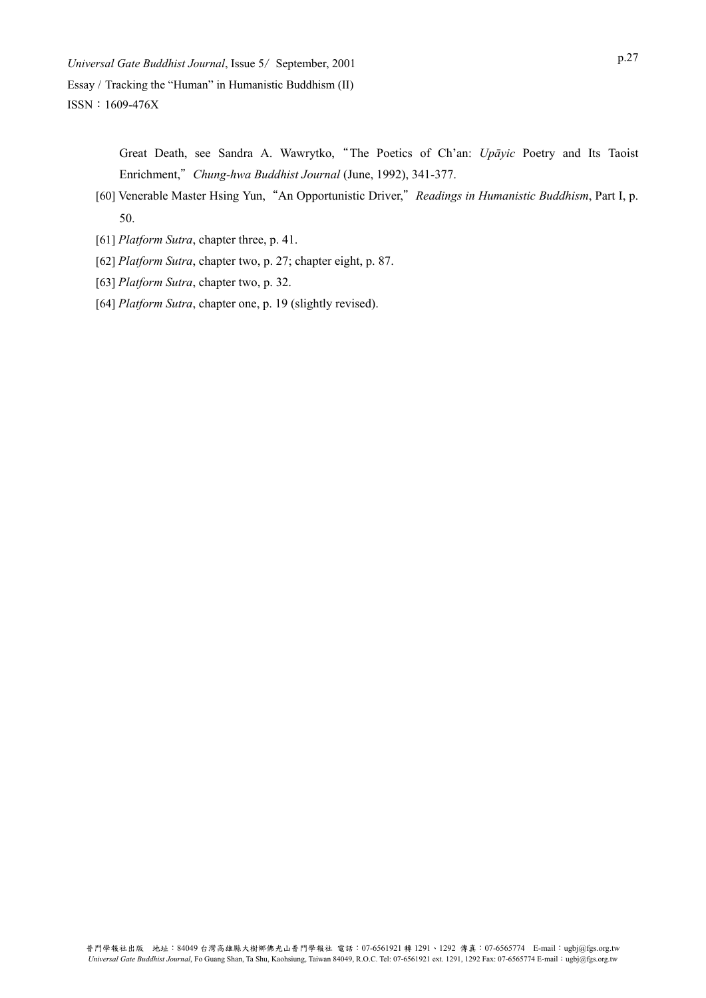> Great Death, see Sandra A. Wawrytko,"The Poetics of Ch'an: *Upāyic* Poetry and Its Taoist Enrichment,"*Chung-hwa Buddhist Journal* (June, 1992), 341-377.

- [60] Venerable Master Hsing Yun,"An Opportunistic Driver,"*Readings in Humanistic Buddhism*, Part I, p. 50.
- [61] *Platform Sutra*, chapter three, p. 41.
- [62] *Platform Sutra*, chapter two, p. 27; chapter eight, p. 87.
- [63] *Platform Sutra*, chapter two, p. 32.
- [64] *Platform Sutra*, chapter one, p. 19 (slightly revised).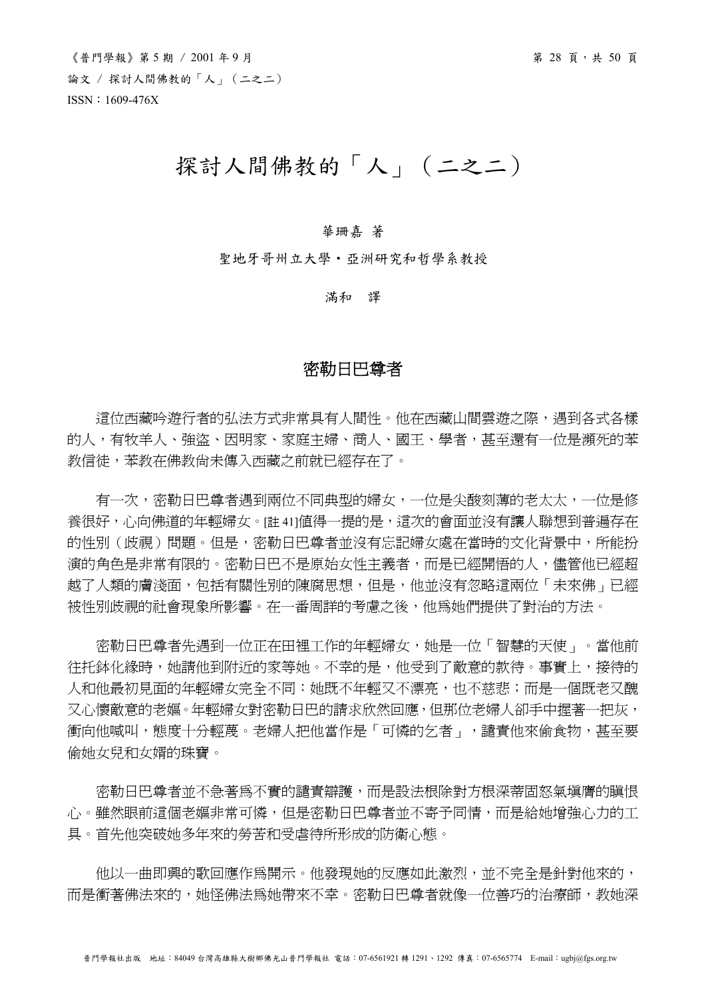# 探討人間佛教的「人」(二之二)

#### 華珊嘉 著

聖地牙哥州立大學‧亞洲研究和哲學系教授

滿和 譯

# 密勒日巴尊者

這位西藏吟遊行者的弘法方式非常具有人間性。他在西藏山間雲遊之際,遇到各式各樣 的人,有牧羊人、強盜、因明家、家庭主婦、商人、國王、學者,甚至還有一位是瀕死的苯 教信徒,苯教在佛教尚未傳入西藏之前就已經存在了。

有一次,密勒日巴尊者遇到兩位不同典型的婦女,一位是尖酸刻薄的老太太,一位是修 養很好,心向佛道的年輕婦女。[註 41]值得一提的是,這次的會面並沒有讓人聯想到普遍存在 的性別(歧視)問題。但是,密勒日巴尊者並沒有忘記婦女處在當時的文化背景中,所能扮 演的角色是非常有限的。密勒日巴不是原始女性主義者,而是已經開悟的人,儘管他已經超 越了人類的膚淺面,包括有關性別的陳腐思想,但是,他並沒有忽略這兩位「未來佛」已經 被性別歧視的社會現象所影響。在一番周詳的考慮之後,他為她們提供了對治的方法。

 密勒日巴尊者先遇到一位正在田裡工作的年輕婦女,她是一位「智慧的天使」。當他前 往托鉢化緣時,她請他到附近的家等她。不幸的是,他受到了敵意的款待。事實上,接待的 人和他最初見面的年輕婦女完全不同:她既不年輕又不漂亮,也不慈悲;而是一個既老又醜 又心懷敵意的老嫗。年輕婦女對密勒日巴的請求欣然回應,但那位老婦人卻手中握著一把灰, 衝向他喊叫,態度十分輕蔑。老婦人把他當作是「可憐的乞者」,譴責他來偷食物,甚至要 偷她女兒和女婿的珠寶。

密勒日巴尊者並不急著為不實的譴責辯護,而是設法根除對方根深蒂固怒氣填膺的瞋恨 心。雖然眼前這個老嫗非常可憐,但是密勒日巴尊者並不寄予同情,而是給她增強心力的工 具。首先他突破她多年來的勞苦和受虐待所形成的防衛心態。

 他以一曲即興的歌回應作為開示。他發現她的反應如此激烈,並不完全是針對他來的, 而是衝著佛法來的,她怪佛法為她帶來不幸。密勒日巴尊者就像一位善巧的治療師,教她深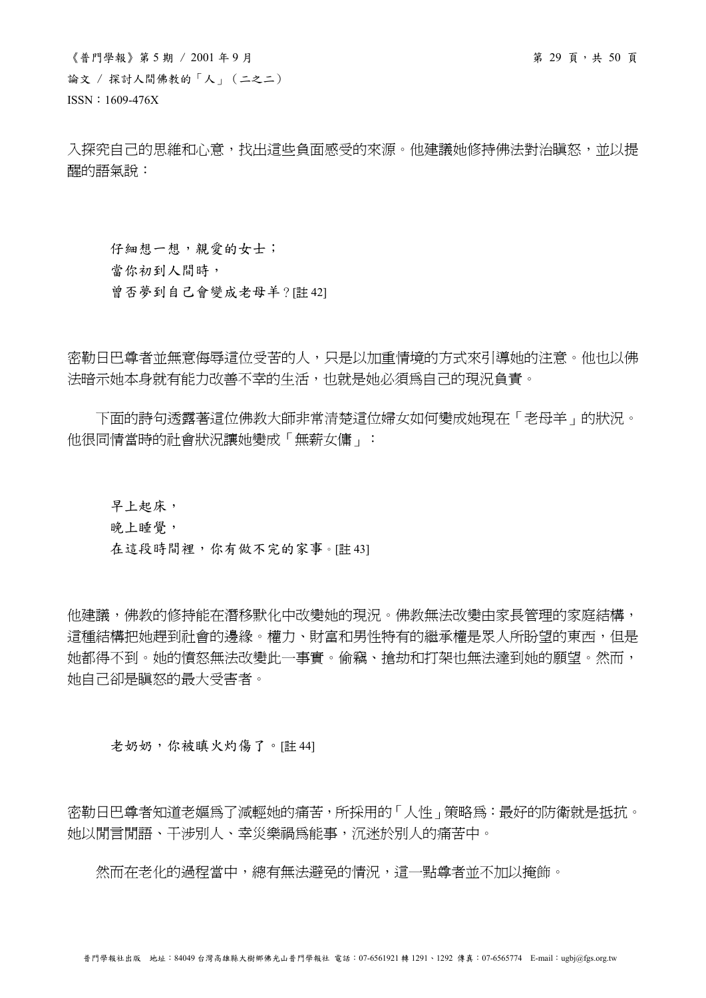$\langle$ 普門學報》第 5 期 / 2001年9月 論文 / 探討人間佛教的「人」(二之二) ISSN:1609-476X

入探究自己的思維和心意,找出這些負面感受的來源。他建議她修持佛法對治瞋怒,並以提 醒的語氣說:

仔細想一想,親愛的女士; 當你初到人間時, 曾否夢到自己會變成老母羊?[註 42]

密勒日巴尊者並無意侮辱這位受苦的人,只是以加重情境的方式來引導她的注意。他也以佛 法暗示她本身就有能力改善不幸的生活,也就是她必須為自己的現況負責。

 下面的詩句透露著這位佛教大師非常清楚這位婦女如何變成她現在「老母羊」的狀況。 他很同情當時的社會狀況讓她變成「無薪女傭」:

早上起床,

晚上睡覺,

在這段時間裡,你有做不完的家事。[註43]

他建議,佛教的修持能在潛移默化中改變她的現況。佛教無法改變由家長管理的家庭結構, 這種結構把她趕到社會的邊緣。權力、財富和男性特有的繼承權是眾人所盼望的東西,但是 她都得不到。她的憤怒無法改變此一事實。偷竊、搶劫和打架也無法達到她的願望。然而, 她自己卻是瞋怒的最大受害者。

老奶奶,你被瞋火灼傷了。[註 44]

密勒日巴尊者知道老嫗為了減輕她的痛苦,所採用的「人性」策略為:最好的防衛就是抵抗。 她以閒言閒語、干涉別人、幸災樂禍為能事,沉迷於別人的痛苦中。

然而在老化的過程當中,總有無法避免的情況,這一點尊者並不加以掩飾。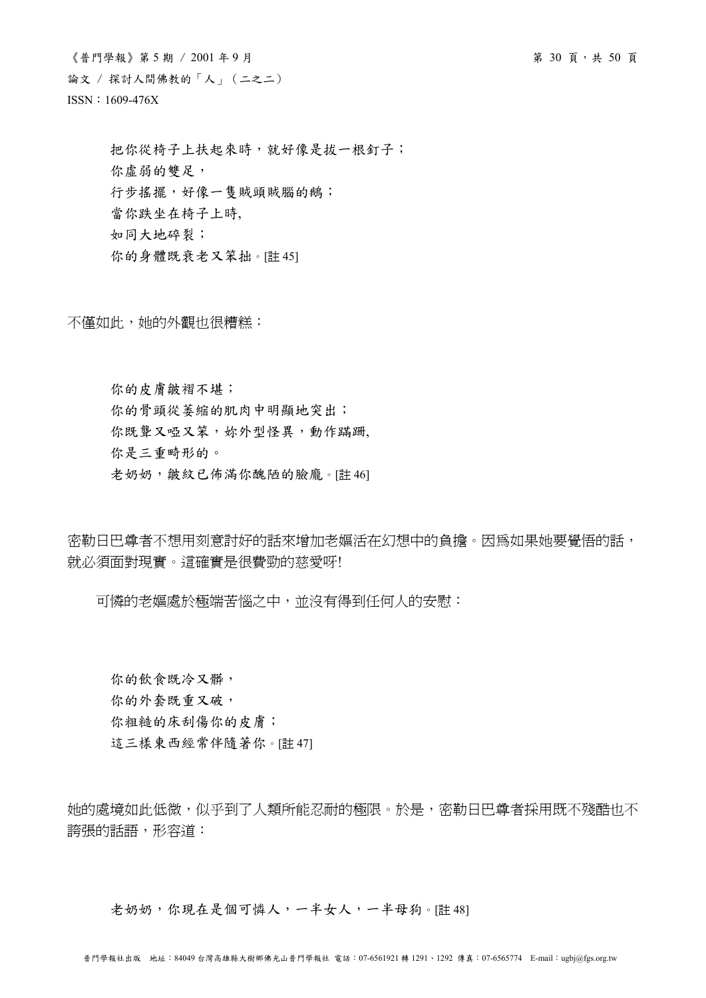$\langle$ 普門學報》第 5 期 / 2001年9月 論文 / 探討人間佛教的「人」(二之二) ISSN:1609-476X

把你從椅子上扶起來時,就好像是拔一根釘子; 你虛弱的雙足, 行步搖擺,好像一隻賊頭賊腦的鵝; 當你跌坐在椅子上時, 如同大地碎裂; 你的身體既衰老又笨拙。[註 45]

不僅如此,她的外觀也很糟糕:

你的皮膚皺褶不堪; 你的骨頭從萎縮的肌肉中明顯地突出; 你既聾又啞又笨,妳外型怪異,動作蹣跚, 你是三重畸形的。

老奶奶,皺紋已佈滿你醜陋的臉龐。[註 46]

密勒日巴尊者不想用刻意討好的話來增加老嫗活在幻想中的負擔。因為如果她要覺悟的話, 就必須面對現實。這確實是很費勁的慈愛呀!

可憐的老嫗處於極端苦惱之中,並沒有得到任何人的安慰:

你的飲食既冷又髒, 你的外套既重又破, 你粗糙的床刮傷你的皮膚; 這三樣東西經常伴隨著你。[註 47]

她的處境如此低微,似乎到了人類所能忍耐的極限。於是,密勒日巴尊者採用既不殘酷也不 誇張的話語,形容道:

老奶奶,你現在是個可憐人,一半女人,一半母狗。[註48]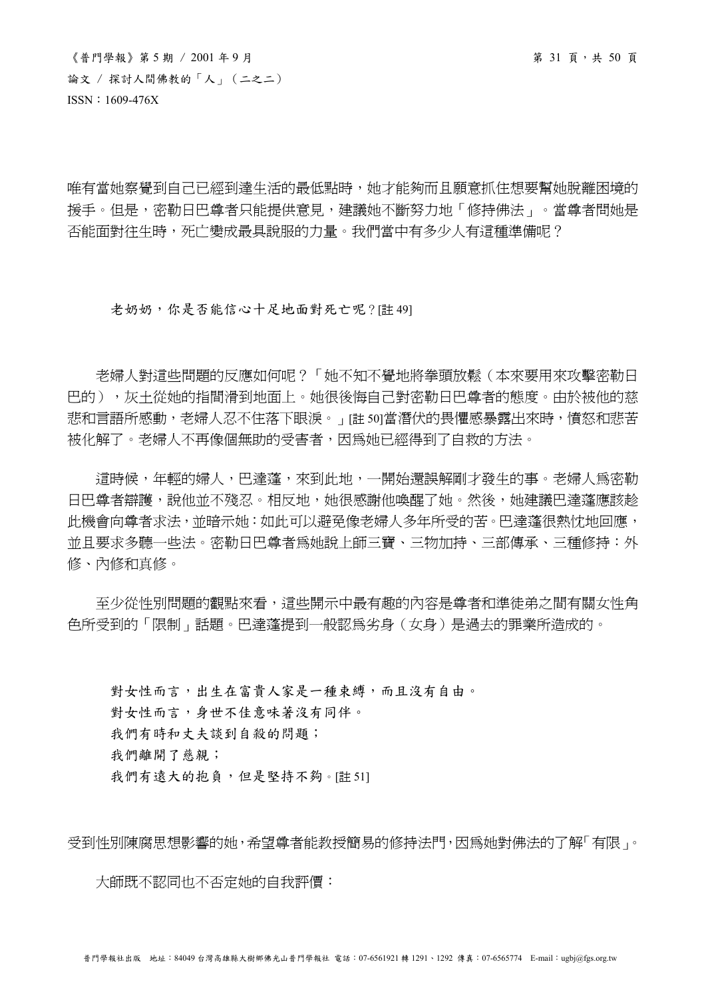唯有當她察覺到自己已經到達生活的最低點時,她才能夠而且願意抓住想要幫她脫離困境的 援手。但是,密勒日巴尊者只能提供意見,建議她不斷努力地「修持佛法」。當尊者問她是 否能面對往生時,死亡變成最具說服的力量。我們當中有多少人有這種準備呢?

#### 老奶奶,你是否能信心十足地面對死亡呢?[註 49]

 老婦人對這些問題的反應如何呢?「她不知不覺地將拳頭放鬆(本來要用來攻擊密勒日 巴的),灰土從她的指間滑到地面上。她很後悔自己對密勒日巴尊者的態度。由於被他的慈 悲和言語所感動,老婦人忍不住落下眼淚。」[註 50]當潛伏的畏懼感暴露出來時,憤怒和悲苦 被化解了。老婦人不再像個無助的受害者,因為她已經得到了自救的方法。

這時候,年輕的婦人,巴達蓬,來到此地,一開始還誤解剛才發生的事。老婦人為密勒 日巴尊者辯護,說他並不殘忍。相反地,她很感謝他喚醒了她。然後,她建議巴達蓬應該趁 此機會向尊者求法,並暗示她:如此可以避免像老婦人多年所受的苦。巴達蓬很熱忱地回應, 並且要求多聽一些法。密勒日巴尊者爲她說上師三寶、三物加持、三部傳承、三種修持:外 修、內修和真修。

至少從性別問題的觀點來看,這些開示中最有趣的內容是尊者和進徒弟之間有關女性角 色所受到的「限制」話題。巴達蓬提到一般認為劣身(女身)是過去的罪業所造成的。

對女性而言,出生在富貴人家是一種束縛,而且沒有自由。 對女性而言,身世不佳意味著沒有同伴。 我們有時和丈夫談到自殺的問題; 我們離開了慈親; 我們有遠大的抱負,但是堅持不夠。[註51]

受到性別陳腐思想影響的她,希望尊者能教授簡易的修持法門,因為她對佛法的了解「有限」。

大師既不認同也不否定她的自我評價: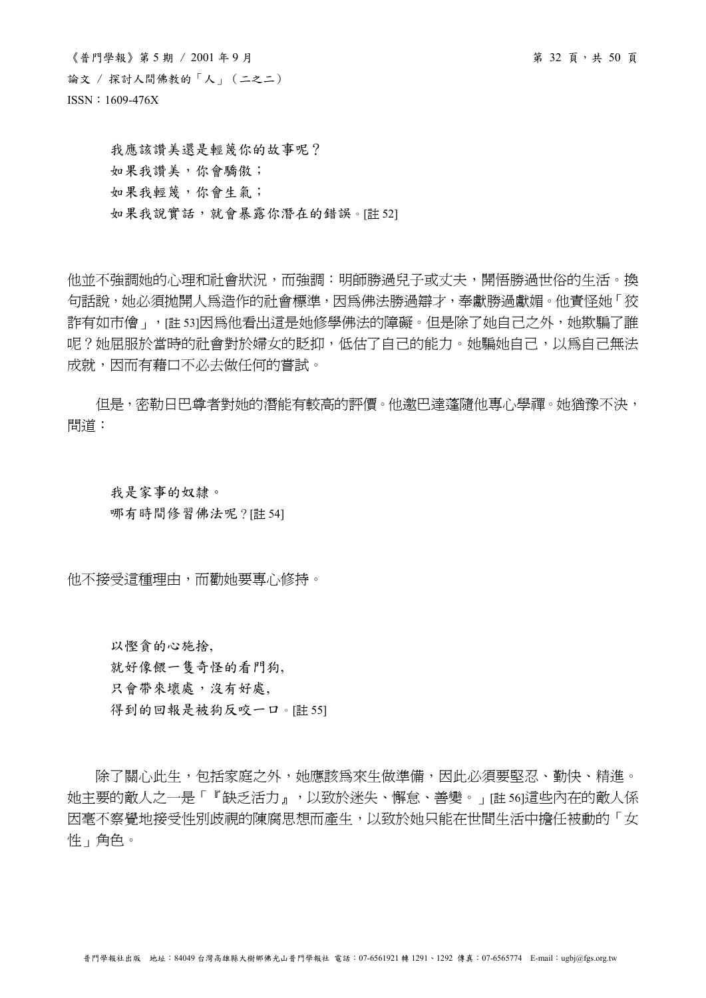$\langle$ 普門學報》第 5 期 / 2001年 9 月 第 72 頁, また50 頁 論文 / 探討人間佛教的「人」(二之二) ISSN:1609-476X

我應該讚美還是輕蔑你的故事呢? 如果我讚美,你會驕傲; 如果我輕蔑,你會生氣; 如果我說實話,就會暴露你潛在的錯誤。[註 52]

他並不強調她的心理和社會狀況,而強調:明師勝過兒子或丈夫,開悟勝過世俗的生活。換 句話說,她必須拋開人為造作的社會標準,因為佛法勝過辯才,奉獻勝過獻媚。他責怪她「狡 詐有如市儈」,「註 53]因為他看出這是她修學佛法的障礙。但是除了她自己之外,她欺騙了誰 呢?她屈服於當時的社會對於婦女的貶抑,低估了自己的能力。她騙她自己,以為自己無法 成就,因而有藉口不必去做任何的嘗試。

但是,密勒日巴尊者對她的潛能有較高的評價。他邀巴達蓬隨他專心學禪。她猶豫不決, 問道:

我是家事的奴隸。 哪有時間修習佛法呢?[註 54]

他不接受這種理由,而勸她要專心修持。

以慳貪的心施捨, 就好像餵一隻奇怪的看門狗, 只會帶來壞處,沒有好處, 得到的回報是被狗反咬一口。[註 55]

 除了關心此生,包括家庭之外,她應該為來生做準備,因此必須要堅忍、勤快、精進。 她主要的敵人之一是「『缺乏活力』,以致於迷失、懈怠、善變。」[註 56]這些內在的敵人係 因毫不察覺地接受性別歧視的陳腐思想而產生,以致於她只能在世間生活中擔任被動的「女 性」角色。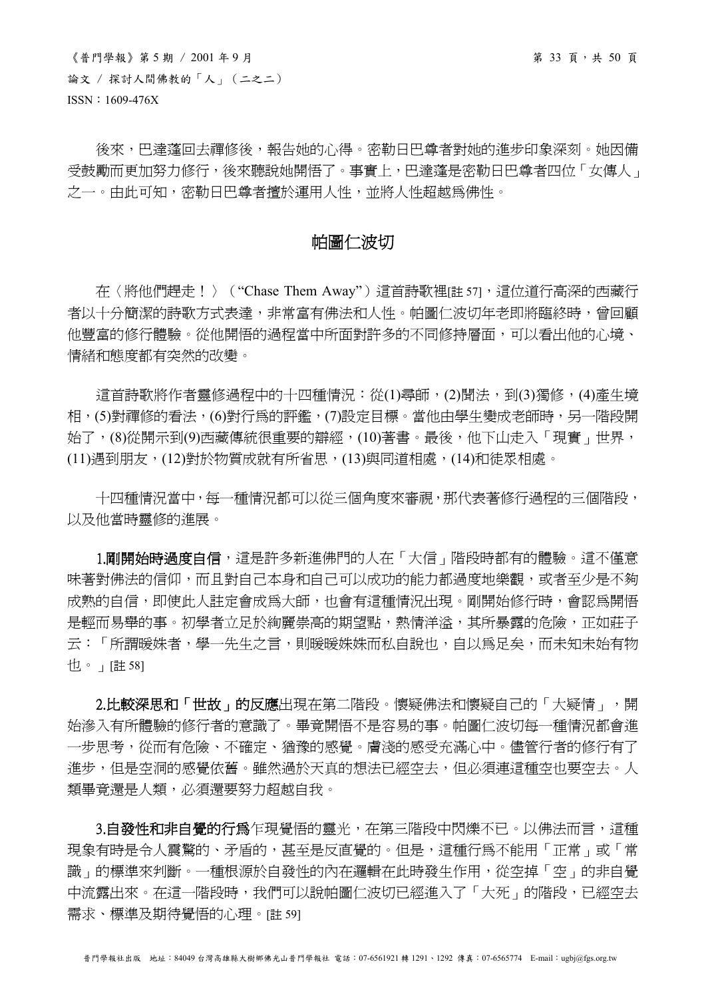$\langle$ 普門學報》第 5 期 / 2001年9月 論文 / 探討人間佛教的「人」(二之二) ISSN:1609-476X

後來,巴達蓬回去禪修後,報告她的心得。密勒日巴尊者對她的進步印象深刻。她因備 受鼓勵而更加努力修行,後來聽說她開悟了。事實上,巴達蓬是密勒日巴尊者四位「女傳人」 之一。由此可知,密勒日巴尊者擅於運用人性,並將人性超越為佛性。

# 帕圖仁波切

在〈將他們趕走!〉("Chase Them Away")這首詩歌裡「註 57」,這位道行高深的西藏行 者以十分簡潔的詩歌方式表達,非常富有佛法和人性。帕圖仁波切年老即將臨終時,曾回顧 他豐富的修行體驗。從他開悟的過程當中所面對許多的不同修持層面,可以看出他的心境、 情緒和態度都有突然的改變。

這首詩歌將作者靈修過程中的十四種情況:從(1)尋師,(2)聞法,到(3)獨修,(4)產生境 相,(5)對禪修的看法,(6)對行為的評鑑,(7)設定目標。當他由學生變成老師時,另一階段開 始了,(8)從開示到(9)西藏傳統很重要的辯經,(10)著書。最後,他下山走入「現實」世界, (11)遇到朋友,(12)對於物質成就有所省思,(13)與同道相處,(14)和徒眾相處。

 十四種情況當中,每一種情況都可以從三個角度來審視,那代表著修行過程的三個階段, 以及他當時靈修的進展。

1.剛開始時過度自信,這是許多新進佛門的人在「大信」階段時都有的體驗。這不僅意 味著對佛法的信仰,而且對自己本身和自己可以成功的能力都過度地樂觀,或者至少是不夠 成熟的自信,即使此人註定會成為大師,也會有這種情況出現。剛開始修行時,會認爲開悟 是輕而易舉的事。初學者立足於絢麗崇高的期望點,熱情洋溢,其所暴露的危險,正如莊子 云:「所謂暖姝者,學一先生之言,則暖暖姝姝而私自說也,自以為足矣,而未知未始有物 也。」[註 58]

2.比較深思和「世故」的反應出現在第二階段。懷疑佛法和懷疑自己的「大疑情」,開 始滲入有所體驗的修行者的意識了。畢竟開悟不是容易的事。帕圖仁波切每一種情況都會進 一步思考,從而有危險、不確定、猶豫的感覺。膚淺的感受充滿心中。儘管行者的修行有了 進步,但是空洞的感覺依舊。雖然過於天真的想法已經空去,但必須連這種空也要空去。人 類畢竟還是人類,必須還要努力超越自我。

3.自發性和非自覺的行為乍現覺悟的靈光,在第三階段中閃爍不已。以佛法而言,這種 現象有時是令人震驚的、矛盾的,甚至是反直覺的。但是,這種行為不能用「正常」或「常 識」的標準來判斷。一種根源於自發性的內在邏輯在此時發生作用,從空掉「空」的非自覺 中流露出來。在這一階段時,我們可以說帕圖仁波切已經進入了「大死」的階段,已經空去 需求、標準及期待覺悟的心理。[註 59]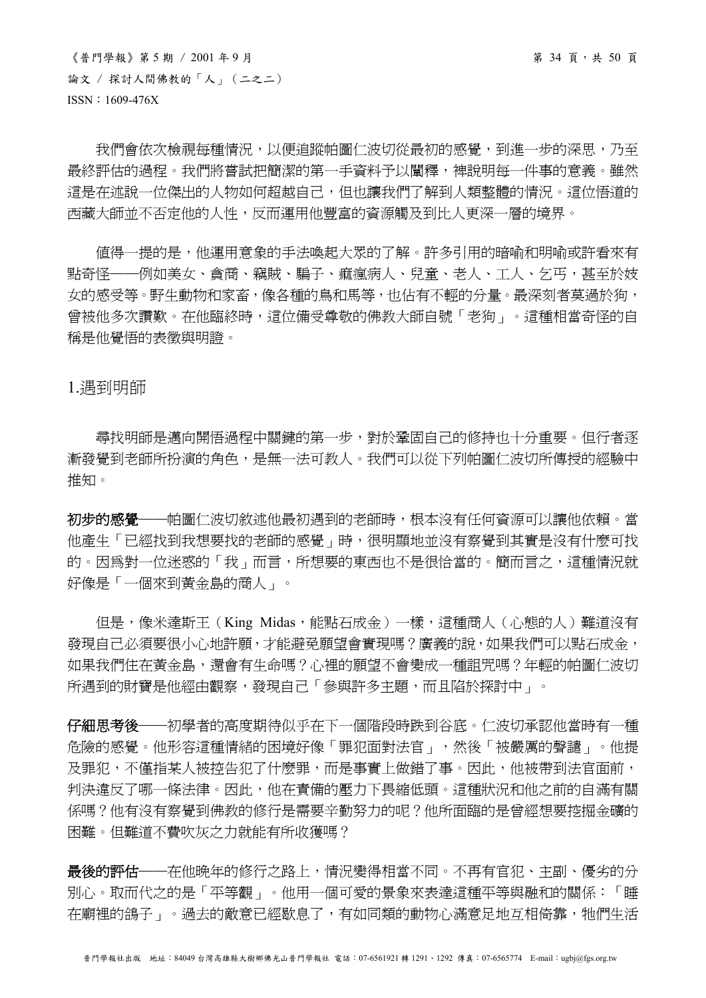$\langle$ 普門學報》第5期 / 2001年9月<br>
第34頁, 第35頁 論文 / 探討人間佛教的「人」(二之二) ISSN:1609-476X

我們會依次檢視每種情況,以便追蹤帕圖仁波切從最初的感覺,到進一步的深思,乃至 最終評估的過程。我們將嘗試把簡潔的第一手資料予以闡釋,裨說明每一件事的意義。雖然 這是在述說一位傑出的人物如何超越自己,但也讓我們了解到人類整體的情況。這位悟道的 西藏大師並不否定他的人性,反而運用他豐富的資源觸及到比人更深一層的境界。

 值得一提的是,他運用意象的手法喚起大眾的了解。許多引用的暗喻和明喻或許看來有 點奇怪——例如美女、貪商、竊賊、騙子、痲瘋病人、兒童、老人、工人、乞丐,甚至於妓 女的感受等。野生動物和家畜,像各種的鳥和馬等,也佔有不輕的分量。最深刻者莫過於狗, 曾被他多次讚歎。在他臨終時,這位備受尊敬的佛教大師自號「老狗」。這種相當奇怪的自 稱是他覺悟的表徵與明證。

# 1.遇到明師

 尋找明師是邁向開悟過程中關鍵的第一步,對於鞏固自己的修持也十分重要。但行者逐 漸發覺到老師所扮演的角色,是無一法可教人。我們可以從下列帕圖仁波切所傳授的經驗中 推知。

初步的感覺——帕圖仁波切敘述他最初遇到的老師時,根本沒有任何資源可以讓他依賴。當 他產生「已經找到我想要找的老師的感覺」時,很明顯地並沒有察覺到其實是沒有什麼可找 的。因為對一位迷惑的「我」而言,所想要的東西也不是很恰當的。簡而言之,這種情況就 好像是「一個來到黃金島的商人」。

但是,像米達斯王(King Midas,能點石成金)一樣,這種商人(心態的人)難道沒有 發現自己必須要很小心地許願,才能避免願望會實現嗎?廣義的說,如果我們可以點石成金, 如果我們住在黃金島,還會有生命嗎?心裡的願望不會變成一種詛咒嗎?年輕的帕圖仁波切 所遇到的財寶是他經由觀察,發現自己「參與許多主題,而且陷於探討中」。

仔細思考後──初學者的高度期待似乎在下一個階段時跌到谷底。仁波切承認他當時有一種 危險的感覺。他形容這種情緒的困境好像「罪犯面對法官」,然後「被嚴厲的聲譴」。他提 及罪犯,不僅指某人被控告犯了什麼罪,而是事實上做錯了事。因此,他被帶到法官面前, 判決違反了哪一條法律。因此,他在責備的壓力下畏縮低頭。這種狀況和他之前的自滿有關 係嗎?他有沒有察覺到佛教的修行是需要辛勤努力的呢?他所面臨的是曾經想要挖掘金礦的 困難。但難道不費吹灰之力就能有所收獲嗎?

最後的評估——在他晚年的修行之路上,情況變得相當不同。不再有官犯、主副、優劣的分 別心。取而代之的是「平等觀」。他用一個可愛的景象來表達這種平等與融和的關係:「睡 在廟裡的鴿子」。過去的敵意已經歇息了,有如同類的動物心滿意足地互相倚靠,牠們生活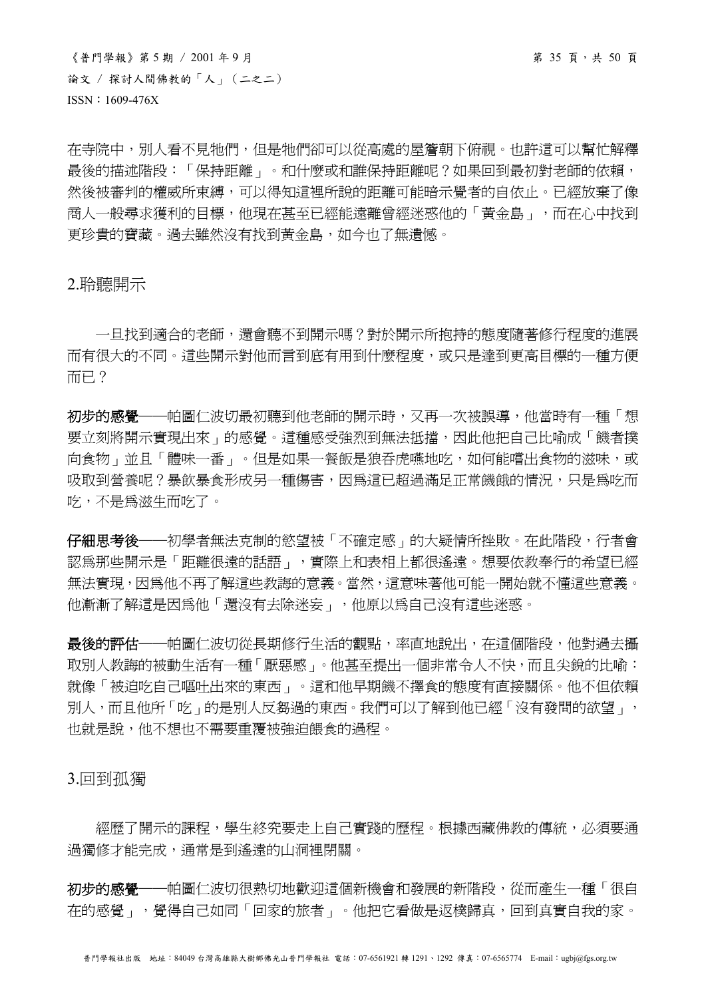$\langle$ 普門學報》第5期 / 2001年9月<br>
第35頁,共50頁 論文 / 探討人間佛教的「人」(二之二) ISSN:1609-476X

在寺院中,別人看不見牠們,但是牠們卻可以從高處的屋簷朝下俯視。也許這可以幫忙解釋 最後的描述階段:「保持距離」。和什麼或和誰保持距離呢?如果回到最初對老師的依賴, 然後被審判的權威所束縛,可以得知這裡所說的距離可能暗示覺者的自依止。已經放棄了像 商人一般尋求獲利的目標,他現在甚至已經能遠離曾經迷惑他的「黃金島」,而在心中找到 更珍貴的寶藏。過去雖然沒有找到黃金島,如今也了無遺憾。

# 2.聆聽開示

一日找到適合的老師,還會聽不到開示嗎?對於開示所抱持的態度隨著修行程度的進展 而有很大的不同。這些開示對他而言到底有用到什麼程度,或只是達到更高目標的一種方便 而已?

初步的感覺——帕圖仁波切最初聽到他老師的開示時,又再一次被誤導,他當時有一種「想 要立刻將開示實現出來」的感覺。這種感受強烈到無法抵擋,因此他把自己比喻成「饑者撲 向食物」並且「體味一番」。但是如果一餐飯是狼吞虎嚥地吃,如何能嚐出食物的滋味,或 吸取到營養呢?暴飲暴食形成另一種傷害,因為這已超過滿足正常饑餓的情況,只是為吃而 吃,不是為滋生而吃了。

仔細思考後——初學者無法克制的慾望被「不確定感」的大疑情所挫敗。在此階段,行者會 認為那些開示是「距離很遠的話語」,實際上和表相上都很遙遠。想要依教奉行的希望已經 無法實現,因為他不再了解這些教誨的意義。當然,這意味著他可能一開始就不懂這些意義。 他漸漸了解這是因為他「還沒有去除迷妄」,他原以為自己沒有這些迷惑。

最後的評估──帕圖仁波切從長期修行生活的觀點,率直地說出,在這個階段,他對過去攝 取別人教誨的被動生活有一種「厭惡感」。他甚至提出一個非常令人不快,而且尖銳的比喻: 就像「被迫吃自己嘔吐出來的東西」。這和他早期饑不擇食的態度有直接關係。他不但依賴 別人,而且他所「吃」的是別人反芻過的東西。我們可以了解到他已經「沒有發問的欲望」, 也就是說,他不想也不需要重覆被強迫餵食的過程。

3.回到孤獨

 經歷了開示的課程,學生終究要走上自己實踐的歷程。根據西藏佛教的傳統,必須要通 過獨修才能完成,通常是到遙遠的山洞裡閉關。

初步的感覺——帕圖仁波切很熱切地歡迎這個新機會和發展的新階段,從而產生一種「很自 在的感覺」,覺得自己如同「回家的旅者」。他把它看做是返樸歸真,回到真實自我的家。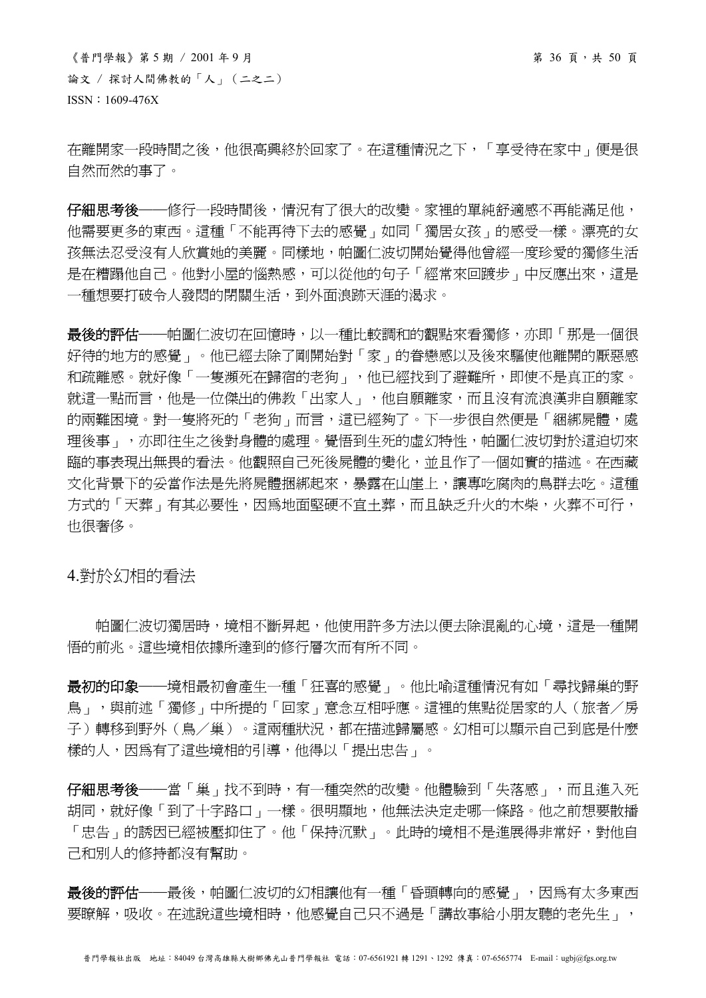$\langle$  普門學報》第5期 / 2001年9月 第 36 頁, 共 50 頁 論文 / 探討人間佛教的「人」(二之二) ISSN:1609-476X

在離開家一段時間之後,他很高興終於回家了。在這種情況之下,「享受待在家中」便是很 自然而然的事了。

仔細思考後——修行一段時間後,情況有了很大的改變。家裡的單純舒適感不再能滿足他, 他需要更多的東西。這種「不能再待下去的感覺」如同「獨居女孩」的感受一樣。漂亮的女 孩無法忍受沒有人欣賞她的美麗。同樣地,帕圖仁波切開始覺得他曾經一度珍愛的獨修生活 是在糟蹋他自己。他對小屋的惱熱感,可以從他的句子「經常來回踱步」中反應出來,這是 一種想要打破令人發悶的閉關生活,到外面浪跡天涯的渴求。

最後的評估──帕圖仁波切在回憶時,以一種比較調和的觀點來看獨修,亦即「那是一個很 好待的地方的感覺」。他已經去除了剛開始對「家」的眷戀感以及後來驅使他離開的厭惡感 和疏離感。就好像「一隻瀕死在歸宿的老狗」,他已經找到了避難所,即使不是真正的家。 就這一點而言,他是一位傑出的佛教「出家人」,他自願離家,而且沒有流浪漢非自願離家 的兩難困境。對一隻將死的「老狗」而言,這已經夠了。下一步很自然便是「綑綁屍體,處 理後事」,亦即往生之後對身體的處理。覺悟到生死的虛幻特性,帕圖仁波切對於這迫切來 臨的事表現出無畏的看法。他觀照自己死後屍體的變化,並且作了一個如實的描述。在西藏 文化背景下的妥當作法是先將屍體捆綁起來,暴露在山崖上,讓專吃腐肉的鳥群去吃。這種 方式的「天葬」有其必要性,因為地面堅硬不宜土葬,而且缺乏升火的木柴,火葬不可行, 也很奢侈。

4.對於幻相的看法

 帕圖仁波切獨居時,境相不斷昇起,他使用許多方法以便去除混亂的心境,這是一種開 悟的前兆。這些境相依據所達到的修行層次而有所不同。

最初的印象——境相最初會產生一種「狂喜的感覺」。他比喻這種情況有如「尋找歸巢的野 鳥」,與前述「獨修」中所提的「回家」意念互相呼應。這裡的焦點從居家的人(旅者/房 子)轉移到野外(鳥/巢)。這兩種狀況,都在描述歸屬感。幻相可以顯示自己到底是什麼 樣的人,因為有了這些境相的引導,他得以「提出忠告」。

仔細思考後——當「巢」找不到時,有一種突然的改變。他體驗到「失落感」,而且進入死 胡同,就好像「到了十字路口」一樣。很明顯地,他無法決定走哪一條路。他之前想要散播 「忠告」的誘因已經被壓抑住了。他「保持沉默」。此時的境相不是進展得非常好,對他自 己和別人的修持都沒有幫助。

最後的評估——最後,帕圖仁波切的幻相讓他有一種「昏頭轉向的感覺」,因為有太多東西 要瞭解,吸收。在述說這些境相時,他感覺自己只不過是「講故事給小朋友聽的老先生」,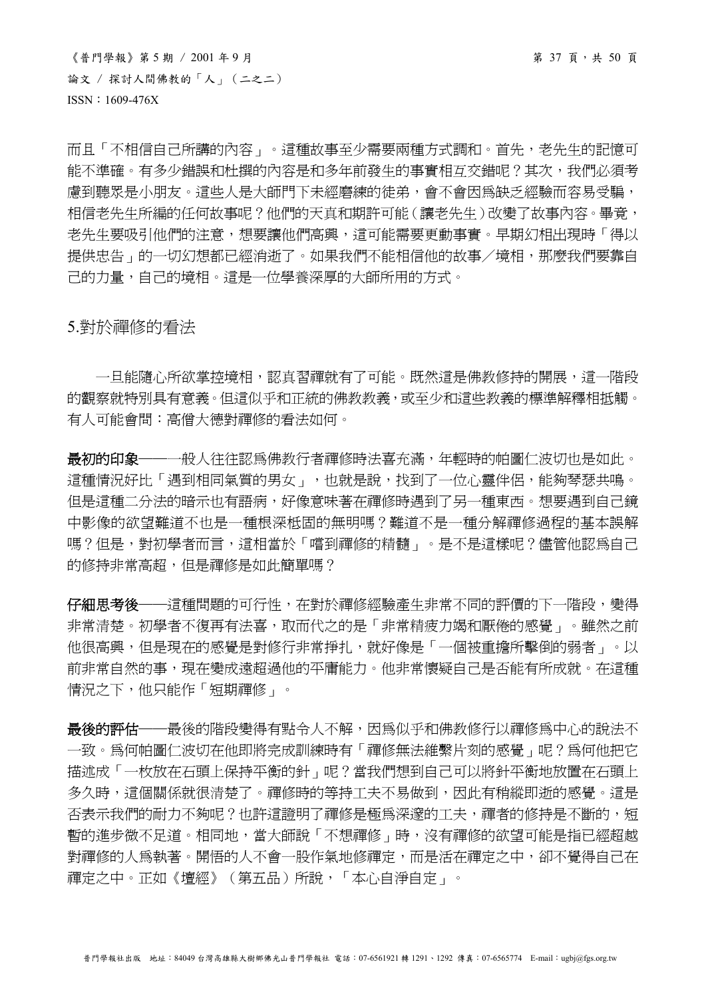$\langle$ 普門學報》第5期 / 2001年9月<br>
第37頁,共50頁 論文 / 探討人間佛教的「人」(二之二) ISSN:1609-476X

而且「不相信自己所講的內容」。這種故事至少需要兩種方式調和。首先,老先生的記憶可 能不準確。有多少錯誤和杜撰的內容是和多年前發生的事實相互交錯呢?其次,我們必須考 慮到聽眾是小朋友。這些人是大師門下未經磨練的徒弟,會不會因為缺乏經驗而容易受騙, 相信老先生所編的任何故事呢?他們的天真和期許可能(讓老先生)改變了故事內容。畢竟, 老先生要吸引他們的注意,想要讓他們高興,這可能需要更動事實。早期幻相出現時「得以 提供忠告」的一切幻想都已經消逝了。如果我們不能相信他的故事/境相,那麼我們要靠自 己的力量,自己的境相。這是一位學養深厚的大師所用的方式。

# 5.對於禪修的看法

一旦能隨心所欲掌控境相,認真習禪就有了可能。既然這是佛教修持的開展,這一階段 的觀察就特別具有意義。但這似乎和正統的佛教教義,或至少和這些教義的標準解釋相抵觸。 有人可能會問:高僧大德對禪修的看法如何。

最初的印象——一般人往往認為佛教行者禪修時法喜充滿,年輕時的帕圖仁波切也是如此。 這種情況好比「遇到相同氣質的男女」,也就是說,找到了一位心靈伴侶,能夠琴瑟共鳴。 **但是這種二分法的暗示也有語病,好像意味著在禪修時遇到了另一種東西。想要遇到自己鏡** 中影像的欲望難道不也是一種根深柢固的無明嗎?難道不是一種分解禪修過程的基本誤解 嗎?但是,對初學者而言,這相當於「嚐到禪修的精髓」。是不是這樣呢?儘管他認為自己 的修持非常高超,但是禪修是如此簡單嗎?

仔細思考後——這種問題的可行性,在對於禪修經驗產生非常不同的評價的下一階段,變得 非常清楚。初學者不復再有法喜,取而代之的是「非常精疲力竭和厭倦的感覺」。雖然之前 他很高興,但是現在的感覺是對修行非常掙扎,就好像是「一個被重擔所擊倒的弱者」。以 前非常自然的事,現在變成遠超過他的平庸能力。他非常懷疑自己是否能有所成就。在這種 情況之下,他只能作「短期禪修」。

最後的評估——最後的階段變得有點令人不解,因為似乎和佛教修行以禪修為中心的說法不 一致。為何帕圖仁波切在他即將完成訓練時有「禪修無法維繫片刻的感覺」呢?為何他把它 描述成「一枚放在石頭上保持平衡的針」呢?當我們想到自己可以將針平衡地放置在石頭上 多久時,這個關係就很清楚了。禪修時的等持工夫不易做到,因此有稍縱即逝的感覺。這是 否表示我們的耐力不夠呢?也許這證明了禪修是極為深邃的工夫,禪者的修持是不斷的,短 暫的進步微不足道。相同地,當大師說「不想禪修」時,沒有禪修的欲望可能是指已經超越 對禪修的人為執著。開悟的人不會一股作氣地修禪定,而是活在禪定之中,卻不覺得自己在 禪定之中。正如《壇經》(第五品)所說,「本心自淨自定」。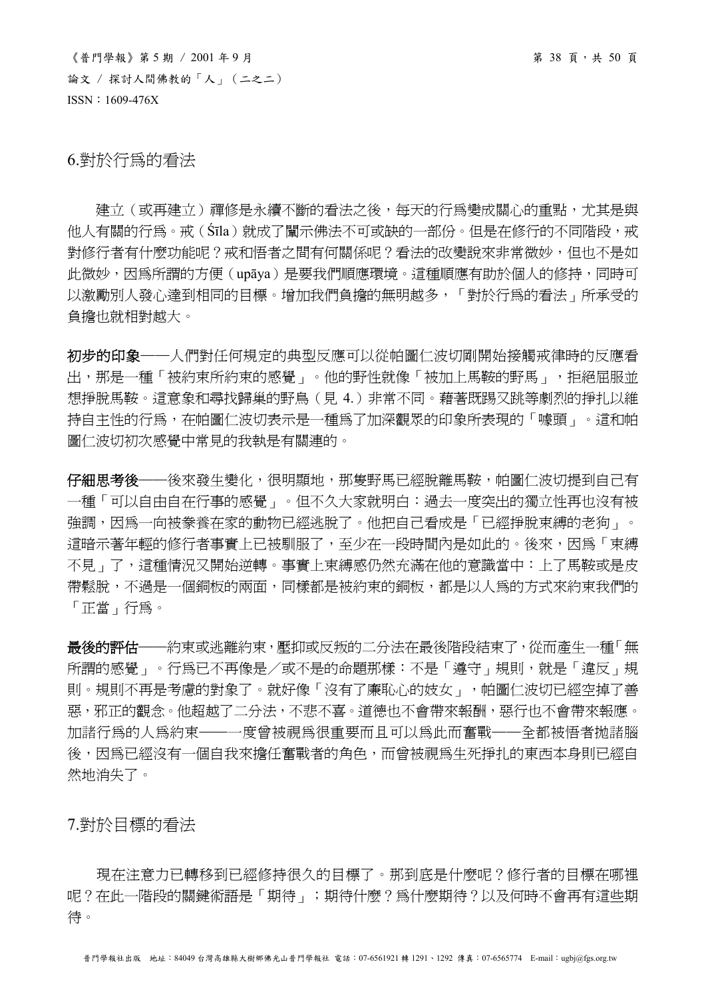$\langle$ 普門學報》第5期 / 2001年9月<br>
第38頁,共50頁 論文 / 探討人間佛教的「人」(二之二) ISSN:1609-476X

6.對於行為的看法

建立(或再建立)禪修是永續不斷的看法之後,每天的行為變成關心的重點,尤其是與 他人有關的行為。戒(Śīla)就成了闡示佛法不可或缺的一部份。但是在修行的不同階段,戒 對修行者有什麼功能呢?戒和悟者之間有何關係呢?看法的改變說來非常微妙,但也不是如 此微妙,因為所謂的方便(upāya)是要我們順應環境。這種順應有助於個人的修持,同時可 以激勵別人發心達到相同的目標。增加我們負擔的無明越多,「對於行為的看法」所承受的 負擔也就相對越大。

初步的印象——人們對任何規定的典型反應可以從帕圖仁波切剛開始接觸戒律時的反應看 出,那是一種「被約束所約束的感覺」。他的野性就像「被加上馬鞍的野馬」,拒絕屈服並 想掙脫馬鞍。這意象和尋找歸巢的野鳥(見 4.)非常不同。藉著既踢又跳等劇烈的掙扎以維 持自主性的行為,在帕圖仁波切表示是一種為了加深觀眾的印象所表現的「噱頭」。這和帕 圖仁波切初次感覺中常見的我執是有關連的。

仔細思考後——後來發生變化,很明顯地,那隻野馬已經脫離馬鞍,帕圖仁波切提到自己有 一種「可以自由自在行事的感覺」。但不久大家就明白:過去一度突出的獨立性再也沒有被 強調,因為一向被豢養在家的動物已經逃脫了。他把自己看成是「已經掙脫束縛的老狗」。 這暗示著年輕的修行者事實上已被馴服了,至少在一段時間內是如此的。後來,因為「束縛 不見」了,這種情況又開始逆轉。事實上束縛感仍然充滿在他的意識當中:上了馬鞍或是皮 帶鬆脫,不過是一個銅板的兩面,同樣都是被約束的銅板,都是以人為的方式來約束我們的 「正當」行為。

最後的評估──約束或逃離約束,壓抑或反叛的二分法在最後階段結束了,從而產生一種「無 所謂的感覺」。行為已不再像是/或不是的命題那樣:不是「遵守」規則,就是「違反」規 則。規則不再是考慮的對象了。就好像「沒有了廉恥心的妓女」,帕圖仁波切已經空掉了善 惡,邪正的觀念。他超越了二分法,不悲不喜。道德也不會帶來報酬,惡行也不會帶來報應。 加諸行為的人為約束──一度曾被視為很重要而且可以為此而奮戰──全都被悟者拋諸腦 後,因為已經沒有一個自我來擔任奮戰者的角色,而曾被視為生死掙扎的東西本身則已經自 然地消失了。

7.對於目標的看法

現在注意力已轉移到已經修持很久的目標了。那到底是什麼呢?修行者的目標在哪裡 呢?在此一階段的關鍵術語是「期待」;期待什麼?為什麼期待?以及何時不會再有這些期 待。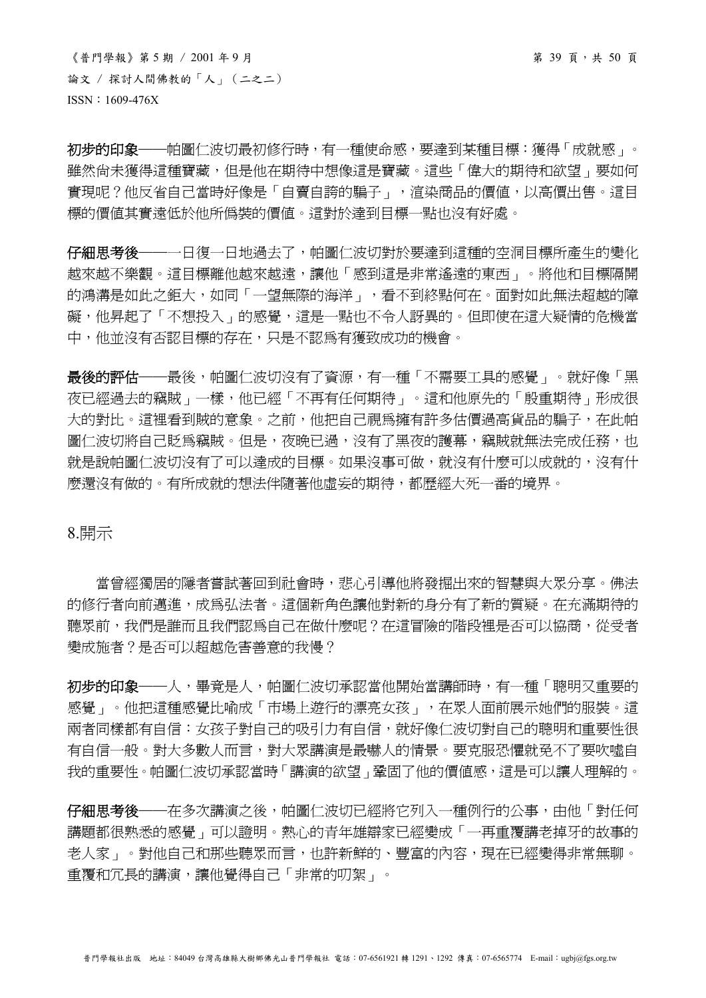$\langle$ 普門學報》第 5 期 / 2001年9月 論文 / 探討人間佛教的「人」(二之二) ISSN:1609-476X

初步的印象——帕圖仁波切最初修行時,有一種使命感,要達到某種目標:獲得「成就感」。 雖然尚未獲得這種寶藏,但是他在期待中想像這是寶藏。這些「偉大的期待和欲望」要如何 實現呢?他反省自己當時好像是「自賣自誇的騙子」, 渲染商品的價值, 以高價出售。這目 標的價值其實遠低於他所偽裝的價值。這對於達到目標一點也沒有好處。

仔細思考後——一日復一日地過去了,帕圖仁波切對於要達到這種的空洞目標所產生的變化 越來越不樂觀。這目標離他越來越遠,讓他「感到這是非常遙遠的東西」。將他和目標隔開 的鴻溝是如此之鉅大,如同「一望無際的海洋」,看不到終點何在。面對如此無法超越的障 礙,他昇起了「不想投入」的感覺,這是一點也不令人訝異的。但即使在這大疑情的危機當 中,他並沒有否認目標的存在,只是不認為有獲致成功的機會。

最後的評估——最後,帕圖仁波切沒有了資源,有一種「不需要工具的感覺」。就好像「黑 夜已經過去的竊賊」一樣,他已經「不再有任何期待」。這和他原先的「殷重期待」形成很 大的對比。這裡看到賊的意象。之前,他把自己視為擁有許多估價過高貨品的騙子,在此帕 圖仁波切將自己貶爲竊賊。但是,夜晚已過,沒有了黑夜的護幕,竊賊就無法完成任務,也 就是說帕圖仁波切沒有了可以達成的目標。如果沒事可做,就沒有什麼可以成就的,沒有什 麼還沒有做的。有所成就的想法伴隨著他虛妄的期待,都歷經大死一番的境界。

8.開示

當曾經獨居的隱者嘗試著回到社會時,悲心引導他將發掘出來的智慧與大眾分享。佛法 的修行者向前邁淮,成為弘法者。這個新角色讓他對新的身分有了新的質疑。在充滿期待的 聽眾前,我們是誰而且我們認為自己在做什麼呢?在這冒險的階段裡是否可以協商,從受者 變成施者?是否可以超越危害善意的我慢?

初步的印象——人,畢竟是人,帕圖仁波切承認當他開始當講師時,有一種「聰明又重要的 感覺」。他把這種感覺比喻成「市場上遊行的漂亮女孩」,在眾人面前展示她們的服裝。這 兩者同樣都有自信:女孩子對自己的吸引力有自信,就好像仁波切對自己的聰明和重要性很 有自信一般。對大多數人而言,對大眾講演是最嚇人的情景。要克服恐懼就免不了要吹噓自 我的重要性。帕圖仁波切承認當時「講演的欲望」鞏固了他的價值感,這是可以讓人理解的。

仔細思考後——在多次講演之後,帕圖仁波切已經將它列入一種例行的公事,由他「對任何 講題都很熟悉的感覺」可以證明。熱心的青年雄辯家已經變成「一再重覆講老掉牙的故事的 老人家」。對他自己和那些聽眾而言,也許新鮮的、豐富的內容,現在已經變得非常無聊。 重覆和冗長的講演,讓他覺得自己「非常的叨絮」。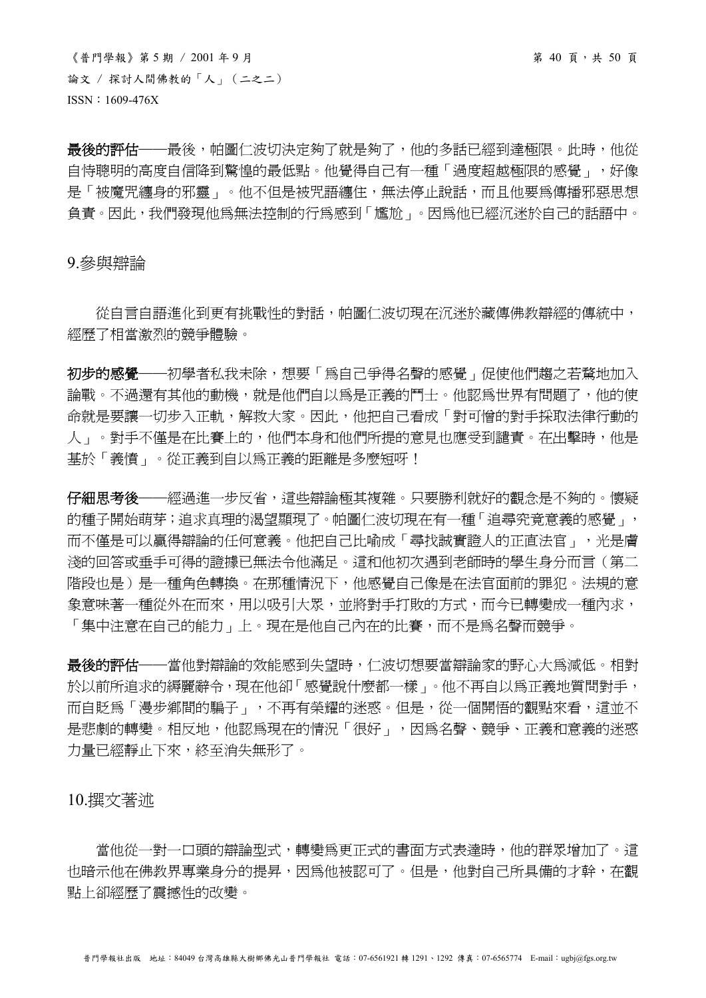$\langle$ 普門學報》第5期 / 2001年9月<br> 論文 / 探討人間佛教的「人」(二之二) ISSN:1609-476X

最後的評估——最後,帕圖仁波切決定夠了就是夠了,他的多話已經到達極限。此時,他從 自恃聰明的高度自信降到驚惶的最低點。他覺得自己有一種「過度超越極限的感覺」,好像 是「被魔咒纏身的邪靈」。他不但是被咒語纏住,無法停止說話,而且他要為傳播邪惡思想 負責。因此,我們發現他為無法控制的行為感到「尷尬」。因為他已經沉迷於自己的話語中。

9.參與辯論

從自言自語進化到更有挑戰性的對話,帕圖仁波切現在沉迷於藏傳佛教辯經的傳統中, 經歷了相當激烈的競爭體驗。

初步的感覺——初學者私我未除,想要「為自己爭得名聲的感覺」促使他們趨之若騖地加入 論戰。不過還有其他的動機,就是他們自以為是正義的鬥士。他認為世界有問題了,他的使 命就是要讓一切步入正軌,解救大家。因此,他把自己看成「對可憎的對手採取法律行動的 人」。對手不僅是在比賽上的,他們本身和他們所提的意見也應受到譴責。在出擊時,他是 基於「義憤」。從正義到自以為正義的距離是多麼短呀!

仔細思考後——經過進一步反省,這些辯論極其複雜。只要勝利就好的觀念是不夠的。懷疑 的種子開始萌芽;追求真理的渴望顯現了。帕圖仁波切現在有一種「追尋究竟意義的感覺」, 而不僅是可以贏得辯論的任何意義。他把自己比喻成「尋找誠實證人的正直法官」,光是膚 淺的回答或垂手可得的證據已無法令他滿足。這和他初次遇到老師時的學生身分而言(第二 階段也是)是一種角色轉換。在那種情況下,他感覺自己像是在法官面前的罪犯。法規的意 象意味著一種從外在而來,用以吸引大眾,並將對手打敗的方式,而今已轉變成一種內求, 「集中注意在自己的能力」上。現在是他自己內在的比賽,而不是為名聲而競爭。

最後的評估——當他對辯論的效能感到失望時,仁波切想要當辯論家的野心大為減低。相對 於以前所追求的縟麗辭令,現在他卻「感覺說什麼都一樣」。他不再自以為正義地質問對手, 而自貶為「漫步鄉間的騙子」,不再有榮耀的洣惑。但是,從一個開悟的觀點來看,這並不 是悲劇的轉變。相反地,他認為現在的情況「很好」,因為名聲、競爭、正義和意義的迷惑 力量已經靜止下來,終至消失無形了。

10.撰文著述

當他從一對一口頭的辯論型式,轉變為更正式的書面方式表達時,他的群眾增加了。這 也暗示他在佛教界專業身分的提昇,因為他被認可了。但是,他對自己所具備的才幹,在觀 點上卻經歷了震撼性的改變。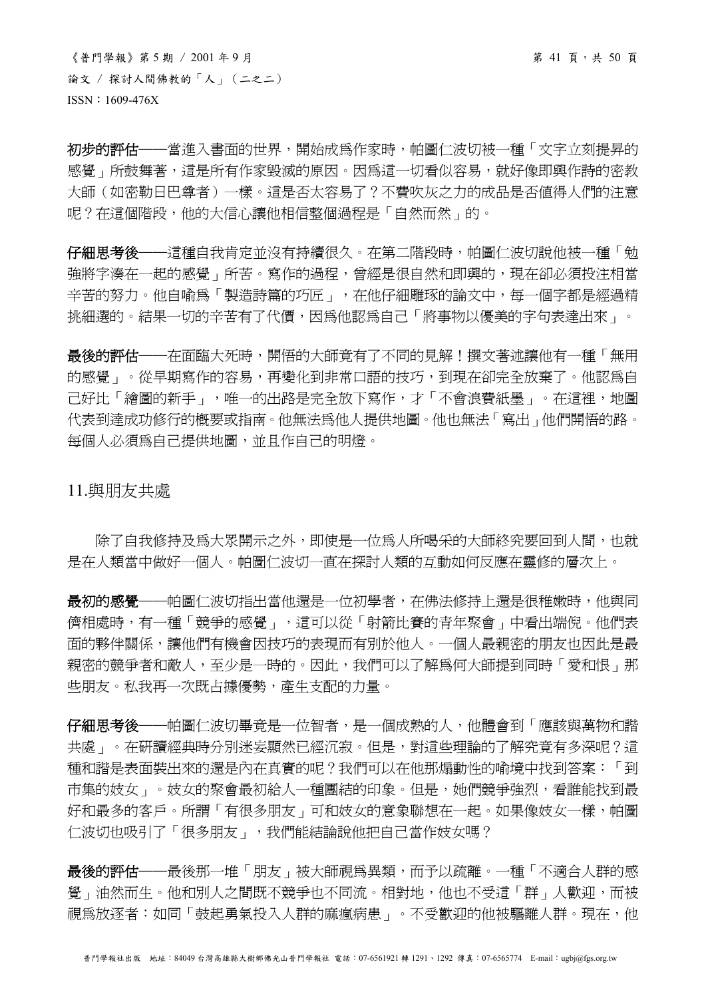《普門學報》第 5 期 / 2001 年 9 月 第 41 頁,共 50 頁 論文 / 探討人間佛教的「人」(二之二) ISSN:1609-476X

初步的評估——當進入書面的世界,開始成為作家時,帕圖仁波切被一種「文字立刻提昇的 感覺」所鼓舞著,這是所有作家毀滅的原因。因為這一切看似容易,就好像即興作詩的密教 大師(如密勒日巴尊者)一樣。這是否太容易了?不費吹灰之力的成品是否值得人們的注意 呢?在這個階段,他的大信心讓他相信整個過程是「自然而然」的。

仔細思考後——這種自我肯定並沒有持續很久。在第二階段時,帕圖仁波切說他被一種「勉 強將字湊在一起的感覺」所苦。寫作的過程,曾經是很自然和即興的,現在卻必須投注相當 辛苦的努力。他自喻為「製造詩篇的巧匠」,在他仔細雕琢的論文中,每一個字都是經過精 挑細選的。結果一切的辛苦有了代價,因爲他認爲自己「將事物以優美的字句表達出來」。

最後的評估──在面臨大死時,開悟的大師竟有了不同的見解!撰文著述讓他有一種「無用 的感覺」。從早期寫作的容易,再變化到非常口語的技巧,到現在卻完全放棄了。他認為自 己好比「繪圖的新手」,唯一的出路是完全放下寫作,才「不會浪費紙墨」。在這裡,地圖 代表到達成功修行的概要或指南。他無法為他人提供地圖。他也無法「寫出」他們開悟的路。 每個人必須為自己提供地圖,並且作自己的明燈。

11.與朋友共處

除了自我修持及為大眾開示之外,即使是一位為人所喝采的大師終究要回到人間,也就 是在人類當中做好一個人。帕圖仁波切一直在探討人類的互動如何反應在靈修的層次上。

最初的感覺——帕圖仁波切指出當他還是一位初學者,在佛法修持上還是很稚嫩時,他與同 儕相處時,有一種「競爭的感覺」,這可以從「射箭比賽的青年聚會」中看出端倪。他們表 面的夥伴關係,讓他們有機會因技巧的表現而有別於他人。一個人最親密的朋友也因此是最 親密的競爭者和敵人,至少是一時的。因此,我們可以了解為何大師提到同時「愛和恨」那 些朋友。私我再一次既占據優勢,產生支配的力量。

仔細思考後——帕圖仁波切畢竟是一位智者,是一個成熟的人,他體會到「應該與萬物和諧 共處」。在研讀經典時分別迷妄顯然已經沉寂。但是,對這些理論的了解究竟有多深呢?這 種和諧是表面裝出來的還是內在真實的呢?我們可以在他那煽動性的喻境中找到答案:「到 市集的妓女」。妓女的聚會最初給人一種團結的印象。但是,她們競爭強烈,看誰能找到最 好和最多的客戶。所謂「有很多朋友」可和妓女的意象聯想在一起。如果像妓女一樣,帕圖 仁波切也吸引了「很多朋友」,我們能結論說他把自己當作妓女嗎?

最後的評估——最後那一堆「朋友」被大師視為異類,而予以疏離。一種「不適合人群的感 覺」油然而生。他和別人之間既不競爭也不同流。相對地,他也不受這「群」人歡迎,而被 視為放逐者:如同「鼓起勇氣投入人群的麻瘋病患」。不受歡迎的他被驅離人群。現在,他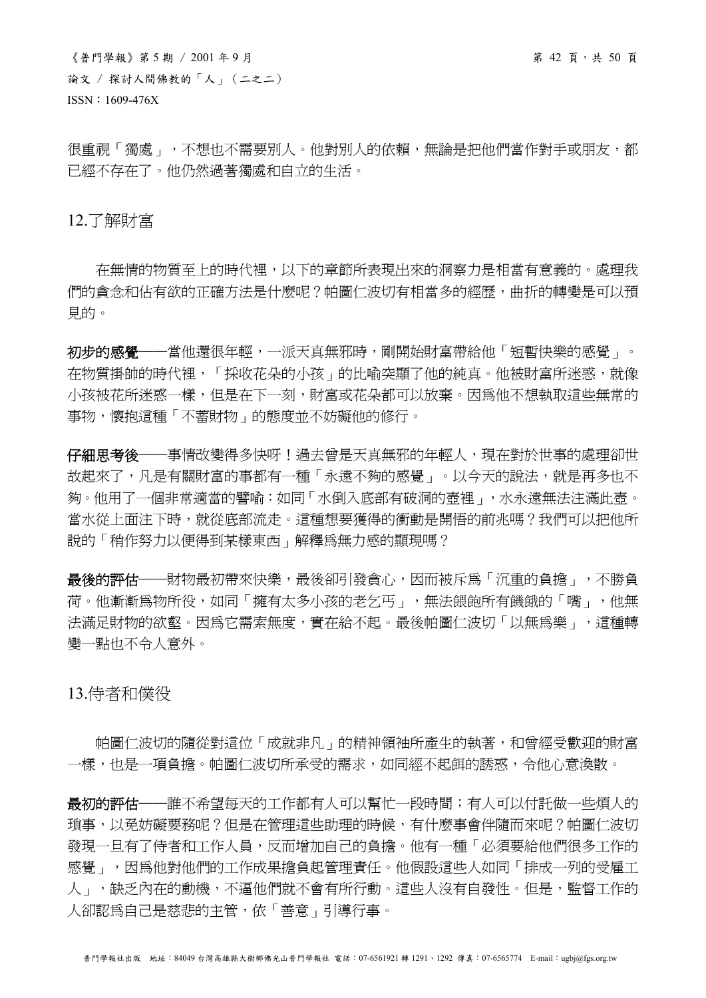$\langle$ 普門學報》第5期 / 2001年9月 第 50 頁 論文 / 探討人間佛教的「人」(二之二) ISSN:1609-476X

很重視「獨處」,不想也不需要別人。他對別人的依賴,無論是把他們當作對手或朋友,都 已經不存在了。他仍然過著獨處和自立的生活。

12.了解財富

 在無情的物質至上的時代裡,以下的章節所表現出來的洞察力是相當有意義的。處理我 們的貪念和佔有欲的正確方法是什麼呢?帕圖仁波切有相當多的經歷,曲折的轉變是可以預 見的。

初步的感覺——當他還很年輕,一派天真無邪時,剛開始財富帶給他「短暫快樂的感覺」。 在物質掛帥的時代裡,「採收花朵的小孩」的比喻突顯了他的純真。他被財富所迷惑,就像 小孩被花所迷惑一樣,但是在下一刻,財富或花朵都可以放棄。因為他不想執取這些無常的 事物,懷抱這種「不蓄財物」的態度並不妨礙他的修行。

仔細思考後——事情改變得多快呀!過去曾是天真無邪的年輕人,現在對於世事的處理卻世 故起來了,凡是有關財富的事都有一種「永遠不夠的感覺」。以今天的說法,就是再多也不 夠。他用了一個非常適當的譬喻:如同「水倒入底部有破洞的壺裡」,水永遠無法注滿此壺。 當水從上面注下時,就從底部流走。這種想要獲得的衝動是開悟的前兆嗎?我們可以把他所 說的「稍作努力以便得到某樣東西」解釋為無力感的顯現嗎?

最後的評估——財物最初帶來快樂,最後卻引發貪心,因而被斥為「沉重的負擔」,不勝負 荷。他漸漸為物所役,如同「擁有太多小孩的老乞丐」,無法餵飽所有饑餓的「嘴」,他無 法滿足財物的欲壑。因為它需索無度,實在給不起。最後帕圖仁波切「以無為樂」,這種轉 變一點也不令人意外。

13.侍者和僕役

 帕圖仁波切的隨從對這位「成就非凡」的精神領袖所產生的執著,和曾經受歡迎的財富 一樣,也是一項負擔。帕圖仁波切所承受的需求,如同經不起餌的誘惑,令他心意渙散。

最初的評估——誰不希望每天的工作都有人可以幫忙一段時間;有人可以付託做一些煩人的 瑣事,以免妨礙要務呢?但是在管理這些助理的時候,有什麼事會伴隨而來呢?帕圖仁波切 發現一日有了侍者和工作人員,反而增加自己的負擔。他有一種「必須要給他們很多工作的 感覺」,因為他對他們的工作成果擔負起管理責任。他假設這些人如同「排成一列的受雇工 人」,缺乏內在的動機,不逼他們就不會有所行動。這些人沒有自發性。但是,監督工作的 人卻認為自己是慈悲的主管,依「善意」引導行事。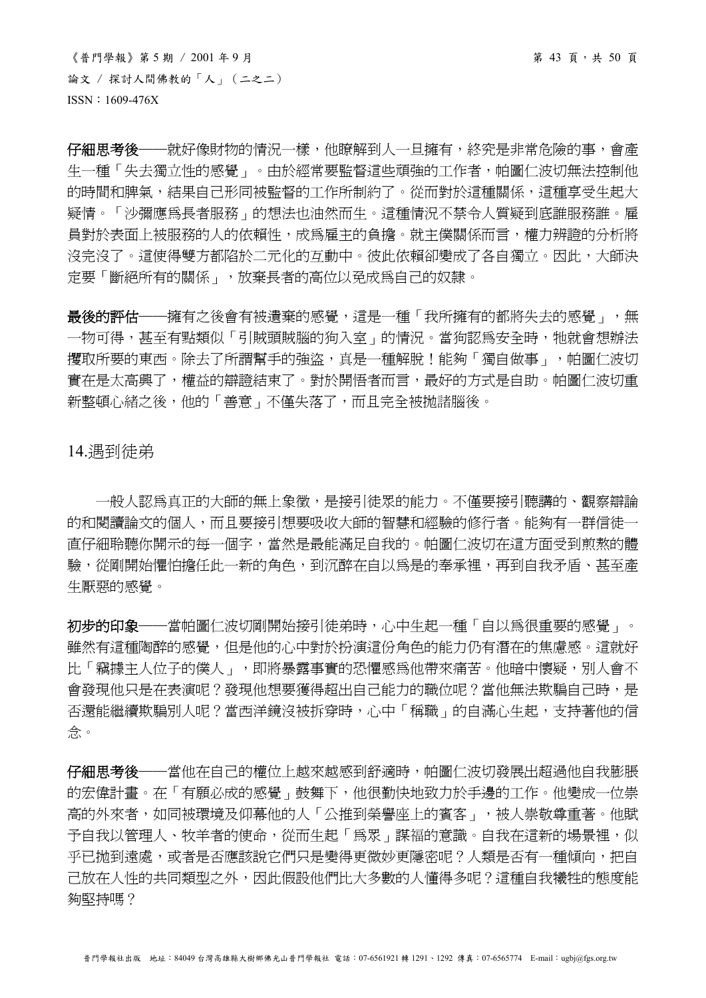$\langle$ 普門學報》第5期 / 2001年9月<br>第43頁, 第43頁, 第5期 論文 / 探討人間佛教的「人」(二之二) ISSN:1609-476X

仔細思考後——就好像財物的情況一樣,他瞭解到人一旦擁有,終究是非常危險的事,會產 生一種「失去獨立性的感覺」。由於經常要監督這些頑強的工作者,帕圖仁波切無法控制他 的時間和脾氣,結果自己形同被監督的工作所制約了。從而對於這種關係,這種享受生起大 疑情。「沙彌應為長者服務」的想法也油然而生。這種情況不禁令人質疑到底誰服務誰。雇 員對於表面上被服務的人的依賴性,成為雇主的負擔。就主僕關係而言,權力辨證的分析將 沒完沒了。這使得雙方都陷於二元化的互動中。彼此依賴卻變成了各自獨立。因此,大師決 定要「斷絕所有的關係」,放棄長者的高位以免成為自己的奴隸。

最後的評估——擁有之後會有被遺棄的感覺,這是一種「我所擁有的都將失去的感覺」,無 一物可得,甚至有點類似「引賊頭賊腦的狗入室」的情況。當狗認為安全時,牠就會想辦法 攫取所要的東西。除去了所謂幫手的強盜,真是一種解脫!能夠「獨自做事」,帕圖仁波切 實在是太高興了,權益的辯證結束了。對於開悟者而言,最好的方式是自助。帕圖仁波切重 新整頓心緒之後,他的「善意」不僅失落了,而且完全被拋諸腦後。

14.遇到徒弟

一般人認為真正的大師的無上象徵,是接引徒眾的能力。不僅要接引聽講的、觀察辯論 的和閱讀論文的個人,而且要接引想要吸收大師的智慧和經驗的修行者。能夠有一群信徒一 直仔細聆聽你開示的每一個字,當然是最能滿足自我的。帕圖仁波切在這方面受到煎熬的體 驗,從剛開始懼怕擔任此一新的角色,到沉醉在自以為是的奉承裡,再到自我矛盾、甚至產 生厭惡的感覺。

初步的印象——當帕圖仁波切剛開始接引徒弟時,心中生起一種「自以為很重要的感覺」。 雖然有這種陶醉的感覺,但是他的心中對於扮演這份角色的能力仍有潛在的焦慮感。這就好 比「竊據主人位子的僕人」,則將暴露事實的恐懼感爲他帶來痛苦。他暗中懷疑,別人會不 會發現他只是在表演呢?發現他想要獲得超出自己能力的職位呢?當他無法欺騙自己時,是 否還能繼續欺騙別人呢?當西洋鏡沒被拆穿時,心中「稱職」的自滿心生起,支持著他的信 念。

仔細思考後——當他在自己的權位上越來越感到舒適時,帕圖仁波切發展出超過他自我膨脹 的宏偉計畫。在「有願必成的感覺」鼓舞下,他很勤快地致力於手邊的工作。他變成一位崇 高的外來者,如同被環境及仰幕他的人「公推到榮譽座上的賓客」,被人崇敬尊重著。他賦 予自我以管理人、牧羊者的使命,從而生起「為眾」謀福的意識。自我在這新的場景裡,似 平已拋到遠處,或者是否應該說它們只是變得更微妙更隱密呢?人類是否有一種傾向,把自 己放在人性的共同類型之外,因此假設他們比大多數的人懂得多呢?這種自我犧牲的態度能 夠堅持嗎?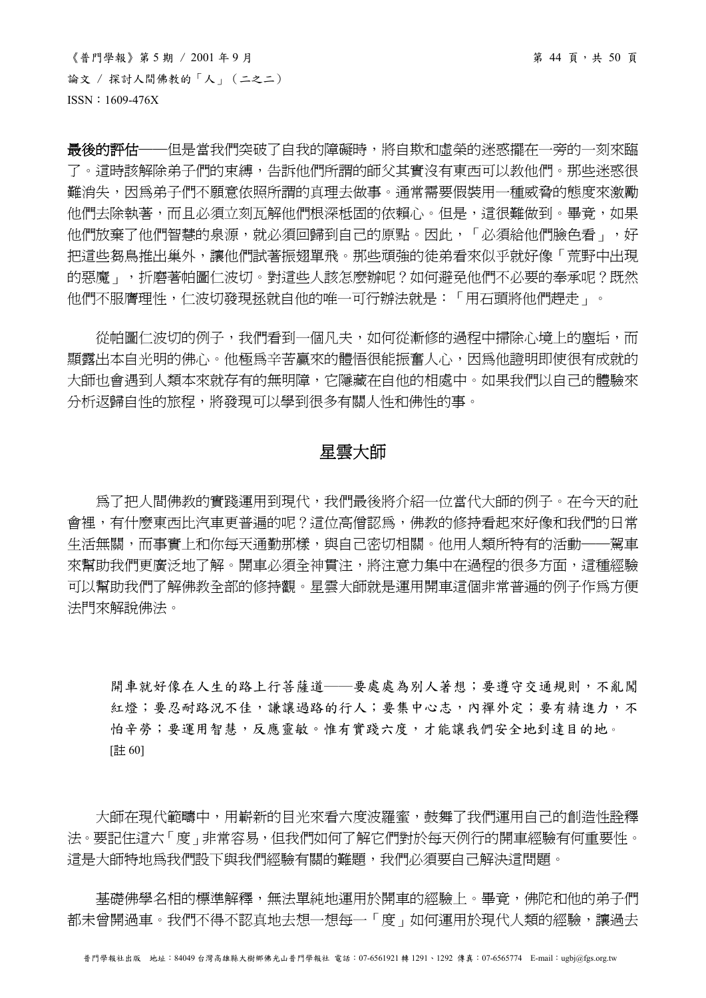$\langle$ 普門學報》第5期 / 2001年9月<br>第44頁, 第45頁 論文 / 探討人間佛教的「人」(二之二) ISSN:1609-476X

最後的評估——但是當我們突破了自我的障礙時,將自欺和虛榮的迷惑擺在一旁的一刻來臨 了。這時該解除弟子們的束縛,告訴他們所謂的師父其實沒有東西可以教他們。那些迷惑很 難消失,因為弟子們不願意依照所謂的真理去做事。通常需要假裝用一種威脅的態度來激勵 他們去除執著,而且必須立刻瓦解他們根深柢固的依賴心。但是,這很難做到。畢竟,如果 他們放棄了他們智慧的泉源,就必須回歸到自己的原點。因此,「必須給他們臉色看」,好 把這些芻鳥推出巢外,讓他們試著振翅單飛。那些頑強的徒弟看來似乎就好像「荒野中出現 的惡魔」,折磨著帕圖仁波切。對這些人該怎麼辦呢?如何避免他們不必要的奉承呢?既然 他們不服膺理性,仁波切發現拯就自他的唯一可行辦法就是:「用石頭將他們趕走」。

從帕圖仁波切的例子,我們看到一個凡夫,如何從漸修的過程中掃除心境上的塵垢,而 顯露出本自光明的佛心。他極為辛苦贏來的體悟很能振奮人心,因爲他證明即使很有成就的 大師也會遇到人類本來就存有的無明障,它隱藏在自他的相處中。如果我們以自己的體驗來 分析返歸自性的旅程,將發現可以學到很多有關人性和佛性的事。

# 星雲大師

 為了把人間佛教的實踐運用到現代,我們最後將介紹一位當代大師的例子。在今天的社 會裡,有什麼東西比汽車更普遍的呢?這位高僧認為,佛教的修持看起來好像和我們的日常 生活無關,而事實上和你每天通勤那樣,與自己密切相關。他用人類所特有的活動——駕車 來幫助我們更廣泛地了解。開車必須全神貫注,將注意力集中在過程的很多方面,這種經驗 可以幫助我們了解佛教全部的修持觀。星雲大師就是運用開車這個非常普遍的例子作為方便 法門來解說佛法。

開車就好像在人生的路上行菩薩道——要處處為別人著想;要遵守交通規則,不亂闖 紅燈;要忍耐路況不佳,謙讓過路的行人;要集中心志,內禪外定;要有精進力,不 怕辛勞;要運用智慧,反應靈敏。惟有實踐六度,才能讓我們安全地到達目的地。 [註 60]

大師在現代範疇中,用嶄新的目光來看六度波羅蜜,鼓舞了我們運用自己的創造性詮釋 法。要記住這六「度」非常容易,但我們如何了解它們對於每天例行的開車經驗有何重要性。 這是大師特地爲我們設下與我們經驗有關的難題,我們必須要自己解決這問題。

基礎佛學名相的標準解釋,無法單純地運用於開車的經驗上。畢竟,佛陀和他的弟子們 都未曾開過車。我們不得不認真地去想一想每一「度」如何運用於現代人類的經驗,讓過去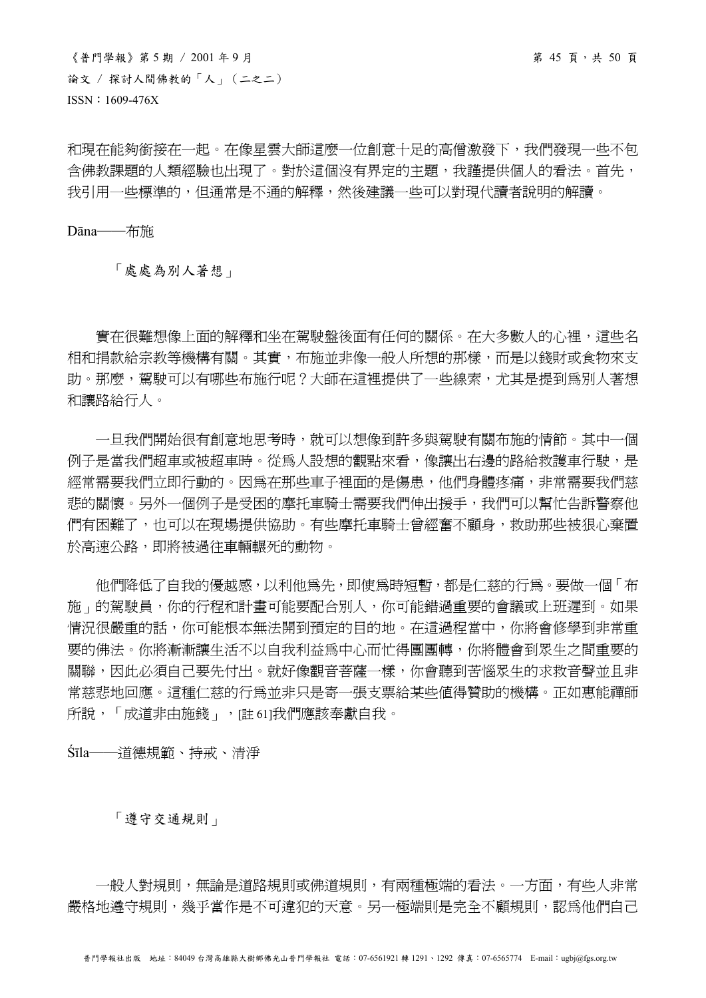《普門學報》第 5 期 / 2001 年 9 月 第 45 頁,共 50 頁 論文 / 探討人間佛教的「人」(二之二) ISSN:1609-476X

和現在能夠銜接在一起。在像星雲大師這麼一位創意十足的高僧激發下,我們發現一些不包 含佛教課題的人類經驗也出現了。對於這個沒有界定的主題,我謹提供個人的看法。首先, 我引用一些標準的,但通常是不通的解釋,然後建議一些可以對現代讀者說明的解讀。

Dāna──布施

「處處為別人著想」

 實在很難想像上面的解釋和坐在駕駛盤後面有任何的關係。在大多數人的心裡,這些名 相和捐款給宗教等機構有關。其實,布施並非像一般人所想的那樣,而是以錢財或食物來支 助。那麼,駕駛可以有哪些布施行呢?大師在這裡提供了一些線索,尤其是提到為別人著想 和讓路給行人。

 一旦我們開始很有創意地思考時,就可以想像到許多與駕駛有關布施的情節。其中一個 例子是當我們超車或被超車時。從為人設想的觀點來看,像讓出右邊的路給救護車行駛,是 經常需要我們立即行動的。因為在那些車子裡面的是傷患,他們身體疼痛,非常需要我們慈 悲的關懷。另外一個例子是受困的摩托車騎士需要我們伸出援手,我們可以幫忙告訴警察他 們有困難了,也可以在現場提供協助。有些摩托車騎士曾經奮不顧身,救助那些被狠心棄置 於高速公路,即將被過往車輛輾死的動物。

 他們降低了自我的優越感,以利他為先,即使為時短暫,都是仁慈的行為。要做一個「布 施」的駕駛員,你的行程和計畫可能要配合別人,你可能錯過重要的會議或上班遲到。如果 情況很嚴重的話,你可能根本無法開到預定的目的地。在這過程當中,你將會修學到非常重 要的佛法。你將漸漸讓生活不以自我利益為中心而忙得團團轉,你將體會到眾生之間重要的 關聯,因此必須自己要先付出。就好像觀音菩薩一樣,你會聽到苦惱眾生的求救音聲並且非 常慈悲地回應。這種仁慈的行為並非只是寄一張支票給某些值得贊助的機構。正如惠能禪師 所說,「成道非由施錢」,[註 61]我們應該奉獻自我。

Śīla──道德規範、持戒、清淨

「遵守交通規則」

一般人對規則,無論是道路規則或佛道規則,有兩種極端的看法。一方面,有些人非常 嚴格地遵守規則,幾乎當作是不可違犯的天意。另一極端則是完全不顧規則,認為他們自己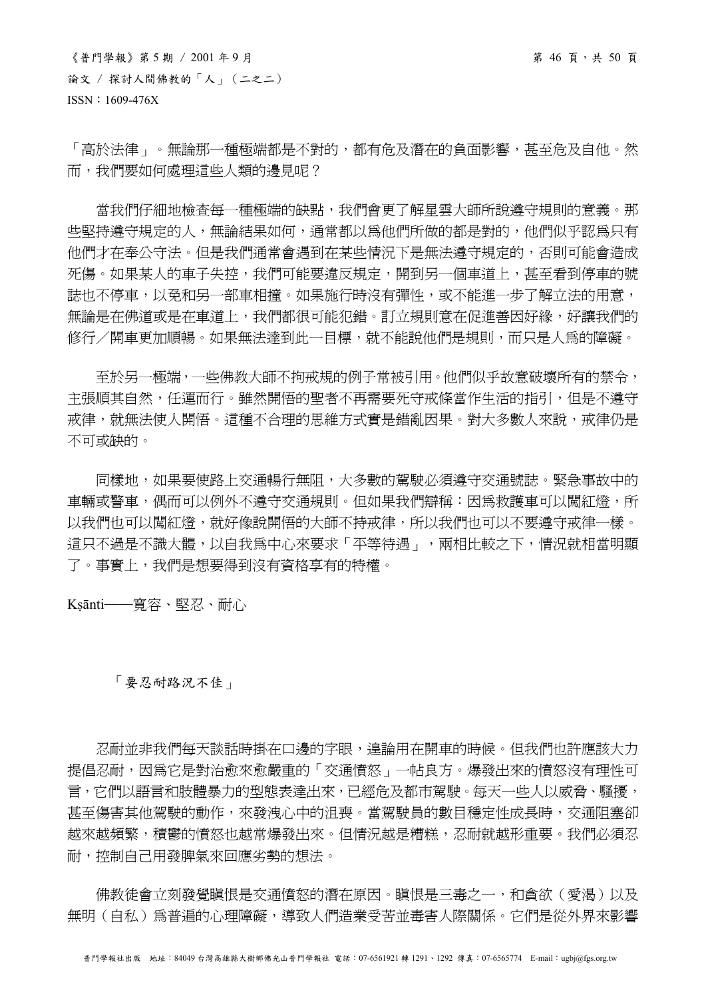$\langle$ 普門學報》第5期 / 2001年9月<br> 論文 / 探討人間佛教的「人」(二之二) ISSN:1609-476X

「高於法律」。無論那一種極端都是不對的,都有危及潛在的負面影響,甚至危及自他。然 而,我們要如何處理這些人類的邊見呢?

當我們仔細地檢查每一種極端的缺點,我們會更了解星雲大師所說遵守規則的意義。那 些堅持遵守規定的人,無論結果如何,通常都以為他們所做的都是對的,他們似乎認為只有 他們才在奉公守法。但是我們通常會遇到在某些情況下是無法遵守規定的,否則可能會造成 死傷。如果某人的車子失控,我們可能要違反規定,開到另一個車道上,甚至看到停車的號 誌也不停車,以免和另一部車相撞。如果施行時沒有彈性,或不能進一步了解立法的用意, 無論是在佛道或是在車道上,我們都很可能犯錯。訂立規則意在促進善因好緣,好讓我們的 修行/開車更加順暢。如果無法達到此一目標,就不能說他們是規則,而只是人爲的障礙。

 至於另一極端,一些佛教大師不拘戒規的例子常被引用。他們似乎故意破壞所有的禁令, 主張順其自然,任運而行。雖然開悟的聖者不再需要死守戒條當作生活的指引,但是不遵守 戒律,就無法使人開悟。這種不合理的思維方式實是錯亂因果。對大多數人來說,戒律仍是 不可或缺的。

同樣地,如果要使路上交通暢行無阻,大多數的駕駛必須遵守交通號誌。緊急事故中的 車輛或警車,偶而可以例外不遵守交通規則。但如果我們辯稱:因為救護車可以闖紅燈,所 以我們也可以闖紅燈,就好像說開悟的大師不持戒律,所以我們也可以不要遵守戒律一樣。 這只不過是不識大體,以自我為中心來要求「平等待遇」,兩相比較之下,情況就相當明顯 了。事實上,我們是想要得到沒有資格享有的特權。

Ksānti──寬容、堅忍、耐心

# 「要忍耐路況不佳」

忍耐並非我們每天談話時掛在口邊的字眼,遑論用在開車的時候。但我們也許應該大力 提倡忍耐,因為它是對治愈來愈嚴重的「交通憤怒」一帖良方。爆發出來的憤怒沒有理性可 言,它們以語言和肢體暴力的型態表達出來,已經危及都市駕駛。每天一些人以威脅、騷擾, 甚至傷害其他駕駛的動作,來發洩心中的沮喪。當駕駛員的數目穩定性成長時,交通阻塞卻 越來越頻繁,積鬱的憤怒也越常爆發出來。但情況越是糟糕,忍耐就越形重要。我們必須忍 耐,控制自己用發脾氣來回應劣勢的想法。

佛教徒會立刻發覺瞋恨是交通憤怒的潛在原因。瞋恨是三毒之一,和貪欲(愛渴)以及 無明(自私)為普遍的心理障礙,導致人們浩業受苦並毒害人際關係。它們是從外界來影響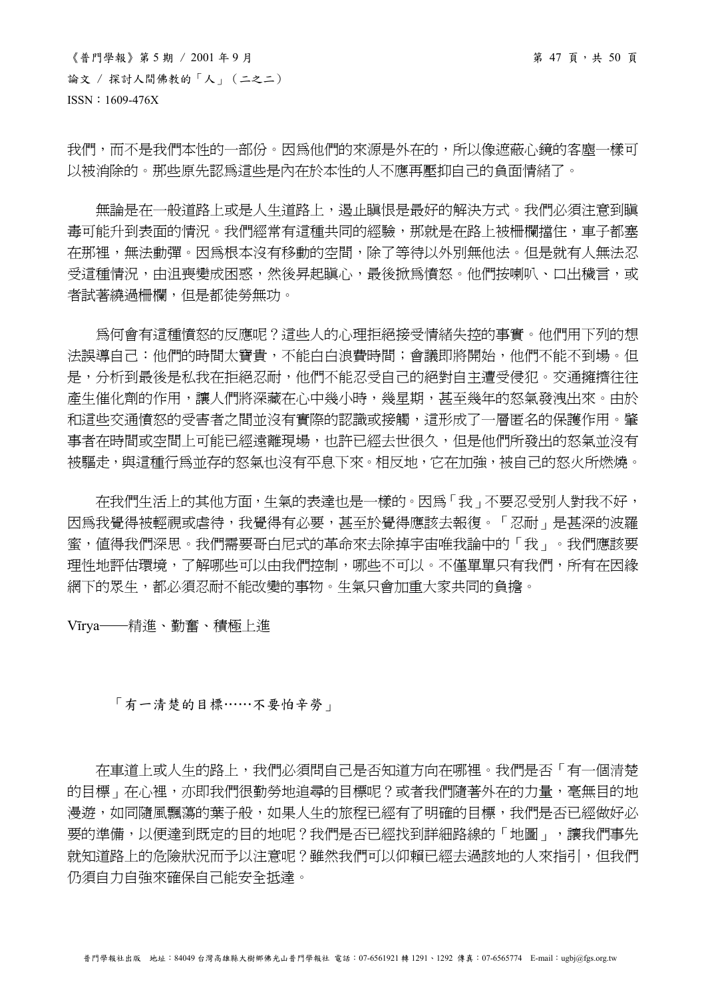我們,而不是我們本性的一部份。因為他們的來源是外在的,所以像遮蔽心鏡的客塵一樣可 以被消除的。那些原先認為這些是內在於本性的人不應再壓抑自己的負面情緒了。

無論是在一般道路上成是人生道路上,渴止瞋恨是最好的解決方式。我們必須注意到瞋 毒可能升到表面的情況。我們經常有這種共同的經驗,那就是在路上被柵欄擋住,車子都塞 在那裡,無法動彈。因為根本沒有移動的空間,除了等待以外別無他法。但是就有人無法忍 受這種情況,由沮喪變成困惑,然後昇起瞋心,最後掀為憤怒。他們按喇叭、口出穢言,或 者試著繞過柵欄,但是都徒勞無功。

 為何會有這種憤怒的反應呢?這些人的心理拒絕接受情緒失控的事實。他們用下列的想 法誤導自己:他們的時間太寶貴,不能白白浪費時間;會議即將開始,他們不能不到場。但 是,分析到最後是私我在拒絕忍耐,他們不能忍受自己的絕對自主遭受侵犯。交通擁擠往往 產生催化劑的作用,讓人們將深藏在心中幾小時,幾星期,甚至幾年的怒氣發洩出來。由於 和這些交通憤怒的受害者之間並沒有實際的認識或接觸,這形成了一層匿名的保護作用。肇 事者在時間或空間上可能已經遠離現場,也許已經去世很久,但是他們所發出的怒氣並沒有 被驅走,與這種行為並存的怒氣也沒有平息下來。相反地,它在加強,被自己的怒火所燃燒。

 在我們生活上的其他方面,生氣的表達也是一樣的。因為「我」不要忍受別人對我不好, 因為我覺得被輕視或虐待,我覺得有必要,甚至於覺得應該去報復。「忍耐」是甚深的波羅 蜜,值得我們深思。我們需要哥白尼式的革命來去除掉宇宙唯我論中的「我」。我們應該要 理性地評估環境,了解哪些可以由我們控制,哪些不可以。不僅單單只有我們,所有在因緣 網下的眾生,都必須忍耐不能改變的事物。生氣只會加重大家共同的負擔。

Vīrya──精進、勤奮、積極上進

# 「有一清楚的目標……不要怕辛勞」

 在車道上或人生的路上,我們必須問自己是否知道方向在哪裡。我們是否「有一個清楚 的目標, 在心裡, 亦即我們很勤勞地追尋的目標呢?或者我們隨著外在的力量, 毫無目的地 漫游,如同隨風飄蕩的葉子般,如果人生的旅程已經有了明確的目標,我們是否已經做好必 要的準備,以便達到既定的目的地呢?我們是否已經找到詳細路線的「地圖」,讓我們事先 就知道路上的危險狀況而予以注意呢?雖然我們可以仰賴已經去過該地的人來指引,但我們 仍須自力自強來確保自己能安全抵達。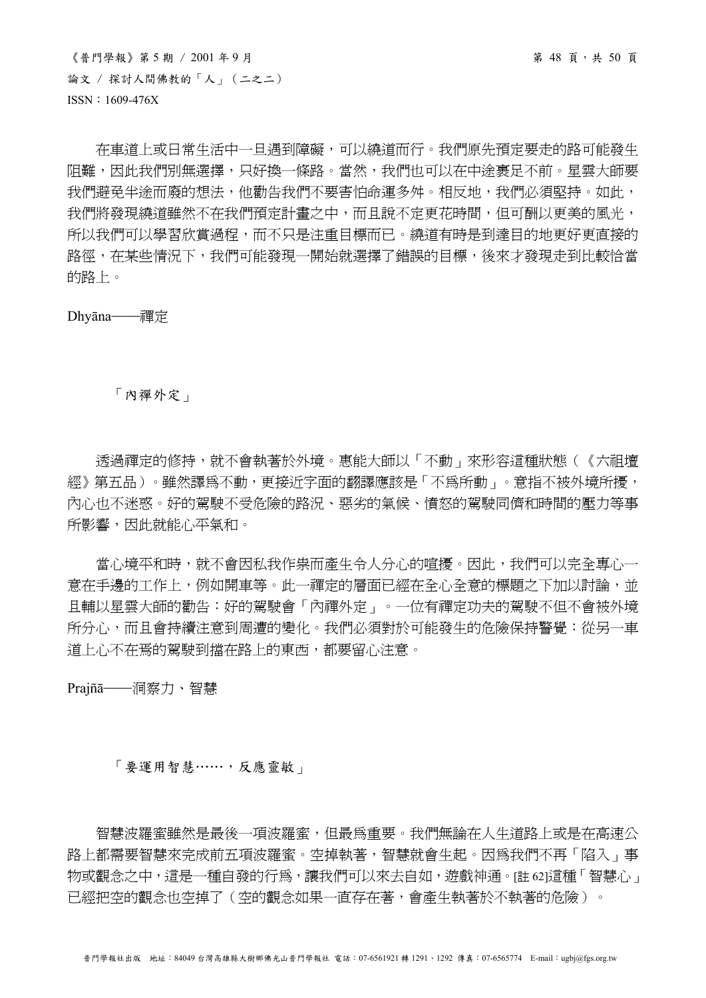$\langle$ 普門學報》第5期 / 2001年9月 第 50 頁 論文 / 探討人間佛教的「人」(二之二) ISSN:1609-476X

 在車道上或日常生活中一旦遇到障礙,可以繞道而行。我們原先預定要走的路可能發生 阻難,因此我們別無選擇,只好換一條路。當然,我們也可以在中途裹足不前。星雲大師要 我們避免半途而廢的想法,他勸告我們不要害怕命運多舛。相反地,我們必須堅持。如此, 我們將發現繞道雖然不在我們預定計畫之中,而且說不定更花時間,但可酬以更美的風光, 所以我們可以學習欣賞過程,而不只是注重目標而已。繞道有時是到達目的地更好更直接的 路徑,在某些情況下,我們可能發現一開始就選擇了錯誤的目標,後來才發現走到比較恰當 的路上。

Dhyāna──禪定

「內禪外定」

 透過禪定的修持,就不會執著於外境。惠能大師以「不動」來形容這種狀態(《六祖壇 經》第五品)。雖然譯為不動,更接近字面的翻譯應該是「不為所動」。意指不被外境所擾, 內心也不迷惑。好的駕駛不受危險的路況、惡劣的氣候、憤怒的駕駛同儕和時間的壓力等事 所影響,因此就能心平氣和。

 當心境平和時,就不會因私我作祟而產生令人分心的喧擾。因此,我們可以完全專心一 意在手邊的工作上,例如開車等。此一禪定的層面已經在全心全意的標題之下加以討論,並 且輔以星雲大師的勸告:好的駕駛會「內禪外定」。一位有禪定功夫的駕駛不但不會被外境 所分心,而且會持續注意到周遭的變化。我們必須對於可能發生的危險保持警覺:從另一車 道上心不在焉的駕駛到擋在路上的東西,都要留心注意。

Prajñā──洞察力、智慧

「要運用智慧……,反應靈敏」

智慧波羅蜜雖然是最後一項波羅蜜,但最為重要。我們無論在人生道路上或是在高速公 路上都需要智慧來完成前五項波羅蜜。空掉執著,智慧就會生起。因為我們不再「陷入」事 物或觀念之中,這是一種自發的行為,讓我們可以來去自如,遊戲神通。[註 62]這種「智慧心」 已經把空的觀念也空掉了(空的觀念如果一直存在著,會產生執著於不執著的危險)。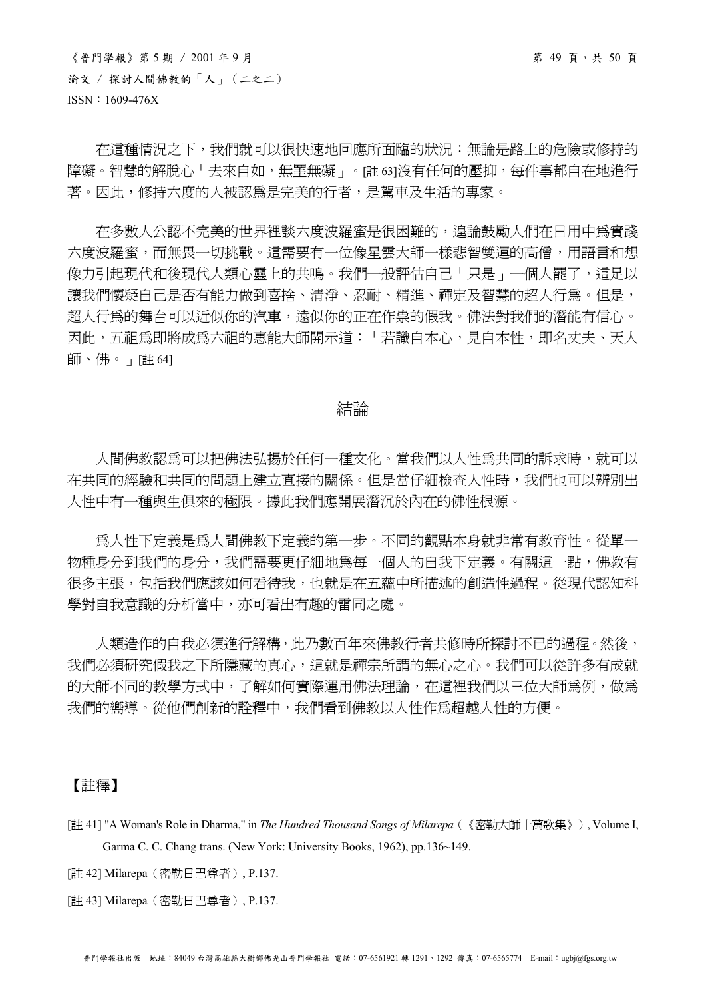在這種情況之下,我們就可以很快速地回應所面臨的狀況:無論是路上的危險或修持的 障礙。智慧的解脫心「去來自如,無罣無礙」。[註63]沒有任何的壓抑,每件事都自在地進行 著。因此,修持六度的人被認為是完美的行者,是駕車及生活的專家。

 在多數人公認不完美的世界裡談六度波羅蜜是很困難的,遑論鼓勵人們在日用中為實踐 六度波羅蜜,而無畏一切挑戰。這需要有一位像星雲大師一樣悲智雙運的高僧,用語言和想 像力引起現代和後現代人類心靈上的共鳴。我們一般評估自己「只是」一個人罷了,這足以 讓我們懷疑自己是否有能力做到喜捨、清淨、忍耐、精淮、禪定及智慧的超人行為。但是, 超人行為的舞台可以近似你的汽車,遠似你的正在作祟的假我。佛法對我們的潛能有信心。 因此,五祖為即將成為六祖的惠能大師開示道:「若識自本心,見自本性,即名丈夫、天人 師、佛。」[註 64]

# 結論

人間佛教認為可以把佛法弘揚於任何一種文化。當我們以人性爲共同的訴求時,就可以 在共同的經驗和共同的問題上建立直接的關係。但是當仔細檢查人性時,我們也可以辨別出 人性中有一種與生俱來的極限。據此我們應開展潛沉於內在的佛性根源。

 為人性下定義是為人間佛教下定義的第一步。不同的觀點本身就非常有教育性。從單一 物種身分到我們的身分,我們需要更仔細地為每一個人的自我下定義。有關這一點,佛教有 很多主張,包括我們應該如何看待我,也就是在五蘊中所描述的創造性過程。從現代認知科 學對自我意識的分析當中,亦可看出有趣的雷同之處。

 人類造作的自我必須進行解構,此乃數百年來佛教行者共修時所探討不已的過程。然後, 我們必須研究假我之下所隱藏的真心,這就是禪宗所謂的無心之心。我們可以從許多有成就 的大師不同的教學方式中,了解如何實際運用佛法理論,在這裡我們以三位大師為例,做為 我們的嚮導。從他們創新的詮釋中,我們看到佛教以人性作為超越人性的方便。

#### 【註釋】

- [註 41] "A Woman's Role in Dharma," in *The Hundred Thousand Songs of Milarepa*(《密勒大師十萬歌集》), Volume I, Garma C. C. Chang trans. (New York: University Books, 1962), pp.136~149.
- [註 42] Milarepa(密勒日巴尊者), P.137.
- [註 43] Milarepa(密勒日巴尊者), P.137.